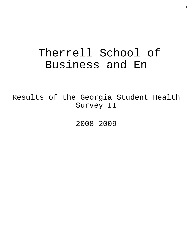# Therrell School of Business and En

Results of the Georgia Student Health Survey II

2008-2009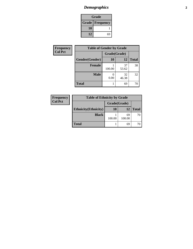### *Demographics* **2**

| Grade                    |    |  |
|--------------------------|----|--|
| <b>Grade   Frequency</b> |    |  |
| 10                       |    |  |
| 12                       | 69 |  |

| <b>Frequency</b> | <b>Table of Gender by Grade</b> |              |             |              |
|------------------|---------------------------------|--------------|-------------|--------------|
| <b>Col Pct</b>   |                                 | Grade(Grade) |             |              |
|                  | Gender(Gender)                  | <b>10</b>    | 12          | <b>Total</b> |
|                  | <b>Female</b>                   | 100.00       | 37<br>53.62 | 38           |
|                  | <b>Male</b>                     | 0.00         | 32<br>46.38 | 32           |
|                  | <b>Total</b>                    |              | 69          | 70           |

| Frequency      | <b>Table of Ethnicity by Grade</b> |              |              |              |
|----------------|------------------------------------|--------------|--------------|--------------|
| <b>Col Pct</b> |                                    | Grade(Grade) |              |              |
|                | <b>Ethnicity</b> (Ethnicity)       | 10           | 12           | <b>Total</b> |
|                | <b>Black</b>                       | 100.00       | 69<br>100.00 | 70           |
|                | <b>Total</b>                       |              | 69           |              |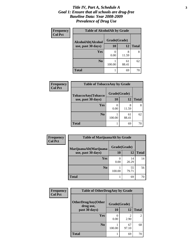#### *Title IV, Part A, Schedule A* **3** *Goal 1: Ensure that all schools are drug-free Baseline Data: Year 2008-2009 Prevalence of Drug Use*

| Frequency<br><b>Col Pct</b> | <b>Table of AlcoholAlt by Grade</b> |              |             |              |  |
|-----------------------------|-------------------------------------|--------------|-------------|--------------|--|
|                             | AlcoholAlt(Alcohol                  | Grade(Grade) |             |              |  |
|                             | use, past 30 days)                  | 10           | 12          | <b>Total</b> |  |
|                             | Yes                                 | 0.00         | 8<br>11.59  | 8            |  |
|                             | N <sub>0</sub>                      | 100.00       | 61<br>88.41 | 62           |  |
|                             | <b>Total</b>                        |              | 69          | 70           |  |

| Frequency<br><b>Col Pct</b> | <b>Table of TobaccoAny by Grade</b> |              |             |              |  |
|-----------------------------|-------------------------------------|--------------|-------------|--------------|--|
|                             | TobaccoAny(Tobacco                  | Grade(Grade) |             |              |  |
|                             | use, past 30 days)                  | <b>10</b>    | 12          | <b>Total</b> |  |
|                             | <b>Yes</b>                          | 0.00         | 8<br>11.59  | 8            |  |
|                             | N <sub>0</sub>                      | 100.00       | 61<br>88.41 | 62           |  |
|                             | <b>Total</b>                        |              | 69          | 70           |  |

| Frequency      | <b>Table of MarijuanaAlt by Grade</b> |              |             |              |
|----------------|---------------------------------------|--------------|-------------|--------------|
| <b>Col Pct</b> | MarijuanaAlt(Marijuana                | Grade(Grade) |             |              |
|                | use, past 30 days)                    | <b>10</b>    | 12          | <b>Total</b> |
|                | <b>Yes</b>                            | 0.00         | 14<br>20.29 | 14           |
|                | N <sub>0</sub>                        | 100.00       | 55<br>79.71 | 56           |
|                | <b>Total</b>                          |              | 69          | 70           |

| Frequency      | <b>Table of OtherDrugAny by Grade</b>  |              |             |                |
|----------------|----------------------------------------|--------------|-------------|----------------|
| <b>Col Pct</b> | <b>OtherDrugAny(Other</b><br>drug use, | Grade(Grade) |             |                |
|                | past 30 days)                          | 10           | <b>12</b>   | <b>Total</b>   |
|                | Yes                                    | 0.00         | 2<br>2.90   | $\overline{c}$ |
|                | N <sub>0</sub>                         | 100.00       | 67<br>97.10 | 68             |
|                | Total                                  |              | 69          | 70             |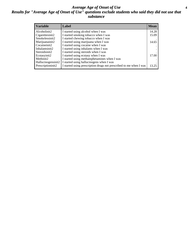#### *Average Age of Onset of Use* **4** *Results for "Average Age of Onset of Use" questions exclude students who said they did not use that substance*

| <b>Variable</b>    | Label                                                              | <b>Mean</b> |
|--------------------|--------------------------------------------------------------------|-------------|
| Alcoholinit2       | I started using alcohol when I was                                 | 14.28       |
| Cigarettesinit2    | I started smoking tobacco when I was                               | 15.09       |
| Smokelessinit2     | I started chewing tobacco when I was                               |             |
| Marijuanainit2     | I started using marijuana when I was                               | 14.65       |
| Cocaineinit2       | I started using cocaine when I was                                 |             |
| Inhalantsinit2     | I started using inhalants when I was                               |             |
| Steroidsinit2      | I started using steroids when I was                                |             |
| Ecstasyinit2       | I started using ecstasy when I was                                 | 17.00       |
| Methinit2          | I started using methamphetamines when I was                        |             |
| Hallucinogensinit2 | I started using hallucinogens when I was                           |             |
| Prescriptioninit2  | I started using prescription drugs not prescribed to me when I was | 13.25       |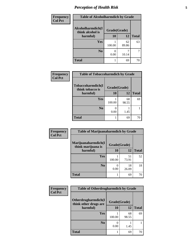### *Perception of Health Risk* **5**

| <b>Frequency</b> | <b>Table of Alcoholharmdich by Grade</b> |              |             |              |
|------------------|------------------------------------------|--------------|-------------|--------------|
| <b>Col Pct</b>   | Alcoholharmdich(I<br>think alcohol is    | Grade(Grade) |             |              |
|                  | harmful)                                 | 10           | 12          | <b>Total</b> |
|                  | <b>Yes</b>                               | 100.00       | 62<br>89.86 | 63           |
|                  | N <sub>0</sub>                           | 0.00         | 10.14       | 7            |
|                  | <b>Total</b>                             |              | 69          | 70           |

| Frequency      | <b>Table of Tobaccoharmdich by Grade</b> |              |             |              |
|----------------|------------------------------------------|--------------|-------------|--------------|
| <b>Col Pct</b> | Tobaccoharmdich(I<br>think tobacco is    | Grade(Grade) |             |              |
|                | harmful)                                 | 10           | 12          | <b>Total</b> |
|                | <b>Yes</b>                               | 100.00       | 68<br>98.55 | 69           |
|                | N <sub>0</sub>                           | 0.00         | 1.45        |              |
|                | <b>Total</b>                             |              | 69          | 70           |

| Frequency      | <b>Table of Marijuanaharmdich by Grade</b> |              |             |              |
|----------------|--------------------------------------------|--------------|-------------|--------------|
| <b>Col Pct</b> | Marijuanaharmdich(I<br>think marijuana is  | Grade(Grade) |             |              |
|                | harmful)                                   | 10           | 12          | <b>Total</b> |
|                | Yes                                        | 100.00       | 51<br>73.91 | 52           |
|                | N <sub>0</sub>                             | 0.00         | 18<br>26.09 | 18           |
|                | <b>Total</b>                               |              | 69          | 70           |

| <b>Frequency</b> | <b>Table of Otherdrugharmdich by Grade</b>                   |           |             |              |
|------------------|--------------------------------------------------------------|-----------|-------------|--------------|
| <b>Col Pct</b>   | Otherdrugharmdich(I<br>Grade(Grade)<br>think other drugs are |           |             |              |
|                  | harmful)                                                     | <b>10</b> | 12          | <b>Total</b> |
|                  | Yes                                                          | 100.00    | 68<br>98.55 | 69           |
|                  | N <sub>0</sub>                                               | 0.00      | 1.45        |              |
|                  | <b>Total</b>                                                 |           | 69          | 70           |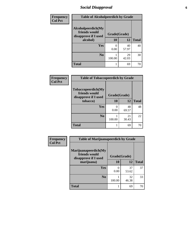### *Social Disapproval* **6**

| Frequency      | <b>Table of Alcoholpeerdich by Grade</b>                    |              |             |              |  |
|----------------|-------------------------------------------------------------|--------------|-------------|--------------|--|
| <b>Col Pct</b> | Alcoholpeerdich(My<br>friends would<br>disapprove if I used | Grade(Grade) |             |              |  |
|                | alcohol)                                                    | 10           | 12          | <b>Total</b> |  |
|                | <b>Yes</b>                                                  | 0<br>0.00    | 40<br>57.97 | 40           |  |
|                | N <sub>0</sub>                                              | 100.00       | 29<br>42.03 | 30           |  |
|                | <b>Total</b>                                                |              | 69          | 70           |  |

| <b>Frequency</b> |
|------------------|
| <b>Col Pct</b>   |

| <b>Table of Tobaccopeerdich by Grade</b>                    |              |             |              |  |  |
|-------------------------------------------------------------|--------------|-------------|--------------|--|--|
| Tobaccopeerdich(My<br>friends would<br>disapprove if I used | Grade(Grade) |             |              |  |  |
| tobacco)                                                    | 10           | 12          | <b>Total</b> |  |  |
| Yes                                                         | 0<br>0.00    | 48<br>69.57 | 48           |  |  |
| N <sub>0</sub>                                              | 100.00       | 21<br>30.43 | 22           |  |  |
| <b>Total</b>                                                |              | 69          | 70           |  |  |

| Frequency      | <b>Table of Marijuanapeerdich by Grade</b>                    |        |              |              |  |
|----------------|---------------------------------------------------------------|--------|--------------|--------------|--|
| <b>Col Pct</b> | Marijuanapeerdich(My<br>friends would<br>disapprove if I used |        | Grade(Grade) |              |  |
|                | marijuana)                                                    | 10     | 12           | <b>Total</b> |  |
|                | Yes                                                           | 0.00   | 37<br>53.62  | 37           |  |
|                | N <sub>0</sub>                                                | 100.00 | 32<br>46.38  | 33           |  |
|                | <b>Total</b>                                                  |        | 69           | 70           |  |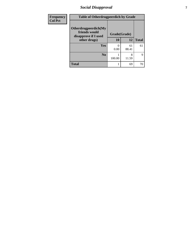### *Social Disapproval* **7**

| Frequency      | <b>Table of Otherdrugpeerdich by Grade</b>                    |              |             |              |  |
|----------------|---------------------------------------------------------------|--------------|-------------|--------------|--|
| <b>Col Pct</b> | Otherdrugpeerdich(My<br>friends would<br>disapprove if I used | Grade(Grade) |             |              |  |
|                | other drugs)                                                  | 10           | 12          | <b>Total</b> |  |
|                | Yes                                                           | 0.00         | 61<br>88.41 | 61           |  |
|                | N <sub>0</sub>                                                | 100.00       | 8<br>11.59  | $\mathbf Q$  |  |
|                | <b>Total</b>                                                  |              | 69          | 70           |  |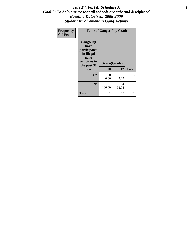#### Title IV, Part A, Schedule A **8** *Goal 2: To help ensure that all schools are safe and disciplined Baseline Data: Year 2008-2009 Student Involvement in Gang Activity*

| Frequency      | <b>Table of Gangself by Grade</b>                                                                 |                    |             |              |
|----------------|---------------------------------------------------------------------------------------------------|--------------------|-------------|--------------|
| <b>Col Pct</b> | Gangself(I<br>have<br>participated<br>in illegal<br>gang<br>activities in<br>the past 30<br>days) | Grade(Grade)<br>10 | 12          | <b>Total</b> |
|                | Yes                                                                                               | $\theta$<br>0.00   | 5<br>7.25   | 5            |
|                | N <sub>0</sub>                                                                                    | 1<br>100.00        | 64<br>92.75 | 65           |
|                | <b>Total</b>                                                                                      | 1                  | 69          | 70           |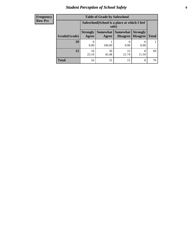### *Student Perception of School Safety* **9**

| <b>Frequency</b><br>Row Pct |
|-----------------------------|
|                             |

| <b>Table of Grade by Safeschool</b> |                          |                                                                                                                 |             |            |    |  |  |  |
|-------------------------------------|--------------------------|-----------------------------------------------------------------------------------------------------------------|-------------|------------|----|--|--|--|
|                                     |                          | Safeschool (School is a place at which I feel<br>safe)                                                          |             |            |    |  |  |  |
| Grade(Grade)                        | <b>Strongly</b><br>Agree | Somewhat  <br><b>Somewhat</b><br><b>Strongly</b><br><b>Disagree</b><br><b>Disagree</b><br><b>Total</b><br>Agree |             |            |    |  |  |  |
| <b>10</b>                           | 0.00                     | 100.00                                                                                                          | 0.00        | 0.00       |    |  |  |  |
| 12                                  | 16<br>23.19              | 30<br>43.48                                                                                                     | 15<br>21.74 | 8<br>11.59 | 69 |  |  |  |
| Total                               | 16                       | 31                                                                                                              | 15          | 8          | 70 |  |  |  |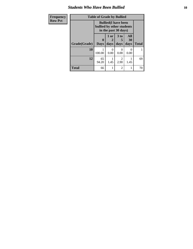#### *Students Who Have Been Bullied* **10**

| Frequency      |              | <b>Table of Grade by Bullied</b> |                                                     |                        |                   |              |
|----------------|--------------|----------------------------------|-----------------------------------------------------|------------------------|-------------------|--------------|
| <b>Row Pct</b> |              | bullied by other students        | <b>Bullied</b> (I have been<br>in the past 30 days) |                        |                   |              |
|                | Grade(Grade) | $\mathbf 0$<br><b>Days</b>       | 1 or<br>days                                        | 3 to<br>5<br>days      | All<br>30<br>days | <b>Total</b> |
|                | 10           | 100.00                           | $\Omega$<br>0.00                                    | $\Omega$<br>0.00       | 0<br>0.00         |              |
|                | 12           | 65<br>94.20                      | 1.45                                                | $\overline{c}$<br>2.90 | 1.45              | 69           |
|                | <b>Total</b> | 66                               |                                                     | 2                      |                   | 70           |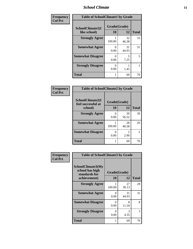#### *School Climate* **11**

| Frequency      | <b>Table of SchoolClimate1 by Grade</b> |                    |             |              |  |  |
|----------------|-----------------------------------------|--------------------|-------------|--------------|--|--|
| <b>Col Pct</b> | SchoolClimate1(I<br>like school)        | Grade(Grade)<br>10 | 12          | <b>Total</b> |  |  |
|                | <b>Strongly Agree</b>                   | 100.00             | 32<br>46.38 | 33           |  |  |
|                | <b>Somewhat Agree</b>                   | 0<br>0.00          | 31<br>44.93 | 31           |  |  |
|                | <b>Somewhat Disagree</b>                | 0.00               | 5<br>7.25   | 5            |  |  |
|                | <b>Strongly Disagree</b>                | 0.00               | 1.45        |              |  |  |
|                | <b>Total</b>                            | 1                  | 69          | 70           |  |  |

| Frequency      | <b>Table of SchoolClimate2 by Grade</b> |              |                                     |               |
|----------------|-----------------------------------------|--------------|-------------------------------------|---------------|
| <b>Col Pct</b> | SchoolClimate2(I<br>feel successful at  | Grade(Grade) |                                     |               |
|                | school)                                 | 10           | 12                                  | <b>Total</b>  |
|                | <b>Strongly Agree</b>                   | 0.00         | 39<br>56.52                         | 39            |
|                | <b>Somewhat Agree</b>                   | 100.00       | 28<br>40.58                         | 29            |
|                | <b>Somewhat Disagree</b>                | ∩<br>0.00    | $\mathcal{D}_{\mathcal{A}}$<br>2.90 | $\mathcal{L}$ |
|                | <b>Total</b>                            |              | 69                                  | 70            |

| Frequency      | <b>Table of SchoolClimate3 by Grade</b>                                      |                           |             |              |  |
|----------------|------------------------------------------------------------------------------|---------------------------|-------------|--------------|--|
| <b>Col Pct</b> | <b>SchoolClimate3(My</b><br>school has high<br>standards for<br>achievement) | Grade(Grade)<br><b>10</b> | 12          | <b>Total</b> |  |
|                | <b>Strongly Agree</b>                                                        | 100.00                    | 27<br>39.13 | 28           |  |
|                | <b>Somewhat Agree</b>                                                        | 0<br>0.00                 | 31<br>44.93 | 31           |  |
|                | <b>Somewhat Disagree</b>                                                     | 0<br>0.00                 | 8<br>11.59  | 8            |  |
|                | <b>Strongly Disagree</b>                                                     | 0<br>0.00                 | 3<br>4.35   | 3            |  |
|                | Total                                                                        |                           | 69          | 70           |  |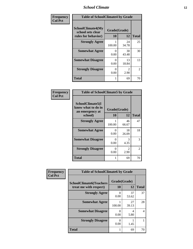#### *School Climate* **12**

| Frequency      | <b>Table of SchoolClimate4 by Grade</b>                              |                    |             |              |
|----------------|----------------------------------------------------------------------|--------------------|-------------|--------------|
| <b>Col Pct</b> | <b>SchoolClimate4(My</b><br>school sets clear<br>rules for behavior) | Grade(Grade)<br>10 | 12          | <b>Total</b> |
|                | <b>Strongly Agree</b>                                                | 100.00             | 24<br>34.78 | 25           |
|                | <b>Somewhat Agree</b>                                                | 0<br>0.00          | 30<br>43.48 | 30           |
|                | <b>Somewhat Disagree</b>                                             | 0<br>0.00          | 13<br>18.84 | 13           |
|                | <b>Strongly Disagree</b>                                             | 0<br>0.00          | 2<br>2.90   | 2            |
|                | <b>Total</b>                                                         | 1                  | 69          | 70           |

#### **Frequency Col Pct**

| <b>Table of SchoolClimate5 by Grade</b>                              |                    |             |              |  |
|----------------------------------------------------------------------|--------------------|-------------|--------------|--|
| SchoolClimate5(I<br>know what to do in<br>an emergency at<br>school) | Grade(Grade)<br>10 | 12          | <b>Total</b> |  |
| <b>Strongly Agree</b>                                                | 1                  | 46          | 47           |  |
|                                                                      | 100.00             | 66.67       |              |  |
| <b>Somewhat Agree</b>                                                | 0<br>0.00          | 18<br>26.09 | 18           |  |
| <b>Somewhat Disagree</b>                                             | 0<br>0.00          | 3<br>4.35   | 3            |  |
| <b>Strongly Disagree</b>                                             | 0<br>0.00          | 2<br>2.90   | 2            |  |
| <b>Total</b>                                                         | 1                  | 69          | 70           |  |

| Frequency      | <b>Table of SchoolClimate6 by Grade</b>                  |                    |             |                          |
|----------------|----------------------------------------------------------|--------------------|-------------|--------------------------|
| <b>Col Pct</b> | <b>SchoolClimate6(Teachers</b><br>treat me with respect) | Grade(Grade)<br>10 | 12          | <b>Total</b>             |
|                | <b>Strongly Agree</b>                                    | 0<br>0.00          | 37<br>53.62 | 37                       |
|                | <b>Somewhat Agree</b>                                    | 100.00             | 27<br>39.13 | 28                       |
|                | <b>Somewhat Disagree</b>                                 | 0<br>0.00          | 4<br>5.80   | $\overline{\mathcal{A}}$ |
|                | <b>Strongly Disagree</b>                                 | 0<br>0.00          | 1.45        |                          |
|                | <b>Total</b>                                             |                    | 69          | 70                       |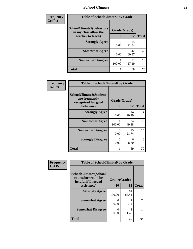#### *School Climate* **13**

| Frequency      | <b>Table of SchoolClimate7 by Grade</b>                  |              |             |              |
|----------------|----------------------------------------------------------|--------------|-------------|--------------|
| <b>Col Pct</b> | <b>SchoolClimate7(Behaviors</b><br>in my class allow the | Grade(Grade) |             |              |
|                | teacher to teach)                                        | <b>10</b>    | 12          | <b>Total</b> |
|                | <b>Strongly Agree</b>                                    | 0<br>0.00    | 15<br>21.74 | 15           |
|                | <b>Somewhat Agree</b>                                    | 0<br>0.00    | 42<br>60.87 | 42           |
|                | <b>Somewhat Disagree</b>                                 | 100.00       | 12<br>17.39 | 13           |
|                | <b>Total</b>                                             |              | 69          | 70           |

| <b>Frequency</b> | <b>Table of SchoolClimate8 by Grade</b>                                              |                           |             |              |
|------------------|--------------------------------------------------------------------------------------|---------------------------|-------------|--------------|
| <b>Col Pct</b>   | <b>SchoolClimate8(Students</b><br>are frequently<br>recognized for good<br>behavior) | Grade(Grade)<br><b>10</b> | 12          | <b>Total</b> |
|                  | <b>Strongly Agree</b>                                                                | 0<br>0.00                 | 14<br>20.29 | 14           |
|                  | <b>Somewhat Agree</b>                                                                | 100.00                    | 34<br>49.28 | 35           |
|                  | <b>Somewhat Disagree</b>                                                             | 0<br>0.00                 | 15<br>21.74 | 15           |
|                  | <b>Strongly Disagree</b>                                                             | $\mathbf{\Omega}$<br>0.00 | 6<br>8.70   | 6            |
|                  | Total                                                                                |                           | 69          | 70           |

| <b>Frequency</b> | <b>Table of SchoolClimate9 by Grade</b>                            |              |             |              |
|------------------|--------------------------------------------------------------------|--------------|-------------|--------------|
| <b>Col Pct</b>   | SchoolClimate9(School<br>counselor would be<br>helpful if I needed | Grade(Grade) |             |              |
|                  | assistance)                                                        | 10           | 12          | <b>Total</b> |
|                  | <b>Strongly Agree</b>                                              | 100.00       | 61<br>88.41 | 62           |
|                  | <b>Somewhat Agree</b>                                              | 0.00         | 10.14       |              |
|                  | <b>Somewhat Disagree</b>                                           | 0<br>0.00    | 1.45        |              |
|                  | <b>Total</b>                                                       |              | 69          | 70           |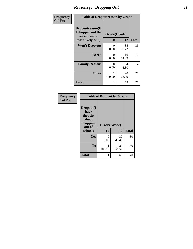#### *Reasons for Dropping Out* **14**

| Frequency      | <b>Table of Dropoutreason by Grade</b>                                   |                    |             |                |
|----------------|--------------------------------------------------------------------------|--------------------|-------------|----------------|
| <b>Col Pct</b> | Dropoutreason(If<br>I dropped out the<br>reason would<br>most likely be) | Grade(Grade)<br>10 | 12          | <b>Total</b>   |
|                | <b>Won't Drop out</b>                                                    | 0<br>0.00          | 35<br>50.72 | 35             |
|                | <b>Bored</b>                                                             | 0<br>0.00          | 10<br>14.49 | 10             |
|                | <b>Family Reasons</b>                                                    | 0<br>0.00          | 4<br>5.80   | $\overline{4}$ |
|                | <b>Other</b>                                                             | 1<br>100.00        | 20<br>28.99 | 21             |
|                | <b>Total</b>                                                             | 1                  | 69          | 70             |

| <b>Frequency</b><br><b>Col Pct</b> |                                                                        | <b>Table of Dropout by Grade</b> |             |              |  |  |
|------------------------------------|------------------------------------------------------------------------|----------------------------------|-------------|--------------|--|--|
|                                    | Dropout(I<br>have<br>thought<br>about<br>dropping<br>out of<br>school) | Grade(Grade)<br>10               | 12          | <b>Total</b> |  |  |
|                                    | Yes                                                                    | 0<br>0.00                        | 30<br>43.48 | 30           |  |  |
|                                    | N <sub>0</sub>                                                         | 100.00                           | 39<br>56.52 | 40           |  |  |
|                                    | <b>Total</b>                                                           | 1                                | 69          | 70           |  |  |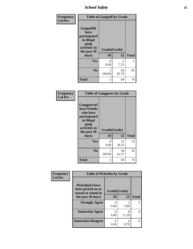*School Safety* **15**

| Frequency      |                                                                                                   | <b>Table of Gangself by Grade</b> |             |              |  |
|----------------|---------------------------------------------------------------------------------------------------|-----------------------------------|-------------|--------------|--|
| <b>Col Pct</b> | Gangself(I<br>have<br>participated<br>in illegal<br>gang<br>activities in<br>the past 30<br>days) | Grade(Grade)<br>10                | 12          | <b>Total</b> |  |
|                | Yes                                                                                               | 0<br>0.00                         | 5<br>7.25   | 5            |  |
|                | N <sub>0</sub>                                                                                    | 100.00                            | 64<br>92.75 | 65           |  |
|                | <b>Total</b>                                                                                      | 1                                 | 69          | 70           |  |

| Frequency<br><b>Col Pct</b> | <b>Table of Gangpeers by Grade</b>                                                                                             |                    |             |              |
|-----------------------------|--------------------------------------------------------------------------------------------------------------------------------|--------------------|-------------|--------------|
|                             | <b>Gangpeers</b> (I<br>have friends<br>who have<br>participated<br>in illegal<br>gang<br>activities in<br>the past 30<br>days) | Grade(Grade)<br>10 | 12          | <b>Total</b> |
|                             | Yes                                                                                                                            | 0<br>0.00          | 25<br>36.23 | 25           |
|                             | N <sub>0</sub>                                                                                                                 | 100.00             | 44<br>63.77 | 45           |
|                             | <b>Total</b>                                                                                                                   | 1                  | 69          | 70           |

| Frequency      | <b>Table of Pickedon by Grade</b>                                   |                      |                        |                |
|----------------|---------------------------------------------------------------------|----------------------|------------------------|----------------|
| <b>Col Pct</b> | <b>Pickedon</b> (I have<br>been picked on or<br>teased at school in | Grade(Grade)         |                        |                |
|                | the past 30 days)                                                   | 10                   | 12                     | <b>Total</b>   |
|                | <b>Strongly Agree</b>                                               | $\mathbf{0}$<br>0.00 | $\mathfrak{D}$<br>2.90 | $\mathfrak{D}$ |
|                | <b>Somewhat Agree</b>                                               | 0.00                 | 8<br>11.59             | 8              |
|                | <b>Somewhat Disagree</b>                                            | 0.00                 | 6<br>8.70              | 6              |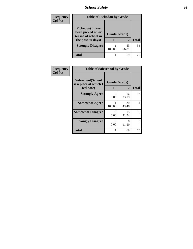### *School Safety* **16**

| <b>Frequency</b> | <b>Table of Pickedon by Grade</b>                                                        |                    |             |              |
|------------------|------------------------------------------------------------------------------------------|--------------------|-------------|--------------|
| <b>Col Pct</b>   | <b>Pickedon</b> (I have<br>been picked on or<br>teased at school in<br>the past 30 days) | Grade(Grade)<br>10 | 12          | <b>Total</b> |
|                  | <b>Strongly Disagree</b>                                                                 | 100.00             | 53<br>76.81 | 54           |
|                  | Total                                                                                    |                    | 69          |              |

| Frequency      | <b>Table of Safeschool by Grade</b>                      |                    |             |              |  |
|----------------|----------------------------------------------------------|--------------------|-------------|--------------|--|
| <b>Col Pct</b> | Safeschool(School<br>is a place at which I<br>feel safe) | Grade(Grade)<br>10 | 12          | <b>Total</b> |  |
|                | <b>Strongly Agree</b>                                    | 0<br>0.00          | 16<br>23.19 | 16           |  |
|                | <b>Somewhat Agree</b>                                    | 100.00             | 30<br>43.48 | 31           |  |
|                | <b>Somewhat Disagree</b>                                 | 0<br>0.00          | 15<br>21.74 | 15           |  |
|                | <b>Strongly Disagree</b>                                 | 0<br>0.00          | 8<br>11.59  | 8            |  |
|                | Total                                                    | 1                  | 69          | 70           |  |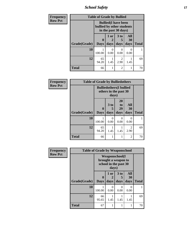*School Safety* **17**

| <b>Frequency</b> | <b>Table of Grade by Bullied</b>                                                 |                         |              |                        |                   |              |  |
|------------------|----------------------------------------------------------------------------------|-------------------------|--------------|------------------------|-------------------|--------------|--|
| <b>Row Pct</b>   | <b>Bullied</b> (I have been<br>bullied by other students<br>in the past 30 days) |                         |              |                        |                   |              |  |
|                  | Grade(Grade)                                                                     | $\bf{0}$<br><b>Days</b> | 1 or<br>days | 3 to<br>5<br>days      | All<br>30<br>days | <b>Total</b> |  |
|                  | 10                                                                               | 100.00                  | 0.00         | 0<br>0.00              | $\Omega$<br>0.00  |              |  |
|                  | 12                                                                               | 65<br>94.20             | 1.45         | $\overline{2}$<br>2.90 | 1.45              | 69           |  |
|                  | <b>Total</b>                                                                     | 66                      |              | $\overline{2}$         |                   | 70           |  |

| Frequency      | <b>Table of Grade by Bulliedothers</b> |                  |                              |                                                          |                   |              |
|----------------|----------------------------------------|------------------|------------------------------|----------------------------------------------------------|-------------------|--------------|
| <b>Row Pct</b> |                                        |                  | days)                        | <b>Bulliedothers</b> (I bullied<br>others in the past 30 |                   |              |
|                | Grade(Grade)                           | 0<br><b>Days</b> | 3 <sub>to</sub><br>5<br>days | 20<br>to<br>29<br>days                                   | All<br>30<br>days | <b>Total</b> |
|                | 10                                     | 100.00           | $\Omega$<br>0.00             | 0<br>0.00                                                | 0<br>0.00         | 1            |
|                | 12                                     | 65<br>94.20      | 1.45                         | 1.45                                                     | 2<br>2.90         | 69           |
|                | <b>Total</b>                           | 66               |                              |                                                          | 2                 | 70           |

| Frequency      | <b>Table of Grade by Weaponschool</b> |                                                                                 |                  |                         |                   |              |
|----------------|---------------------------------------|---------------------------------------------------------------------------------|------------------|-------------------------|-------------------|--------------|
| <b>Row Pct</b> |                                       | <b>Weaponschool</b> (I<br>brought a weapon to<br>school in the past 30<br>days) |                  |                         |                   |              |
|                | Grade(Grade)                          | 0<br><b>Days</b>                                                                | 1 or<br>days     | 3 <sub>to</sub><br>days | All<br>30<br>days | <b>Total</b> |
|                | 10                                    | 100.00                                                                          | $\Omega$<br>0.00 | 0.00                    | 0<br>0.00         |              |
|                | 12                                    | 66<br>95.65                                                                     | 1.45             | 1.45                    | 1.45              | 69           |
|                | <b>Total</b>                          | 67                                                                              | 1                |                         |                   | 70           |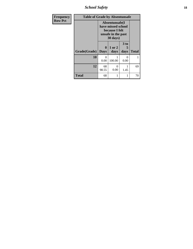*School Safety* **18**

| Frequency      | <b>Table of Grade by Absentunsafe</b> |                                                                                                    |                |              |              |  |
|----------------|---------------------------------------|----------------------------------------------------------------------------------------------------|----------------|--------------|--------------|--|
| <b>Row Pct</b> |                                       | Absentunsafe(I)<br>have missed school<br>because I felt<br>unsafe in the past<br>$30 \text{ days}$ |                |              |              |  |
|                | <b>Grade(Grade)</b>                   | $\mathbf{0}$<br><b>Days</b>                                                                        | 1 or 2<br>days | 3 to<br>days | <b>Total</b> |  |
|                | 10                                    | $\mathbf{0}$<br>0.00                                                                               | 100.00         | 0.00         |              |  |
|                | 12                                    | 68<br>98.55                                                                                        | 0<br>0.00      | 1.45         | 69           |  |
|                | <b>Total</b>                          | 68                                                                                                 |                |              | 70           |  |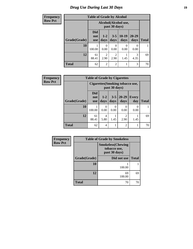### *Drug Use During Last 30 Days* **19**

| <b>Frequency</b> | <b>Table of Grade by Alcohol</b> |                                       |                        |                        |                 |                   |              |
|------------------|----------------------------------|---------------------------------------|------------------------|------------------------|-----------------|-------------------|--------------|
| <b>Row Pct</b>   |                                  | Alcohol(Alcohol use,<br>past 30 days) |                        |                        |                 |                   |              |
|                  | Grade(Grade)                     | <b>Did</b><br>not<br><b>use</b>       | $1 - 2$<br>days        | $3 - 5$<br>days        | $10-19$<br>days | $20 - 29$<br>days | <b>Total</b> |
|                  | 10                               | 100.00                                | $\theta$<br>0.00       | $\Omega$<br>0.00       | 0<br>0.00       | 0<br>0.00         |              |
|                  | 12                               | 61<br>88.41                           | $\overline{2}$<br>2.90 | $\overline{2}$<br>2.90 | 1.45            | 3<br>4.35         | 69           |
|                  | <b>Total</b>                     | 62                                    | $\overline{2}$         | $\overline{2}$         | 1               | 3                 | 70           |

| <b>Frequency</b> | <b>Table of Grade by Cigarettes</b> |                                        |                 |                 |                   |                  |              |
|------------------|-------------------------------------|----------------------------------------|-----------------|-----------------|-------------------|------------------|--------------|
| <b>Row Pct</b>   |                                     | <b>Cigarettes(Smoking tobacco use,</b> |                 |                 |                   |                  |              |
|                  | Grade(Grade)                        | <b>Did</b><br>not<br><b>use</b>        | $1 - 2$<br>days | $3 - 5$<br>days | $20 - 29$<br>days | Every<br>day     | <b>Total</b> |
|                  | 10                                  | 100.00                                 | 0<br>0.00       | 0<br>0.00       | 0<br>0.00         | $\Omega$<br>0.00 |              |
|                  | 12                                  | 61<br>88.41                            | 4<br>5.80       | 1.45            | 2<br>2.90         | 1.45             | 69           |
|                  | <b>Total</b>                        | 62                                     | 4               | 1               | $\overline{2}$    |                  | 70           |

| Frequency      | <b>Table of Grade by Smokeless</b> |                                                            |              |  |  |
|----------------|------------------------------------|------------------------------------------------------------|--------------|--|--|
| <b>Row Pct</b> |                                    | <b>Smokeless</b> (Chewing<br>tobacco use,<br>past 30 days) |              |  |  |
|                | Grade(Grade)                       | Did not use                                                | <b>Total</b> |  |  |
|                | 10                                 | 100.00                                                     |              |  |  |
|                | 12                                 | 69<br>100.00                                               | 69           |  |  |
|                | <b>Total</b>                       | 70                                                         | 70           |  |  |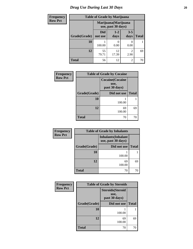### *Drug Use During Last 30 Days* 20

| Frequency      | <b>Table of Grade by Marijuana</b> |                                            |                 |                        |              |  |
|----------------|------------------------------------|--------------------------------------------|-----------------|------------------------|--------------|--|
| <b>Row Pct</b> |                                    | Marijuana (Marijuana<br>use, past 30 days) |                 |                        |              |  |
|                | Grade(Grade)                       | Did<br>not use                             | $1 - 2$<br>days | $3 - 5$<br>days        | <b>Total</b> |  |
|                | 10                                 | 100.00                                     | 0.00            | 0<br>0.00              |              |  |
|                | 12                                 | 55<br>79.71                                | 12<br>17.39     | $\mathfrak{D}$<br>2.90 | 69           |  |
|                | <b>Total</b>                       | 56                                         | 12              | $\overline{c}$         | 70           |  |

| Frequency      |              | <b>Table of Grade by Cocaine</b>                 |              |
|----------------|--------------|--------------------------------------------------|--------------|
| <b>Row Pct</b> |              | <b>Cocaine</b> (Cocaine<br>use,<br>past 30 days) |              |
|                | Grade(Grade) | Did not use                                      | <b>Total</b> |
|                | 10           | 100.00                                           |              |
|                | 12           | 69<br>100.00                                     | 69           |
|                | <b>Total</b> | 70                                               | 70           |

| Frequency      | <b>Table of Grade by Inhalants</b> |                                                  |              |  |  |
|----------------|------------------------------------|--------------------------------------------------|--------------|--|--|
| <b>Row Pct</b> |                                    | <b>Inhalants</b> (Inhalant<br>use, past 30 days) |              |  |  |
|                | Grade(Grade)                       | Did not use                                      | <b>Total</b> |  |  |
|                | <b>10</b>                          | 100.00                                           |              |  |  |
|                | 12                                 | 69<br>100.00                                     | 69           |  |  |
|                | <b>Total</b>                       | 70                                               | 70           |  |  |

| Frequency      | <b>Table of Grade by Steroids</b> |                                                   |              |  |  |
|----------------|-----------------------------------|---------------------------------------------------|--------------|--|--|
| <b>Row Pct</b> |                                   | <b>Steroids</b> (Steroid<br>use,<br>past 30 days) |              |  |  |
|                | Grade(Grade)                      | Did not use                                       | <b>Total</b> |  |  |
|                | 10                                | 100.00                                            |              |  |  |
|                | 12                                | 69<br>100.00                                      | 69           |  |  |
|                | Total                             | 70                                                | 70           |  |  |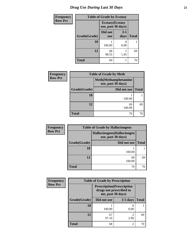### *Drug Use During Last 30 Days* **21**

| <b>Frequency</b> | <b>Table of Grade by Ecstasy</b> |                                               |                 |              |  |
|------------------|----------------------------------|-----------------------------------------------|-----------------|--------------|--|
| <b>Row Pct</b>   |                                  | <b>Ecstasy</b> (Ecstasy<br>use, past 30 days) |                 |              |  |
|                  | Grade(Grade)                     | Did not<br><b>use</b>                         | $3 - 5$<br>days | <b>Total</b> |  |
|                  | 10                               | 100.00                                        | 0.00            |              |  |
|                  | 12                               | 68<br>98.55                                   | 1.45            | 69           |  |
|                  | <b>Total</b>                     | 69                                            |                 | 70           |  |

| <b>Frequency</b> | <b>Table of Grade by Meth</b> |                                                    |              |  |
|------------------|-------------------------------|----------------------------------------------------|--------------|--|
| <b>Row Pct</b>   |                               | <b>Meth</b> (Methamphetamine<br>use, past 30 days) |              |  |
|                  | Grade(Grade)                  | Did not use                                        | <b>Total</b> |  |
|                  | 10                            | 100.00                                             |              |  |
|                  | 12                            | 69<br>100.00                                       | 69           |  |
|                  | <b>Total</b>                  | 70                                                 | 70           |  |

| <b>Frequency</b> | <b>Table of Grade by Hallucinogens</b> |                                                   |              |  |  |
|------------------|----------------------------------------|---------------------------------------------------|--------------|--|--|
| <b>Row Pct</b>   |                                        | Hallucinogens (Hallucinogen<br>use, past 30 days) |              |  |  |
|                  | Grade(Grade)                           | Did not use                                       | <b>Total</b> |  |  |
|                  | <b>10</b>                              | 100.00                                            |              |  |  |
|                  | 12                                     | 69<br>100.00                                      | 69           |  |  |
|                  | <b>Total</b>                           | 70                                                | 70           |  |  |

| Frequency      | <b>Table of Grade by Prescription</b>                                             |             |                        |              |  |  |
|----------------|-----------------------------------------------------------------------------------|-------------|------------------------|--------------|--|--|
| <b>Row Pct</b> | <b>Prescription</b> (Prescription<br>drugs not prescribed to<br>me, past 30 days) |             |                        |              |  |  |
|                | Grade(Grade)                                                                      | Did not use | $3-5$ days             | <b>Total</b> |  |  |
|                | 10                                                                                | 100.00      | 0.00                   |              |  |  |
|                | 12                                                                                | 67<br>97.10 | $\overline{c}$<br>2.90 | 69           |  |  |
|                | Total                                                                             | 68          | $\overline{2}$         | 70           |  |  |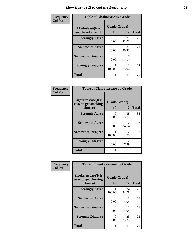| Frequency      | <b>Table of Alcoholease by Grade</b>              |                    |             |              |  |
|----------------|---------------------------------------------------|--------------------|-------------|--------------|--|
| <b>Col Pct</b> | <b>Alcoholease</b> (It is<br>easy to get alcohol) | Grade(Grade)<br>10 | 12          | <b>Total</b> |  |
|                | <b>Strongly Agree</b>                             | 0.00               | 29<br>42.03 | 29           |  |
|                | <b>Somewhat Agree</b>                             | 0<br>0.00          | 21<br>30.43 | 21           |  |
|                | <b>Somewhat Disagree</b>                          | 0.00               | 8<br>11.59  | 8            |  |
|                | <b>Strongly Disagree</b>                          | 100.00             | 11<br>15.94 | 12           |  |
|                | <b>Total</b>                                      |                    | 69          | 70           |  |

| <b>Frequency</b> |  |
|------------------|--|
| Col Pct          |  |

| <b>Table of Cigarettesease by Grade</b>                  |                    |                                     |              |  |
|----------------------------------------------------------|--------------------|-------------------------------------|--------------|--|
| Cigarettesease (It is<br>easy to get smoking<br>tobacco) | Grade(Grade)<br>10 | 12                                  | <b>Total</b> |  |
| <b>Strongly Agree</b>                                    | ∩<br>0.00          | 38<br>55.07                         | 38           |  |
| <b>Somewhat Agree</b>                                    | 0.00               | 17<br>24.64                         | 17           |  |
| <b>Somewhat Disagree</b>                                 | 100.00             | $\mathcal{D}_{\mathcal{L}}$<br>2.90 | 3            |  |
| <b>Strongly Disagree</b>                                 | 0.00               | 12<br>17.39                         | 12           |  |
| <b>Total</b>                                             |                    | 69                                  | 70           |  |

| Frequency      | <b>Table of Smokelessease by Grade</b>                         |                           |                    |              |
|----------------|----------------------------------------------------------------|---------------------------|--------------------|--------------|
| <b>Col Pct</b> | <b>Smokelessease</b> (It is<br>easy to get chewing<br>tobacco) | 10                        | Grade(Grade)<br>12 | <b>Total</b> |
|                | <b>Strongly Agree</b>                                          | 100.00                    | 24<br>34.78        | 25           |
|                | <b>Somewhat Agree</b>                                          | $\mathbf{\Omega}$<br>0.00 | 11<br>15.94        | 11           |
|                | <b>Somewhat Disagree</b>                                       | $\mathbf{\Omega}$<br>0.00 | 11<br>15.94        | 11           |
|                | <b>Strongly Disagree</b>                                       | $\mathbf{\Omega}$<br>0.00 | 23<br>33.33        | 23           |
|                | <b>Total</b>                                                   |                           | 69                 | 70           |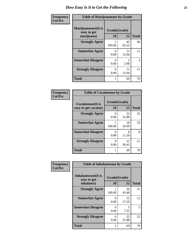| Frequency      | <b>Table of Marijuanaease by Grade</b>            |                      |                                     |                |
|----------------|---------------------------------------------------|----------------------|-------------------------------------|----------------|
| <b>Col Pct</b> | Marijuanaease (It is<br>easy to get<br>marijuana) | Grade(Grade)<br>10   | 12                                  | <b>Total</b>   |
|                | <b>Strongly Agree</b>                             | 100.00               | 45<br>65.22                         | 46             |
|                | <b>Somewhat Agree</b>                             | $\mathbf{0}$<br>0.00 | 11<br>15.94                         | 11             |
|                | <b>Somewhat Disagree</b>                          | 0<br>0.00            | $\mathcal{D}_{\mathcal{L}}$<br>2.90 | $\overline{2}$ |
|                | <b>Strongly Disagree</b>                          | 0<br>0.00            | 11<br>15.94                         | 11             |
|                | <b>Total</b>                                      |                      | 69                                  | 70             |

#### **Frequency Col Pct**

| <b>Table of Cocaineease by Grade</b>              |                          |             |    |  |  |  |
|---------------------------------------------------|--------------------------|-------------|----|--|--|--|
| <b>Cocaineease</b> (It is<br>easy to get cocaine) | Grade(Grade)<br>10<br>12 |             |    |  |  |  |
| <b>Strongly Agree</b>                             | 0.00                     | 22<br>31.88 | 22 |  |  |  |
| <b>Somewhat Agree</b>                             | 100.00                   | 18<br>26.09 | 19 |  |  |  |
| <b>Somewhat Disagree</b>                          | 0.00                     | 8<br>11.59  | 8  |  |  |  |
| <b>Strongly Disagree</b>                          | 0.00                     | 21<br>30.43 | 21 |  |  |  |
| <b>Total</b>                                      |                          | 69          | 70 |  |  |  |

| Frequency      | <b>Table of Inhalantsease by Grade</b>     |              |             |              |  |
|----------------|--------------------------------------------|--------------|-------------|--------------|--|
| <b>Col Pct</b> | <b>Inhalantsease</b> (It is<br>easy to get | Grade(Grade) |             |              |  |
|                | inhalants)                                 | 10           | 12          | <b>Total</b> |  |
|                | <b>Strongly Agree</b>                      | 100.00       | 30<br>43.48 | 31           |  |
|                | <b>Somewhat Agree</b>                      | 0<br>0.00    | 12<br>17.39 | 12           |  |
|                | <b>Somewhat Disagree</b>                   | 0<br>0.00    | 5<br>7.25   | 5            |  |
|                | <b>Strongly Disagree</b>                   | 0<br>0.00    | 22<br>31.88 | 22           |  |
|                | Total                                      |              | 69          | 70           |  |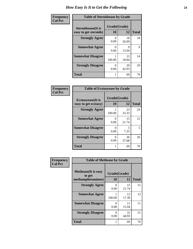| Frequency      | <b>Table of Steroidsease by Grade</b>               |                           |             |              |  |
|----------------|-----------------------------------------------------|---------------------------|-------------|--------------|--|
| <b>Col Pct</b> | <b>Steroidsease</b> (It is<br>easy to get steroids) | Grade(Grade)<br>10        | 12          | <b>Total</b> |  |
|                | <b>Strongly Agree</b>                               | $\mathbf{\Omega}$<br>0.00 | 18<br>26.09 | 18           |  |
|                | <b>Somewhat Agree</b>                               | $\mathbf{\Omega}$<br>0.00 | Q<br>13.04  | 9            |  |
|                | <b>Somewhat Disagree</b>                            | 100.00                    | 13<br>18.84 | 14           |  |
|                | <b>Strongly Disagree</b>                            | 0<br>0.00                 | 29<br>42.03 | 29           |  |
|                | Total                                               |                           | 69          | 70           |  |

| Frequency<br>Col Pct |  |
|----------------------|--|

| <b>Table of Ecstasyease by Grade</b>              |           |                    |    |  |  |  |  |  |
|---------------------------------------------------|-----------|--------------------|----|--|--|--|--|--|
| <b>Ecstasyease</b> (It is<br>easy to get ecstasy) | 10        | Grade(Grade)<br>12 |    |  |  |  |  |  |
| <b>Strongly Agree</b>                             | 100.00    | 23<br>33.33        | 24 |  |  |  |  |  |
| <b>Somewhat Agree</b>                             | 0<br>0.00 | 15<br>21.74        | 15 |  |  |  |  |  |
| <b>Somewhat Disagree</b>                          | 0<br>0.00 | 5<br>7.25          | 5  |  |  |  |  |  |
| <b>Strongly Disagree</b>                          | 0<br>0.00 | 26<br>37.68        | 26 |  |  |  |  |  |
| <b>Total</b>                                      | 1         | 69                 |    |  |  |  |  |  |

| <b>Frequency</b><br>Col Pct |
|-----------------------------|
|                             |

| <b>Table of Methease by Grade</b>                          |                    |             |              |  |
|------------------------------------------------------------|--------------------|-------------|--------------|--|
| <b>Methease</b> (It is easy<br>to get<br>methamphetamines) | Grade(Grade)<br>10 | 12          | <b>Total</b> |  |
| <b>Strongly Agree</b>                                      | 0<br>0.00          | 15<br>21.74 | 15           |  |
| <b>Somewhat Agree</b>                                      | 100.00             | 12<br>17.39 | 13           |  |
| <b>Somewhat Disagree</b>                                   | 0<br>0.00          | 11<br>15.94 | 11           |  |
| <b>Strongly Disagree</b>                                   | 0<br>0.00          | 31<br>44.93 | 31           |  |
| Total                                                      | 1                  | 69          | 70           |  |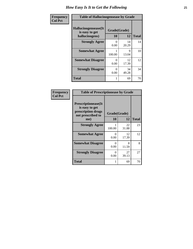| <b>Frequency</b> | <b>Table of Hallucinogensease by Grade</b>               |                    |             |              |  |  |  |
|------------------|----------------------------------------------------------|--------------------|-------------|--------------|--|--|--|
| <b>Col Pct</b>   | Hallucinogensease(It<br>is easy to get<br>hallucinogens) | Grade(Grade)<br>10 | 12          | <b>Total</b> |  |  |  |
|                  | <b>Strongly Agree</b>                                    | $\Omega$<br>0.00   | 14<br>20.29 | 14           |  |  |  |
|                  | <b>Somewhat Agree</b>                                    | 100.00             | 9<br>13.04  | 10           |  |  |  |
|                  | <b>Somewhat Disagree</b>                                 | $\Omega$<br>0.00   | 12<br>17.39 | 12           |  |  |  |
|                  | <b>Strongly Disagree</b>                                 | 0.00               | 34<br>49.28 | 34           |  |  |  |
|                  | <b>Total</b>                                             |                    | 69          | 70           |  |  |  |

#### **Frequency Col Pct**

| <b>Table of Prescriptionease by Grade</b>                                                       |                      |             |              |  |  |
|-------------------------------------------------------------------------------------------------|----------------------|-------------|--------------|--|--|
| <b>Prescriptionease</b> (It<br>is easy to get<br>prescription drugs<br>not prescribed to<br>me) | Grade(Grade)<br>10   | 12          | <b>Total</b> |  |  |
| <b>Strongly Agree</b>                                                                           | 100.00               | 22<br>31.88 | 23           |  |  |
| <b>Somewhat Agree</b>                                                                           | $\mathbf{0}$<br>0.00 | 12<br>17.39 | 12           |  |  |
| <b>Somewhat Disagree</b>                                                                        | 0<br>0.00            | 8<br>11.59  | 8            |  |  |
| <b>Strongly Disagree</b>                                                                        | 0<br>0.00            | 27<br>39.13 | 27           |  |  |
| Total                                                                                           |                      | 69          | 70           |  |  |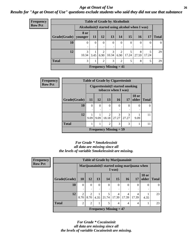#### *Age at Onset of Use* **26** *Results for "Age at Onset of Use" questions exclude students who said they did not use that substance*

| <b>Frequency</b> |              |                 |                                                  | <b>Table of Grade by Alcoholinit</b> |                                            |                        |            |            |       |              |
|------------------|--------------|-----------------|--------------------------------------------------|--------------------------------------|--------------------------------------------|------------------------|------------|------------|-------|--------------|
| <b>Row Pct</b>   |              |                 | Alcoholinit (I started using alcohol when I was) |                                      |                                            |                        |            |            |       |              |
|                  | Grade(Grade) | 8 or<br>younger | <b>11</b>                                        | <b>12</b>                            | 13                                         | 14                     | 15         | <b>16</b>  | 17    | <b>Total</b> |
|                  | <b>10</b>    | $\Omega$        | $\theta$                                         | $\Omega$                             | 0                                          | $\Omega$               | 0          | $\theta$   | 0     | $\Omega$     |
|                  | 12           | 3<br>10.34      | 3.45                                             | $\mathfrak{D}$<br>6.90               | 3<br>10.34                                 | $\overline{2}$<br>6.90 | 5<br>17.24 | 8<br>27.59 | 17.24 | 29           |
|                  | <b>Total</b> | 3               |                                                  | $\mathfrak{D}$                       | 3                                          | $\mathfrak{D}$         | 5          | 8          | 5     | 29           |
|                  |              |                 |                                                  |                                      | <b>Frequency Missing <math>= 41</math></b> |                        |            |            |       |              |

| <b>Frequency</b> | <b>Table of Grade by Cigarettesinit</b>                 |               |          |                         |                                            |                        |                       |              |
|------------------|---------------------------------------------------------|---------------|----------|-------------------------|--------------------------------------------|------------------------|-----------------------|--------------|
| <b>Row Pct</b>   | Cigarettesinit(I started smoking<br>tobacco when I was) |               |          |                         |                                            |                        |                       |              |
|                  | Grade(Grade)                                            | 11            | 12       | 13                      | <b>16</b>                                  | 17                     | <b>18 or</b><br>older | <b>Total</b> |
|                  | 10                                                      | $\Omega$<br>٠ | $\Omega$ | $\theta$<br>٠           | $\theta$                                   | $\Omega$               | $\Omega$              | $\Omega$     |
|                  | 12                                                      | 9.09          | 9.09     | $\overline{2}$<br>18.18 | 3<br>27.27                                 | $\mathcal{R}$<br>27.27 | 9.09                  | 11           |
|                  | <b>Total</b>                                            | 1             |          | 2                       | 3                                          | 3                      |                       | 11           |
|                  |                                                         |               |          |                         | <b>Frequency Missing <math>= 59</math></b> |                        |                       |              |

#### *For Grade \* Smokelessinit all data are missing since all the levels of variable Smokelessinit are missing.*

| <b>Frequency</b> | <b>Table of Grade by Marijuanainit</b> |                        |                                                        |          |                               |            |            |            |                       |              |  |
|------------------|----------------------------------------|------------------------|--------------------------------------------------------|----------|-------------------------------|------------|------------|------------|-----------------------|--------------|--|
| <b>Row Pct</b>   |                                        |                        | Marijuanainit(I started using marijuana when<br>I was) |          |                               |            |            |            |                       |              |  |
|                  | Grade(Grade)                           | 10                     | <b>12</b>                                              | 13       | <b>14</b>                     | 15         | <b>16</b>  | <b>17</b>  | <b>18 or</b><br>older | <b>Total</b> |  |
|                  | 10                                     | 0<br>٠                 | $\Omega$                                               | $\theta$ | $\overline{0}$<br>٠           | $\Omega$   | $\Omega$   | $\Omega$   | $\Omega$              |              |  |
|                  | 12                                     | $\overline{2}$<br>8.70 | $\mathfrak{D}$<br>8.70                                 |          | 5<br>$4.35$   21.74           | 4<br>17.39 | 4<br>17.39 | 4<br>17.39 | 4.35                  | 23           |  |
|                  | <b>Total</b>                           | $\mathfrak{D}$         | 2                                                      |          | 5                             | 4          | 4          | 4          |                       | 23           |  |
|                  |                                        |                        |                                                        |          | <b>Frequency Missing = 47</b> |            |            |            |                       |              |  |

*For Grade \* Cocaineinit all data are missing since all the levels of variable Cocaineinit are missing.*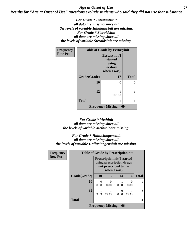#### *Age at Onset of Use* **27** *Results for "Age at Onset of Use" questions exclude students who said they did not use that substance*

*For Grade \* Inhalantsinit all data are missing since all the levels of variable Inhalantsinit are missing. For Grade \* Steroidsinit all data are missing since all the levels of variable Steroidsinit are missing.*

| <b>Frequency</b> | <b>Table of Grade by Ecstasyinit</b> |                                                             |              |  |  |  |  |
|------------------|--------------------------------------|-------------------------------------------------------------|--------------|--|--|--|--|
| <b>Row Pct</b>   |                                      | Ecstasyinit(I<br>started<br>using<br>ecstasy<br>when I was) |              |  |  |  |  |
|                  | Grade(Grade)                         | 17                                                          | <b>Total</b> |  |  |  |  |
|                  | 10                                   | ∩                                                           | 0            |  |  |  |  |
|                  | 12                                   | 100.00                                                      |              |  |  |  |  |
|                  | <b>Total</b>                         |                                                             |              |  |  |  |  |
|                  |                                      | Frequency Missing $= 69$                                    |              |  |  |  |  |

#### *For Grade \* Methinit all data are missing since all the levels of variable Methinit are missing.*

*For Grade \* Hallucinogensinit all data are missing since all the levels of variable Hallucinogensinit are missing.*

| <b>Frequency</b> | <b>Table of Grade by Prescriptioninit</b> |                                                                                        |           |                          |       |              |  |  |  |
|------------------|-------------------------------------------|----------------------------------------------------------------------------------------|-----------|--------------------------|-------|--------------|--|--|--|
| <b>Row Pct</b>   |                                           | <b>Prescriptioninit (I started</b><br>using prescription drugs<br>not prescribed to me |           |                          |       |              |  |  |  |
|                  | Grade(Grade)                              | 10                                                                                     | 13        | 14                       | 16    | <b>Total</b> |  |  |  |
|                  | 10                                        | 0.00                                                                                   | 0<br>0.00 | 100.00                   | 0.00  |              |  |  |  |
|                  | 12                                        | 33.33                                                                                  | 33.33     | 0<br>0.00                | 33.33 | 3            |  |  |  |
|                  | <b>Total</b>                              |                                                                                        |           |                          |       | 4            |  |  |  |
|                  |                                           |                                                                                        |           | Frequency Missing $= 66$ |       |              |  |  |  |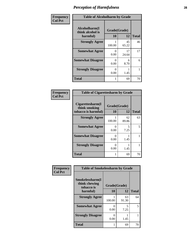| Frequency      | <b>Table of Alcoholharm by Grade</b>          |                           |             |              |  |  |  |
|----------------|-----------------------------------------------|---------------------------|-------------|--------------|--|--|--|
| <b>Col Pct</b> | Alcoholharm(I<br>think alcohol is<br>harmful) | Grade(Grade)<br>10        | 12          | <b>Total</b> |  |  |  |
|                | <b>Strongly Agree</b>                         | 100.00                    | 45<br>65.22 | 46           |  |  |  |
|                | <b>Somewhat Agree</b>                         | $\mathbf{\Omega}$<br>0.00 | 17<br>24.64 | 17           |  |  |  |
|                | <b>Somewhat Disagree</b>                      | $\mathbf{\Omega}$<br>0.00 | 6<br>8.70   | 6            |  |  |  |
|                | <b>Strongly Disagree</b>                      | 0<br>0.00                 | 1.45        |              |  |  |  |
|                | <b>Total</b>                                  |                           | 69          | 70           |  |  |  |

#### **Frequency Col Pct**

| <b>Table of Cigarettesharm by Grade</b>                  |                    |             |              |  |  |
|----------------------------------------------------------|--------------------|-------------|--------------|--|--|
| Cigarettesharm(I<br>think smoking<br>tobacco is harmful) | Grade(Grade)<br>10 | 12          | <b>Total</b> |  |  |
| <b>Strongly Agree</b>                                    | 100.00             | 62<br>89.86 | 63           |  |  |
| <b>Somewhat Agree</b>                                    | 0<br>0.00          | 5<br>7.25   | 5            |  |  |
| <b>Somewhat Disagree</b>                                 | 0<br>0.00          | 1.45        |              |  |  |
| <b>Strongly Disagree</b>                                 | 0<br>0.00          | 1.45        |              |  |  |
| <b>Total</b>                                             | 1                  | 69          | 70           |  |  |

|                | <b>Table of Smokelessharm by Grade</b>         |              |             |              |  |
|----------------|------------------------------------------------|--------------|-------------|--------------|--|
| Frequency      |                                                |              |             |              |  |
| <b>Col Pct</b> | Smokelessharm(I<br>think chewing<br>tobacco is | Grade(Grade) |             |              |  |
|                | harmful)                                       | 10           | 12          | <b>Total</b> |  |
|                | <b>Strongly Agree</b>                          | 100.00       | 63<br>91.30 | 64           |  |
|                | <b>Somewhat Agree</b>                          | 0<br>0.00    | 5<br>7.25   | 5            |  |
|                | <b>Strongly Disagree</b>                       | 0<br>0.00    | 1.45        |              |  |
|                | <b>Total</b>                                   | 1            | 69          | 70           |  |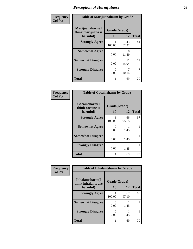| Frequency      | <b>Table of Marijuanaharm by Grade</b>            |                           |             |              |
|----------------|---------------------------------------------------|---------------------------|-------------|--------------|
| <b>Col Pct</b> | Marijuanaharm(I<br>think marijuana is<br>harmful) | Grade(Grade)<br>10        | 12          | <b>Total</b> |
|                | <b>Strongly Agree</b>                             | 100.00                    | 43<br>62.32 | 44           |
|                | <b>Somewhat Agree</b>                             | $\mathbf{0}$<br>0.00      | 8<br>11.59  | 8            |
|                | <b>Somewhat Disagree</b>                          | $\mathbf{\Omega}$<br>0.00 | 11<br>15.94 | 11           |
|                | <b>Strongly Disagree</b>                          | $\mathbf{0}$<br>0.00      | 10.14       | 7            |
|                | <b>Total</b>                                      | 1                         | 69          | 70           |

#### **Frequency Col Pct**

| <b>Table of Cocaineharm by Grade</b>          |                    |              |    |  |  |  |
|-----------------------------------------------|--------------------|--------------|----|--|--|--|
| Cocaineharm(I<br>think cocaine is<br>harmful) | Grade(Grade)<br>10 | <b>Total</b> |    |  |  |  |
| <b>Strongly Agree</b>                         | 100.00             | 66<br>95.65  | 67 |  |  |  |
| <b>Somewhat Agree</b>                         | 0<br>0.00          | 1.45         |    |  |  |  |
| <b>Somewhat Disagree</b>                      | 0<br>0.00          | 1.45         |    |  |  |  |
| <b>Strongly Disagree</b>                      | 0<br>0.00          | 1.45         |    |  |  |  |
| <b>Total</b>                                  |                    | 69           | 70 |  |  |  |

| Frequency      | <b>Table of Inhalantsharm by Grade</b>  |              |             |              |
|----------------|-----------------------------------------|--------------|-------------|--------------|
| <b>Col Pct</b> | Inhalantsharm(I)<br>think inhalants are | Grade(Grade) |             |              |
|                | harmful)                                | 10           | 12          | <b>Total</b> |
|                | <b>Strongly Agree</b>                   | 100.00       | 67<br>97.10 | 68           |
|                | <b>Somewhat Disagree</b>                | 0.00         | 1.45        |              |
|                | <b>Strongly Disagree</b>                | 0.00         | 1.45        |              |
|                | <b>Total</b>                            |              | 69          | 70           |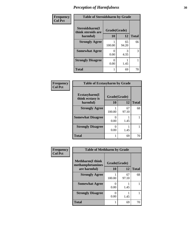| Frequency      | <b>Table of Steroidsharm by Grade</b> |              |             |              |
|----------------|---------------------------------------|--------------|-------------|--------------|
| <b>Col Pct</b> | Steroidsharm(I<br>think steroids are  | Grade(Grade) |             |              |
|                | harmful)                              | 10           | 12          | <b>Total</b> |
|                | <b>Strongly Agree</b>                 | 100.00       | 65<br>94.20 | 66           |
|                | <b>Somewhat Agree</b>                 | 0.00         | 3<br>4.35   | 3            |
|                | <b>Strongly Disagree</b>              | 0.00         | 1.45        |              |
|                | <b>Total</b>                          |              | 69          | 70           |

| Frequency      | <b>Table of Ecstasyharm by Grade</b>              |           |             |              |
|----------------|---------------------------------------------------|-----------|-------------|--------------|
| <b>Col Pct</b> | Ecstasyharm(I<br>Grade(Grade)<br>think ecstasy is |           |             |              |
|                | harmful)                                          | 10        | 12          | <b>Total</b> |
|                | <b>Strongly Agree</b>                             | 100.00    | 67<br>97.10 | 68           |
|                | <b>Somewhat Disagree</b>                          | 0.00      | 1.45        |              |
|                | <b>Strongly Disagree</b>                          | 0<br>0.00 | 1.45        |              |
|                | <b>Total</b>                                      |           | 69          | 70           |

| Frequency      | <b>Table of Methharm by Grade</b>                            |                       |             |              |
|----------------|--------------------------------------------------------------|-----------------------|-------------|--------------|
| <b>Col Pct</b> | <b>Methharm</b> (I think<br>methamphetamines<br>are harmful) | Grade(Grade)<br>10    | 12          | <b>Total</b> |
|                | <b>Strongly Agree</b>                                        | 100.00                | 67<br>97.10 | 68           |
|                | <b>Somewhat Agree</b>                                        | $\mathcal{O}$<br>0.00 | 1.45        |              |
|                | <b>Strongly Disagree</b>                                     | $\theta$<br>0.00      | 1.45        |              |
|                | <b>Total</b>                                                 |                       | 69          | 70           |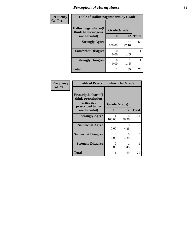| Frequency      | <b>Table of Hallucinogensharm by Grade</b> |              |             |              |
|----------------|--------------------------------------------|--------------|-------------|--------------|
| <b>Col Pct</b> | Hallucinogensharm(I<br>think hallucinogens | Grade(Grade) |             |              |
|                | are harmful)                               | 10           | 12          | <b>Total</b> |
|                | <b>Strongly Agree</b>                      | 100.00       | 67<br>97.10 | 68           |
|                | <b>Somewhat Disagree</b>                   | 0.00         | 1.45        |              |
|                | <b>Strongly Disagree</b>                   | 0.00         | 1.45        |              |
|                | <b>Total</b>                               |              | 69          | 70           |

| Frequency      | <b>Table of Prescriptionharm by Grade</b>                                         |                  |             |              |
|----------------|-----------------------------------------------------------------------------------|------------------|-------------|--------------|
| <b>Col Pct</b> | <b>Prescriptionharm(I)</b><br>think prescription<br>drugs not<br>prescribed to me | Grade(Grade)     |             |              |
|                | are harmful)                                                                      | 10               | 12          | <b>Total</b> |
|                | <b>Strongly Agree</b>                                                             | 100.00           | 60<br>86.96 | 61           |
|                | <b>Somewhat Agree</b>                                                             | $\Omega$<br>0.00 | 3<br>4.35   | 3            |
|                | <b>Somewhat Disagree</b>                                                          | 0<br>0.00        | 5<br>7.25   | 5            |
|                | <b>Strongly Disagree</b>                                                          | $\Omega$<br>0.00 | 1.45        |              |
|                | Total                                                                             | 1                | 69          | 70           |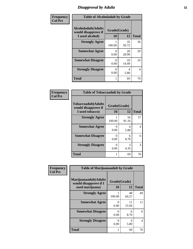### *Disapproval by Adults* **32**

| Frequency      | <b>Table of Alcoholadult by Grade</b>                                 |                    |             |              |
|----------------|-----------------------------------------------------------------------|--------------------|-------------|--------------|
| <b>Col Pct</b> | <b>Alcoholadult</b> (Adults<br>would disapprove if<br>I used alcohol) | Grade(Grade)<br>10 | 12          | <b>Total</b> |
|                | <b>Strongly Agree</b>                                                 | 100.00             | 35<br>50.72 | 36           |
|                | <b>Somewhat Agree</b>                                                 | 0<br>0.00          | 20<br>28.99 | 20           |
|                | <b>Somewhat Disagree</b>                                              | 0<br>0.00          | 10<br>14.49 | 10           |
|                | <b>Strongly Disagree</b>                                              | 0<br>0.00          | 4<br>5.80   | 4            |
|                | <b>Total</b>                                                          | 1                  | 69          | 70           |

#### **Frequency Col Pct**

| <b>Table of Tobaccoadult by Grade</b>                                 |           |                    |              |  |  |
|-----------------------------------------------------------------------|-----------|--------------------|--------------|--|--|
| <b>Tobaccoadult</b> (Adults<br>would disapprove if<br>I used tobacco) | 10        | Grade(Grade)<br>12 | <b>Total</b> |  |  |
| <b>Strongly Agree</b>                                                 | 100.00    | 56<br>81.16        | 57           |  |  |
| <b>Somewhat Agree</b>                                                 | 0<br>0.00 | 4<br>5.80          | 4            |  |  |
| <b>Somewhat Disagree</b>                                              | 0<br>0.00 | 6<br>8.70          | 6            |  |  |
| <b>Strongly Disagree</b>                                              | 0<br>0.00 | 3<br>4.35          | 3            |  |  |
| <b>Total</b>                                                          |           | 69                 | 70           |  |  |

| Frequency      | <b>Table of Marijuanaadult by Grade</b>                           |                      |             |                |
|----------------|-------------------------------------------------------------------|----------------------|-------------|----------------|
| <b>Col Pct</b> | Marijuanaadult(Adults<br>would disapprove if I<br>used marijuana) | Grade(Grade)<br>10   | 12          | <b>Total</b>   |
|                | <b>Strongly Agree</b>                                             | 100.00               | 48<br>69.57 | 49             |
|                | <b>Somewhat Agree</b>                                             | $\mathbf{0}$<br>0.00 | 11<br>15.94 | 11             |
|                | <b>Somewhat Disagree</b>                                          | 0<br>0.00            | 6<br>8.70   | 6              |
|                | <b>Strongly Disagree</b>                                          | 0<br>0.00            | 4<br>5.80   | $\overline{4}$ |
|                | <b>Total</b>                                                      |                      | 69          | 70             |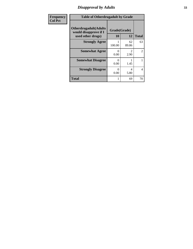### *Disapproval by Adults* **33**

| <b>Frequency</b> | <b>Table of Otherdrugadult by Grade</b>                                     |                      |             |                |
|------------------|-----------------------------------------------------------------------------|----------------------|-------------|----------------|
| <b>Col Pct</b>   | <b>Otherdrugadult</b> (Adults<br>would disapprove if I<br>used other drugs) | Grade(Grade)<br>10   | 12          | <b>Total</b>   |
|                  | <b>Strongly Agree</b>                                                       | 100.00               | 62<br>89.86 | 63             |
|                  | <b>Somewhat Agree</b>                                                       | $\mathbf{0}$<br>0.00 | 2.90        | 2              |
|                  | <b>Somewhat Disagree</b>                                                    | 0<br>0.00            | 1.45        |                |
|                  | <b>Strongly Disagree</b>                                                    | 0<br>0.00            | 4<br>5.80   | $\overline{4}$ |
|                  | <b>Total</b>                                                                |                      | 69          | 70             |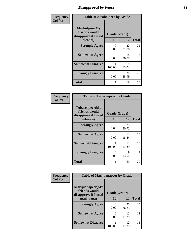### *Disapproval by Peers* **34**

| Frequency      | <b>Table of Alcoholpeer by Grade</b>                                |                      |             |              |
|----------------|---------------------------------------------------------------------|----------------------|-------------|--------------|
| <b>Col Pct</b> | Alcoholpeer(My<br>friends would<br>disapprove if I used<br>alcohol) | Grade(Grade)<br>10   | 12          | <b>Total</b> |
|                | <b>Strongly Agree</b>                                               | ∩                    | 22          | 22           |
|                |                                                                     | 0.00                 | 31.88       |              |
|                | <b>Somewhat Agree</b>                                               | $\mathbf{0}$<br>0.00 | 18<br>26.09 | 18           |
|                | <b>Somewhat Disagree</b>                                            | 100.00               | 9<br>13.04  | 10           |
|                | <b>Strongly Disagree</b>                                            | $\mathbf{0}$<br>0.00 | 20<br>28.99 | 20           |
|                | Total                                                               |                      | 69          | 70           |

| Frequency      | <b>Table of Tobaccopeer by Grade</b>                                |                    |             |              |
|----------------|---------------------------------------------------------------------|--------------------|-------------|--------------|
| <b>Col Pct</b> | Tobaccopeer(My<br>friends would<br>disapprove if I used<br>tobacco) | Grade(Grade)<br>10 | 12          | <b>Total</b> |
|                | <b>Strongly Agree</b>                                               | 0<br>0.00          | 35<br>50.72 | 35           |
|                | <b>Somewhat Agree</b>                                               | 0<br>0.00          | 13<br>18.84 | 13           |
|                | <b>Somewhat Disagree</b>                                            | 100.00             | 12<br>17.39 | 13           |
|                | <b>Strongly Disagree</b>                                            | 0<br>0.00          | 9<br>13.04  | 9            |
|                | <b>Total</b>                                                        |                    | 69          | 70           |

| Frequency      | <b>Table of Marijuanapeer by Grade</b>                    |              |             |              |
|----------------|-----------------------------------------------------------|--------------|-------------|--------------|
| <b>Col Pct</b> | Marijuanapeer(My<br>friends would<br>disapprove if I used | Grade(Grade) |             |              |
|                | marijuana)                                                | 10           | 12          | <b>Total</b> |
|                | <b>Strongly Agree</b>                                     | 0<br>0.00    | 25<br>36.23 | 25           |
|                | <b>Somewhat Agree</b>                                     | 0<br>0.00    | 12<br>17.39 | 12           |
|                | <b>Somewhat Disagree</b>                                  | 100.00       | 12<br>17.39 | 13           |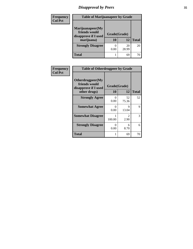### *Disapproval by Peers* **35**

| Frequency<br><b>Col Pct</b> | <b>Table of Marijuanapeer by Grade</b>                                  |                    |             |              |
|-----------------------------|-------------------------------------------------------------------------|--------------------|-------------|--------------|
|                             | Marijuanapeer(My<br>friends would<br>disapprove if I used<br>marijuana) | Grade(Grade)<br>10 | 12          | <b>Total</b> |
|                             | <b>Strongly Disagree</b>                                                | 0.00               | 20<br>28.99 | 20           |
|                             | Total                                                                   |                    | 69          |              |

| Frequency      | <b>Table of Otherdrugpeer by Grade</b>                                    |                           |                        |              |
|----------------|---------------------------------------------------------------------------|---------------------------|------------------------|--------------|
| <b>Col Pct</b> | Otherdrugpeer(My<br>friends would<br>disapprove if I used<br>other drugs) | Grade(Grade)<br>10        | 12                     | <b>Total</b> |
|                | <b>Strongly Agree</b>                                                     | 0<br>0.00                 | 52<br>75.36            | 52           |
|                | <b>Somewhat Agree</b>                                                     | 0<br>0.00                 | 9<br>13.04             | 9            |
|                | <b>Somewhat Disagree</b>                                                  | 100.00                    | $\mathfrak{D}$<br>2.90 | 3            |
|                | <b>Strongly Disagree</b>                                                  | $\mathbf{\Omega}$<br>0.00 | 6<br>8.70              | 6            |
|                | Total                                                                     |                           | 69                     | 70           |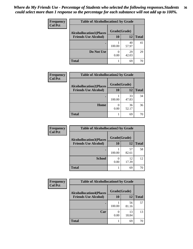#### *Where do My Friends Use - Percentage of Students who selected the following responses.Students could select more than 1 response so the percentage for each substance will not add up to 100%.* **36**

| Frequency      | <b>Table of Alcohollocation1 by Grade</b><br>Grade(Grade)<br><b>Alcohollocation1(Places</b> |        |             |              |  |
|----------------|---------------------------------------------------------------------------------------------|--------|-------------|--------------|--|
| <b>Col Pct</b> |                                                                                             |        |             |              |  |
|                | <b>Friends Use Alcohol)</b>                                                                 | 10     | 12          | <b>Total</b> |  |
|                |                                                                                             | 100.00 | 40<br>57.97 | 41           |  |
|                | Do Not Use                                                                                  | 0.00   | 29<br>42.03 | 29           |  |
|                | <b>Total</b>                                                                                |        | 69          | 70           |  |

| <b>Frequency</b> | <b>Table of Alcohollocation2 by Grade</b> |                          |             |              |
|------------------|-------------------------------------------|--------------------------|-------------|--------------|
| <b>Col Pct</b>   | <b>Alcohollocation2(Places</b>            | Grade(Grade)             |             |              |
|                  | <b>Friends Use Alcohol)</b>               | <b>10</b>                | 12          | <b>Total</b> |
|                  |                                           | 100.00                   | 33<br>47.83 | 34           |
|                  | Home                                      | $\left( \right)$<br>0.00 | 36<br>52.17 | 36           |
|                  | <b>Total</b>                              |                          | 69          | 70           |

| Frequency<br><b>Col Pct</b> | <b>Table of Alcohollocation 3 by Grade</b>                    |                    |             |              |
|-----------------------------|---------------------------------------------------------------|--------------------|-------------|--------------|
|                             | <b>Alcohollocation3(Places</b><br><b>Friends Use Alcohol)</b> | Grade(Grade)<br>10 | 12          | <b>Total</b> |
|                             |                                                               | 100.00             | 57<br>82.61 | 58           |
|                             | <b>School</b>                                                 | 0.00               | 12<br>17.39 | 12           |
|                             | <b>Total</b>                                                  |                    | 69          | 70           |

| <b>Frequency</b> | <b>Table of Alcohollocation4 by Grade</b>      |        |             |              |  |
|------------------|------------------------------------------------|--------|-------------|--------------|--|
| <b>Col Pct</b>   | Grade(Grade)<br><b>Alcohollocation4(Places</b> |        |             |              |  |
|                  | <b>Friends Use Alcohol)</b>                    | 10     | 12          | <b>Total</b> |  |
|                  |                                                | 100.00 | 56<br>81.16 | 57           |  |
|                  | Car                                            | 0.00   | 13<br>18.84 | 13           |  |
|                  | <b>Total</b>                                   |        | 69          | 70           |  |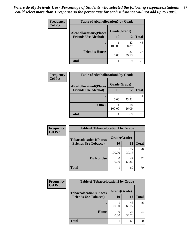| Frequency<br><b>Col Pct</b> | <b>Table of Alcohollocation5 by Grade</b>      |        |             |              |  |
|-----------------------------|------------------------------------------------|--------|-------------|--------------|--|
|                             | Grade(Grade)<br><b>Alcohollocation5(Places</b> |        |             |              |  |
|                             | <b>Friends Use Alcohol)</b>                    | 10     | 12          | <b>Total</b> |  |
|                             |                                                | 100.00 | 42<br>60.87 | 43           |  |
|                             | <b>Friend's House</b>                          | 0.00   | 27<br>39.13 | 27           |  |
|                             | <b>Total</b>                                   |        | 69          | 70           |  |

| <b>Frequency</b> | <b>Table of Alcohollocation6 by Grade</b> |                          |             |              |
|------------------|-------------------------------------------|--------------------------|-------------|--------------|
| <b>Col Pct</b>   | <b>Alcohollocation6(Places</b>            | Grade(Grade)             |             |              |
|                  | <b>Friends Use Alcohol)</b>               | <b>10</b>                | 12          | <b>Total</b> |
|                  |                                           | $\left( \right)$<br>0.00 | 51<br>73.91 | 51           |
|                  | <b>Other</b>                              | 100.00                   | 18<br>26.09 | 19           |
|                  | <b>Total</b>                              |                          | 69          | 70           |

| Frequency      | <b>Table of Tobaccolocation1 by Grade</b> |              |             |              |
|----------------|-------------------------------------------|--------------|-------------|--------------|
| <b>Col Pct</b> | <b>Tobaccolocation1(Places</b>            | Grade(Grade) |             |              |
|                | <b>Friends Use Tobacco)</b>               | 10           | 12          | <b>Total</b> |
|                |                                           | 100.00       | 27<br>39.13 | 28           |
|                | Do Not Use                                | 0.00         | 42<br>60.87 | 42           |
|                | <b>Total</b>                              |              | 69          | 70           |

| <b>Frequency</b> | <b>Table of Tobaccolocation2 by Grade</b> |              |             |              |  |
|------------------|-------------------------------------------|--------------|-------------|--------------|--|
| <b>Col Pct</b>   | <b>Tobaccolocation2(Places</b>            | Grade(Grade) |             |              |  |
|                  | <b>Friends Use Tobacco)</b>               | 10           | 12          | <b>Total</b> |  |
|                  |                                           | 100.00       | 45<br>65.22 | 46           |  |
|                  | Home                                      | 0.00         | 24<br>34.78 | 24           |  |
|                  | <b>Total</b>                              |              | 69          |              |  |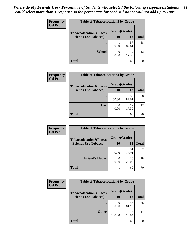| Frequency      | <b>Table of Tobaccolocation3 by Grade</b> |        |              |              |  |
|----------------|-------------------------------------------|--------|--------------|--------------|--|
| <b>Col Pct</b> | <b>Tobaccolocation3(Places</b>            |        | Grade(Grade) |              |  |
|                | <b>Friends Use Tobacco)</b>               | 10     | 12           | <b>Total</b> |  |
|                |                                           | 100.00 | 57<br>82.61  | 58           |  |
|                | <b>School</b>                             | 0.00   | 12<br>17.39  | 12           |  |
|                | <b>Total</b>                              |        | 69           | 70           |  |

| Frequency      | <b>Table of Tobaccolocation4 by Grade</b> |              |             |              |
|----------------|-------------------------------------------|--------------|-------------|--------------|
| <b>Col Pct</b> | <b>Tobaccolocation4(Places</b>            | Grade(Grade) |             |              |
|                | <b>Friends Use Tobacco)</b>               | 10           | 12          | <b>Total</b> |
|                |                                           | 100.00       | 57<br>82.61 | 58           |
|                | Car                                       | 0.00         | 12<br>17.39 | 12           |
|                | <b>Total</b>                              |              | 69          | 70           |

| <b>Frequency</b> | <b>Table of Tobaccolocation5 by Grade</b> |              |             |              |
|------------------|-------------------------------------------|--------------|-------------|--------------|
| <b>Col Pct</b>   | <b>Tobaccolocation5(Places</b>            | Grade(Grade) |             |              |
|                  | <b>Friends Use Tobacco)</b>               | 10           | 12          | <b>Total</b> |
|                  |                                           | 100.00       | 51<br>73.91 | 52           |
|                  | <b>Friend's House</b>                     | 0.00         | 18<br>26.09 | 18           |
|                  | <b>Total</b>                              |              | 69          | 70           |

| Frequency      | <b>Table of Tobaccolocation6 by Grade</b> |              |             |              |
|----------------|-------------------------------------------|--------------|-------------|--------------|
| <b>Col Pct</b> | <b>Tobaccolocation6(Places</b>            | Grade(Grade) |             |              |
|                | <b>Friends Use Tobacco)</b>               | 10           | <b>12</b>   | <b>Total</b> |
|                |                                           | 0.00         | 56<br>81.16 | 56           |
|                | <b>Other</b>                              | 100.00       | 13<br>18.84 | 14           |
|                | <b>Total</b>                              |              | 69          | 70           |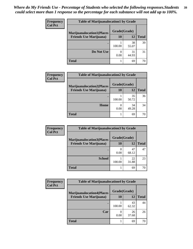| Frequency<br><b>Col Pct</b> | <b>Table of Marijuanalocation1 by Grade</b> |              |             |              |
|-----------------------------|---------------------------------------------|--------------|-------------|--------------|
|                             | <b>Marijuanalocation1(Places</b>            | Grade(Grade) |             |              |
|                             | <b>Friends Use Marijuana</b> )              | <b>10</b>    | 12          | <b>Total</b> |
|                             |                                             | 100.00       | 38<br>55.07 | 39           |
|                             | Do Not Use                                  | 0.00         | 31<br>44.93 | 31           |
|                             | <b>Total</b>                                |              | 69          | 70           |

| Frequency      | <b>Table of Marijuanalocation2 by Grade</b> |              |             |              |
|----------------|---------------------------------------------|--------------|-------------|--------------|
| <b>Col Pct</b> | <b>Marijuanalocation2(Places</b>            | Grade(Grade) |             |              |
|                | <b>Friends Use Marijuana</b> )              | <b>10</b>    | 12          | <b>Total</b> |
|                |                                             | 100.00       | 35<br>50.72 | 36           |
|                | Home                                        | 0.00         | 34<br>49.28 | 34           |
|                | <b>Total</b>                                |              | 69          | 70           |

| Frequency      | <b>Table of Marijuanalocation3 by Grade</b> |              |             |              |
|----------------|---------------------------------------------|--------------|-------------|--------------|
| <b>Col Pct</b> | <b>Marijuanalocation3(Places</b>            | Grade(Grade) |             |              |
|                | <b>Friends Use Marijuana</b> )              | 10           | 12          | <b>Total</b> |
|                |                                             | 0.00         | 47<br>68.12 | 47           |
|                | <b>School</b>                               | 100.00       | 22<br>31.88 | 23           |
|                | <b>Total</b>                                |              | 69          | 70           |

| <b>Frequency</b> | <b>Table of Marijuanalocation4 by Grade</b> |        |              |              |
|------------------|---------------------------------------------|--------|--------------|--------------|
| <b>Col Pct</b>   | <b>Marijuanalocation4(Places</b>            |        | Grade(Grade) |              |
|                  | <b>Friends Use Marijuana</b> )              | 10     | 12           | <b>Total</b> |
|                  |                                             | 100.00 | 43<br>62.32  | 44           |
|                  | Car                                         | 0.00   | 26<br>37.68  | 26           |
|                  | <b>Total</b>                                |        | 69           | 70           |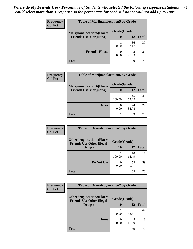| <b>Frequency</b> | <b>Table of Marijuanalocation5 by Grade</b> |              |             |              |
|------------------|---------------------------------------------|--------------|-------------|--------------|
| <b>Col Pct</b>   | <b>Marijuanalocation5(Places</b>            | Grade(Grade) |             |              |
|                  | <b>Friends Use Marijuana</b> )              | 10           | 12          | <b>Total</b> |
|                  |                                             | 100.00       | 36<br>52.17 | 37           |
|                  | <b>Friend's House</b>                       | 0.00         | 33<br>47.83 | 33           |
|                  | <b>Total</b>                                |              | 69          |              |

| <b>Frequency</b> | <b>Table of Marijuanalocation6 by Grade</b> |              |             |              |
|------------------|---------------------------------------------|--------------|-------------|--------------|
| <b>Col Pct</b>   | <b>Marijuanalocation6(Places</b>            | Grade(Grade) |             |              |
|                  | <b>Friends Use Marijuana</b> )              | 10           | 12          | <b>Total</b> |
|                  |                                             | 100.00       | 45<br>65.22 | 46           |
|                  | <b>Other</b>                                | 0.00         | 24<br>34.78 | 24           |
|                  | <b>Total</b>                                |              | 69          | 70           |

| <b>Frequency</b> | <b>Table of Otherdruglocation1 by Grade</b>                          |              |             |              |
|------------------|----------------------------------------------------------------------|--------------|-------------|--------------|
| <b>Col Pct</b>   | <b>Otherdruglocation1(Places</b><br><b>Friends Use Other Illegal</b> | Grade(Grade) |             |              |
|                  | Drugs)                                                               | 10           | 12          | <b>Total</b> |
|                  |                                                                      | 100.00       | 10<br>14.49 | 11           |
|                  | Do Not Use                                                           | 0.00         | 59<br>85.51 | 59           |
|                  | <b>Total</b>                                                         |              | 69          | 70           |

| <b>Frequency</b> | <b>Table of Otherdruglocation2 by Grade</b>                          |              |             |              |
|------------------|----------------------------------------------------------------------|--------------|-------------|--------------|
| <b>Col Pct</b>   | <b>Otherdruglocation2(Places</b><br><b>Friends Use Other Illegal</b> | Grade(Grade) |             |              |
|                  | Drugs)                                                               | 10           | 12          | <b>Total</b> |
|                  |                                                                      | 100.00       | 61<br>88.41 | 62           |
|                  | Home                                                                 | 0.00         | 8<br>11.59  | 8            |
|                  | <b>Total</b>                                                         |              | 69          | 70           |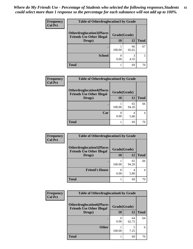| <b>Frequency</b> | <b>Table of Otherdruglocation 3 by Grade</b>                         |              |             |              |
|------------------|----------------------------------------------------------------------|--------------|-------------|--------------|
| <b>Col Pct</b>   | <b>Otherdruglocation3(Places</b><br><b>Friends Use Other Illegal</b> | Grade(Grade) |             |              |
|                  | Drugs)                                                               | 10           | 12          | <b>Total</b> |
|                  |                                                                      | 100.00       | 66<br>95.65 | 67           |
|                  | <b>School</b>                                                        | 0.00         | 3<br>4.35   |              |
|                  | <b>Total</b>                                                         |              | 69          | 70           |

| <b>Frequency</b> | <b>Table of Otherdruglocation4 by Grade</b>                          |              |             |              |
|------------------|----------------------------------------------------------------------|--------------|-------------|--------------|
| <b>Col Pct</b>   | <b>Otherdruglocation4(Places</b><br><b>Friends Use Other Illegal</b> | Grade(Grade) |             |              |
|                  | Drugs)                                                               | 10           | 12          | <b>Total</b> |
|                  |                                                                      | 100.00       | 65<br>94.20 | 66           |
|                  | Car                                                                  | 0.00         | 4<br>5.80   | 4            |
|                  | <b>Total</b>                                                         |              | 69          | 70           |

| Frequency      | <b>Table of Otherdruglocation5 by Grade</b>                          |              |             |              |
|----------------|----------------------------------------------------------------------|--------------|-------------|--------------|
| <b>Col Pct</b> | <b>Otherdruglocation5(Places</b><br><b>Friends Use Other Illegal</b> | Grade(Grade) |             |              |
|                | Drugs)                                                               | 10           | 12          | <b>Total</b> |
|                |                                                                      | 100.00       | 65<br>94.20 | 66           |
|                | <b>Friend's House</b>                                                | 0.00         | 4<br>5.80   | 4            |
|                | <b>Total</b>                                                         |              | 69          | 70           |

| <b>Frequency</b> | <b>Table of Otherdruglocation6 by Grade</b>                          |              |             |              |
|------------------|----------------------------------------------------------------------|--------------|-------------|--------------|
| <b>Col Pct</b>   | <b>Otherdruglocation6(Places</b><br><b>Friends Use Other Illegal</b> | Grade(Grade) |             |              |
|                  | Drugs)                                                               | 10           | 12          | <b>Total</b> |
|                  |                                                                      | 0.00         | 64<br>92.75 | 64           |
|                  | <b>Other</b>                                                         | 100.00       | 7.25        | 6            |
|                  | <b>Total</b>                                                         |              | 69          | 70           |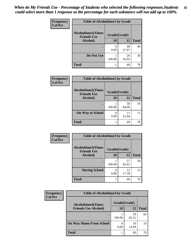| Frequency      | <b>Table of Alcoholtime1 by Grade</b>           |                           |             |              |
|----------------|-------------------------------------------------|---------------------------|-------------|--------------|
| <b>Col Pct</b> | <b>Alcoholtime1(Times</b><br><b>Friends Use</b> | Grade(Grade)              |             |              |
|                | Alcohol)                                        | 10                        | 12          | <b>Total</b> |
|                |                                                 | $\mathbf{\Omega}$<br>0.00 | 40<br>57.97 | 40           |
|                | Do Not Use                                      | 100.00                    | 29<br>42.03 | 30           |
|                | <b>Total</b>                                    |                           | 69          | 70           |

| Frequency      | <b>Table of Alcoholtime2 by Grade</b>           |              |             |              |
|----------------|-------------------------------------------------|--------------|-------------|--------------|
| <b>Col Pct</b> | <b>Alcoholtime2(Times</b><br><b>Friends Use</b> | Grade(Grade) |             |              |
|                | Alcohol)                                        | 10           | 12          | <b>Total</b> |
|                |                                                 | 100.00       | 58<br>84.06 | 59           |
|                | <b>On Way to School</b>                         | 0.00         | 11<br>15.94 | 11           |
|                | <b>Total</b>                                    |              | 69          | 70           |

| Frequency      | <b>Table of Alcoholtime3 by Grade</b>           |              |             |              |
|----------------|-------------------------------------------------|--------------|-------------|--------------|
| <b>Col Pct</b> | <b>Alcoholtime3(Times</b><br><b>Friends Use</b> | Grade(Grade) |             |              |
|                | Alcohol)                                        | 10           | 12          | <b>Total</b> |
|                |                                                 | 100.00       | 57<br>82.61 | 58           |
|                | <b>During School</b>                            | 0<br>0.00    | 12<br>17.39 | 12           |
|                | <b>Total</b>                                    |              | 69          | 70           |

| <b>Frequency</b><br><b>Col Pct</b> | <b>Table of Alcoholtime4 by Grade</b> |              |             |              |  |
|------------------------------------|---------------------------------------|--------------|-------------|--------------|--|
|                                    | <b>Alcoholtime4(Times</b>             | Grade(Grade) |             |              |  |
|                                    | <b>Friends Use Alcohol)</b>           | 10           | 12          | <b>Total</b> |  |
|                                    |                                       | 100.00       | 59<br>85.51 | 60           |  |
|                                    | <b>On Way Home From School</b>        | 0.00         | 10<br>14.49 | 10           |  |
|                                    | <b>Total</b>                          |              | 69          | 70           |  |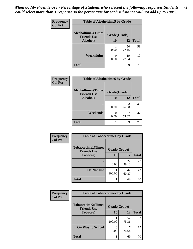*When do My Friends Use - Percentage of Students who selected the following responses.Students could select more than 1 response so the percentage for each substance will not add up to 100%.* **43**

| Frequency      | <b>Table of Alcoholtime5 by Grade</b>           |              |             |              |
|----------------|-------------------------------------------------|--------------|-------------|--------------|
| <b>Col Pct</b> | <b>Alcoholtime5(Times</b><br><b>Friends Use</b> | Grade(Grade) |             |              |
|                | Alcohol)                                        | 10           | 12          | <b>Total</b> |
|                |                                                 | 100.00       | 50<br>72.46 | 51           |
|                | <b>Weeknights</b>                               | 0.00         | 19<br>27.54 | 19           |
|                | <b>Total</b>                                    |              | 69          | 70           |

| <b>Frequency</b> | <b>Table of Alcoholtime6 by Grade</b>           |              |             |              |
|------------------|-------------------------------------------------|--------------|-------------|--------------|
| <b>Col Pct</b>   | <b>Alcoholtime6(Times</b><br><b>Friends Use</b> | Grade(Grade) |             |              |
|                  | <b>Alcohol</b> )                                | 10           | 12          | <b>Total</b> |
|                  |                                                 | 100.00       | 32<br>46.38 | 33           |
|                  | Weekends                                        | 0.00         | 37<br>53.62 | 37           |
|                  | <b>Total</b>                                    |              | 69          | 70           |

| Frequency      | <b>Table of Tobaccotime1 by Grade</b>           |              |             |              |  |
|----------------|-------------------------------------------------|--------------|-------------|--------------|--|
| <b>Col Pct</b> | <b>Tobaccotime1(Times</b><br><b>Friends Use</b> | Grade(Grade) |             |              |  |
|                | <b>Tobacco</b> )                                | 10           | 12          | <b>Total</b> |  |
|                |                                                 | 0.00         | 27<br>39.13 | 27           |  |
|                | Do Not Use                                      | 100.00       | 42<br>60.87 | 43           |  |
|                | <b>Total</b>                                    |              | 69          | 70           |  |

| <b>Frequency</b> | <b>Table of Tobaccotime2 by Grade</b> |              |             |              |
|------------------|---------------------------------------|--------------|-------------|--------------|
| <b>Col Pct</b>   | <b>Tobaccotime2(Times</b>             | Grade(Grade) |             |              |
|                  | <b>Friends Use</b><br>Tobacco)        | 10           | 12          | <b>Total</b> |
|                  |                                       | 100.00       | 52<br>75.36 | 53           |
|                  | <b>On Way to School</b>               | 0<br>0.00    | 17<br>24.64 | 17           |
|                  | <b>Total</b>                          |              | 69          | 70           |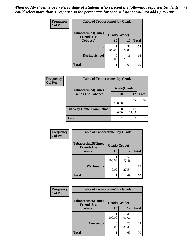| Frequency      | <b>Table of Tobaccotime3 by Grade</b>           |              |             |              |
|----------------|-------------------------------------------------|--------------|-------------|--------------|
| <b>Col Pct</b> | <b>Tobaccotime3(Times</b><br><b>Friends Use</b> | Grade(Grade) |             |              |
|                | <b>Tobacco</b> )                                | 10           | 12          | <b>Total</b> |
|                |                                                 | 100.00       | 53<br>76.81 | 54           |
|                | <b>During School</b>                            | 0.00         | 16<br>23.19 | 16           |
|                | <b>Total</b>                                    |              | 69          | 70           |

 $\overline{\phantom{a}}$ 

| <b>Frequency</b> | <b>Table of Tobaccotime4 by Grade</b> |              |             |              |
|------------------|---------------------------------------|--------------|-------------|--------------|
| <b>Col Pct</b>   | <b>Tobaccotime4(Times</b>             | Grade(Grade) |             |              |
|                  | <b>Friends Use Tobacco)</b>           | 10           | 12          | <b>Total</b> |
|                  | ٠                                     | 100.00       | 59<br>85.51 | 60           |
|                  | <b>On Way Home From School</b>        | 0.00         | 10<br>14.49 | 10           |
|                  | <b>Total</b>                          |              | 69          | 70           |

| Frequency      | <b>Table of Tobaccotime5 by Grade</b>            |              |             |              |
|----------------|--------------------------------------------------|--------------|-------------|--------------|
| <b>Col Pct</b> | <b>Tobaccotime5</b> (Times<br><b>Friends Use</b> | Grade(Grade) |             |              |
|                | <b>Tobacco</b> )                                 | 10           | 12          | <b>Total</b> |
|                |                                                  | 100.00       | 50<br>72.46 | 51           |
|                | Weeknights                                       | 0.00         | 19<br>27.54 | 19           |
|                | <b>Total</b>                                     |              | 69          | 70           |

| Frequency      | <b>Table of Tobaccotime6 by Grade</b>           |              |             |              |
|----------------|-------------------------------------------------|--------------|-------------|--------------|
| <b>Col Pct</b> | <b>Tobaccotime6(Times</b><br><b>Friends Use</b> | Grade(Grade) |             |              |
|                | <b>Tobacco</b> )                                | 10           | 12          | <b>Total</b> |
|                |                                                 | 100.00       | 46<br>66.67 | 47           |
|                | Weekends                                        | 0.00         | 23<br>33.33 | 23           |
|                | <b>Total</b>                                    |              | 69          | 70           |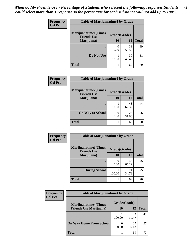| Frequency      | <b>Table of Marijuanatime1 by Grade</b>           |              |             |              |
|----------------|---------------------------------------------------|--------------|-------------|--------------|
| <b>Col Pct</b> | <b>Marijuanatime1(Times</b><br><b>Friends Use</b> | Grade(Grade) |             |              |
|                | Marijuana)                                        | 10           | 12          | <b>Total</b> |
|                |                                                   | 0.00         | 39<br>56.52 | 39           |
|                | Do Not Use                                        | 100.00       | 30<br>43.48 | 31           |
|                | <b>Total</b>                                      |              | 69          | 70           |

| Frequency      | <b>Table of Marijuanatime2 by Grade</b>           |              |             |              |
|----------------|---------------------------------------------------|--------------|-------------|--------------|
| <b>Col Pct</b> | <b>Marijuanatime2(Times</b><br><b>Friends Use</b> | Grade(Grade) |             |              |
|                | Marijuana)                                        | 10           | 12          | <b>Total</b> |
|                |                                                   | 100.00       | 43<br>62.32 | 44           |
|                | <b>On Way to School</b>                           | 0<br>0.00    | 26<br>37.68 | 26           |
|                | <b>Total</b>                                      |              | 69          | 70           |

| Frequency      | <b>Table of Marijuanatime3 by Grade</b>    |              |             |              |
|----------------|--------------------------------------------|--------------|-------------|--------------|
| <b>Col Pct</b> | Marijuanatime3(Times<br><b>Friends Use</b> | Grade(Grade) |             |              |
|                | Marijuana)                                 | 10           | 12          | <b>Total</b> |
|                |                                            | 0<br>0.00    | 45<br>65.22 | 45           |
|                | <b>During School</b>                       | 100.00       | 24<br>34.78 | 25           |
|                | <b>Total</b>                               |              | 69          | 70           |

| <b>Frequency</b> | <b>Table of Marijuanatime4 by Grade</b> |              |             |              |
|------------------|-----------------------------------------|--------------|-------------|--------------|
| <b>Col Pct</b>   | <b>Marijuanatime4(Times</b>             | Grade(Grade) |             |              |
|                  | <b>Friends Use Marijuana</b> )          | 10           | 12          | <b>Total</b> |
|                  | ٠                                       | 100.00       | 42<br>60.87 | 43           |
|                  | <b>On Way Home From School</b>          | 0<br>0.00    | 27<br>39.13 | 27           |
|                  | <b>Total</b>                            |              | 69          |              |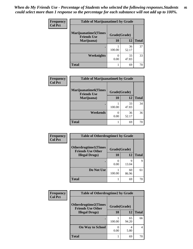| <b>Frequency</b> | <b>Table of Marijuanatime5 by Grade</b>            |              |             |              |
|------------------|----------------------------------------------------|--------------|-------------|--------------|
| <b>Col Pct</b>   | <b>Marijuanatime5</b> (Times<br><b>Friends Use</b> | Grade(Grade) |             |              |
|                  | Marijuana)                                         | 10           | 12          | <b>Total</b> |
|                  |                                                    | 100.00       | 36<br>52.17 | 37           |
|                  | Weeknights                                         | 0.00         | 33<br>47.83 | 33           |
|                  | <b>Total</b>                                       |              | 69          | 70           |

| Frequency      | <b>Table of Marijuanatime6 by Grade</b>            |              |             |              |
|----------------|----------------------------------------------------|--------------|-------------|--------------|
| <b>Col Pct</b> | <b>Marijuanatime6</b> (Times<br><b>Friends Use</b> | Grade(Grade) |             |              |
|                | Marijuana)                                         | 10           | 12          | <b>Total</b> |
|                |                                                    | 100.00       | 33<br>47.83 | 34           |
|                | Weekends                                           | 0<br>0.00    | 36<br>52.17 | 36           |
|                | <b>Total</b>                                       |              | 69          | 70           |

| <b>Frequency</b> | <b>Table of Otherdrugtime1 by Grade</b>                  |              |             |              |
|------------------|----------------------------------------------------------|--------------|-------------|--------------|
| <b>Col Pct</b>   | <b>Otherdrugtime1</b> (Times<br><b>Friends Use Other</b> | Grade(Grade) |             |              |
|                  | <b>Illegal Drugs</b> )                                   | 10           | 12          | <b>Total</b> |
|                  |                                                          | 0.00         | q<br>13.04  | 9            |
|                  | Do Not Use                                               | 100.00       | 60<br>86.96 | 61           |
|                  | <b>Total</b>                                             |              | 69          |              |

| <b>Frequency</b> | <b>Table of Otherdrugtime2 by Grade</b>                 |              |             |                |
|------------------|---------------------------------------------------------|--------------|-------------|----------------|
| <b>Col Pct</b>   | <b>Otherdrugtime2(Times</b><br><b>Friends Use Other</b> | Grade(Grade) |             |                |
|                  | <b>Illegal Drugs</b> )                                  | 10           | 12          | <b>Total</b>   |
|                  |                                                         | 100.00       | 65<br>94.20 | 66             |
|                  | <b>On Way to School</b>                                 | 0.00         | 4<br>5.80   | $\overline{4}$ |
|                  | Total                                                   |              | 69          | 70             |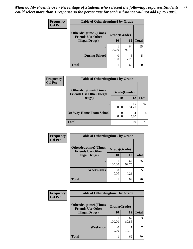| <b>Frequency</b> | <b>Table of Otherdrugtime3 by Grade</b>          |              |             |              |
|------------------|--------------------------------------------------|--------------|-------------|--------------|
| <b>Col Pct</b>   | Otherdrugtime3(Times<br><b>Friends Use Other</b> | Grade(Grade) |             |              |
|                  | <b>Illegal Drugs</b> )                           | 10           | 12          | <b>Total</b> |
|                  |                                                  | 100.00       | 64<br>92.75 | 65           |
|                  | <b>During School</b>                             | 0.00         | 5<br>7.25   | 5            |
|                  | <b>Total</b>                                     |              | 69          | 70           |

| Frequency<br><b>Col Pct</b> | <b>Table of Otherdrugtime4 by Grade</b>                         |              |             |              |
|-----------------------------|-----------------------------------------------------------------|--------------|-------------|--------------|
|                             | <b>Otherdrugtime4(Times</b><br><b>Friends Use Other Illegal</b> | Grade(Grade) |             |              |
|                             | Drugs)                                                          | 10           | 12          | <b>Total</b> |
|                             | ٠                                                               | 100.00       | 65<br>94.20 | 66           |
|                             | <b>On Way Home From School</b>                                  | 0.00         | 4<br>5.80   |              |
|                             | <b>Total</b>                                                    |              | 69          |              |

| <b>Frequency</b> | <b>Table of Otherdrugtime5 by Grade</b>                  |              |             |              |
|------------------|----------------------------------------------------------|--------------|-------------|--------------|
| <b>Col Pct</b>   | <b>Otherdrugtime5</b> (Times<br><b>Friends Use Other</b> | Grade(Grade) |             |              |
|                  | <b>Illegal Drugs</b> )                                   | 10           | 12          | <b>Total</b> |
|                  |                                                          | 100.00       | 64<br>92.75 | 65           |
|                  | Weeknights                                               | 0.00         | 5<br>7.25   | 5            |
|                  | <b>Total</b>                                             |              | 69          | 70           |

| <b>Frequency</b> | <b>Table of Otherdrugtime6 by Grade</b>                 |              |             |              |
|------------------|---------------------------------------------------------|--------------|-------------|--------------|
| <b>Col Pct</b>   | <b>Otherdrugtime6(Times</b><br><b>Friends Use Other</b> | Grade(Grade) |             |              |
|                  | <b>Illegal Drugs</b> )                                  | 10           | 12          | <b>Total</b> |
|                  |                                                         | 100.00       | 62<br>89.86 | 63           |
|                  | Weekends                                                | 0.00         | 10.14       | 7            |
|                  | <b>Total</b>                                            |              | 69          | 70           |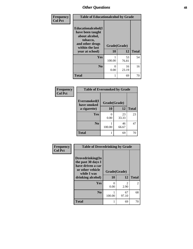| Frequency      | <b>Table of Educationalcohol by Grade</b>                                                                  |              |             |              |
|----------------|------------------------------------------------------------------------------------------------------------|--------------|-------------|--------------|
| <b>Col Pct</b> | Educationalcohol(I<br>have been taught<br>about alcohol,<br>tobacco,<br>and other drugs<br>within the last | Grade(Grade) |             |              |
|                | year at school)                                                                                            | 10           | 12          | <b>Total</b> |
|                | Yes                                                                                                        | 100.00       | 53<br>76.81 | 54           |
|                | N <sub>0</sub>                                                                                             | 0<br>0.00    | 16<br>23.19 | 16           |
|                | <b>Total</b>                                                                                               | 1            | 69          | 70           |

| Frequency      | <b>Table of Eversmoked by Grade</b> |              |             |              |  |
|----------------|-------------------------------------|--------------|-------------|--------------|--|
| <b>Col Pct</b> | Eversmoked(I<br>have smoked         | Grade(Grade) |             |              |  |
|                | a cigarette)                        | 10           | 12          | <b>Total</b> |  |
|                | Yes                                 | 0.00         | 23<br>33.33 | 23           |  |
|                | N <sub>0</sub>                      | 100.00       | 46<br>66.67 | 47           |  |
|                | <b>Total</b>                        |              | 69          | 70           |  |

| Frequency      | <b>Table of Drovedrinking by Grade</b>                                                                              |                    |                       |                |
|----------------|---------------------------------------------------------------------------------------------------------------------|--------------------|-----------------------|----------------|
| <b>Col Pct</b> | Drovedrinking(In<br>the past 30 days I<br>have driven a car<br>or other vehicle<br>while I was<br>drinking alcohol) | Grade(Grade)<br>10 | 12                    | <b>Total</b>   |
|                | <b>Yes</b>                                                                                                          | 0<br>0.00          | $\mathcal{L}$<br>2.90 | $\mathfrak{D}$ |
|                | N <sub>0</sub>                                                                                                      | 100.00             | 67<br>97.10           | 68             |
|                | <b>Total</b>                                                                                                        |                    | 69                    | 70             |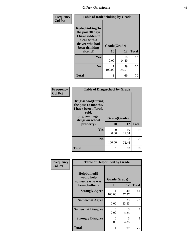| <b>Frequency</b> | <b>Table of Rodedrinking by Grade</b>                                                                                  |                    |             |              |
|------------------|------------------------------------------------------------------------------------------------------------------------|--------------------|-------------|--------------|
| <b>Col Pct</b>   | Rodedrinking(In<br>the past 30 days<br>I have ridden in<br>a car with a<br>driver who had<br>been drinking<br>alcohol) | Grade(Grade)<br>10 | 12          | <b>Total</b> |
|                  | <b>Yes</b>                                                                                                             | 0<br>0.00          | 10<br>14.49 | 10           |
|                  | N <sub>0</sub>                                                                                                         | 100.00             | 59<br>85.51 | 60           |
|                  | <b>Total</b>                                                                                                           |                    | 69          | 70           |

### **Frequency Col Pct**

| <b>Table of Drugsschool by Grade</b>                                                                                      |              |             |              |  |  |
|---------------------------------------------------------------------------------------------------------------------------|--------------|-------------|--------------|--|--|
| <b>Drugsschool</b> (During<br>the past 12 months,<br>I have been offered,<br>sold,<br>or given illegal<br>drugs on school | Grade(Grade) |             |              |  |  |
| property)                                                                                                                 | 10           | 12          | <b>Total</b> |  |  |
| Yes                                                                                                                       | 0<br>0.00    | 19<br>27.54 | 19           |  |  |
| N <sub>0</sub>                                                                                                            | 100.00       | 50<br>72.46 | 51           |  |  |
| <b>Total</b>                                                                                                              | 1            | 69          |              |  |  |

| Frequency      | <b>Table of Helpbullied by Grade</b>           |                           |             |              |  |  |  |
|----------------|------------------------------------------------|---------------------------|-------------|--------------|--|--|--|
| <b>Col Pct</b> | Helpbullied(I<br>would help<br>someone who was | Grade(Grade)              |             |              |  |  |  |
|                | being bullied)                                 | <b>10</b>                 | 12          | <b>Total</b> |  |  |  |
|                | <b>Strongly Agree</b>                          | 100.00                    | 40<br>57.97 | 41           |  |  |  |
|                | <b>Somewhat Agree</b>                          | $\mathbf{\Omega}$<br>0.00 | 23<br>33.33 | 23           |  |  |  |
|                | <b>Somewhat Disagree</b>                       | 0<br>0.00                 | 3<br>4.35   | 3            |  |  |  |
|                | <b>Strongly Disagree</b>                       | 0<br>0.00                 | 3<br>4.35   | 3            |  |  |  |
|                | <b>Total</b>                                   |                           | 69          | 70           |  |  |  |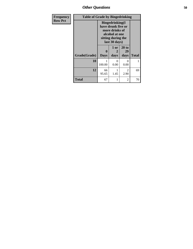*Other Questions* **50**

| <b>Frequency</b> | <b>Table of Grade by Bingedrinking</b> |                                                                                                                          |                   |                     |              |  |
|------------------|----------------------------------------|--------------------------------------------------------------------------------------------------------------------------|-------------------|---------------------|--------------|--|
| <b>Row Pct</b>   |                                        | <b>Bingedrinking</b> (I<br>have drunk five or<br>more drinks of<br>alcohol at one<br>sitting during the<br>last 30 days) |                   |                     |              |  |
|                  | Grade(Grade)                           | 0<br><b>Days</b>                                                                                                         | 1 or<br>2<br>days | 20 to<br>29<br>days | <b>Total</b> |  |
|                  | 10                                     | 100.00                                                                                                                   | $\Omega$<br>0.00  | 0<br>0.00           | 1            |  |
|                  | 12                                     | 66<br>95.65                                                                                                              | 1.45              | 2<br>2.90           | 69           |  |
|                  | <b>Total</b>                           | 67                                                                                                                       | 1                 | 2                   | 70           |  |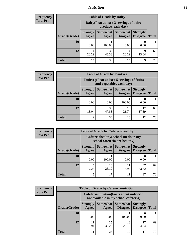## *Nutrition* **51**

| <b>Frequency</b> |
|------------------|
| <b>Row Pct</b>   |

| <b>Table of Grade by Dairy</b> |                          |                                                                 |                      |                                    |              |  |  |
|--------------------------------|--------------------------|-----------------------------------------------------------------|----------------------|------------------------------------|--------------|--|--|
|                                |                          | Dairy (I eat at least 3 servings of dairy<br>products each day) |                      |                                    |              |  |  |
| Grade(Grade)                   | <b>Strongly</b><br>Agree | Somewhat  <br>Agree                                             | Somewhat<br>Disagree | <b>Strongly</b><br><b>Disagree</b> | <b>Total</b> |  |  |
| 10                             | 0.00                     | 100.00                                                          | 0.00                 | 0.00                               |              |  |  |
| 12                             | 14<br>20.29              | 32<br>46.38                                                     | 14<br>20.29          | 9<br>13.04                         | 69           |  |  |
| <b>Total</b>                   | 14                       | 33                                                              | 14                   | 9                                  |              |  |  |

| <b>Frequency</b> |  |
|------------------|--|
| <b>Row Pct</b>   |  |

| <b>Table of Grade by Fruitveg</b>                                        |                          |             |                                      |                                    |              |  |
|--------------------------------------------------------------------------|--------------------------|-------------|--------------------------------------|------------------------------------|--------------|--|
| Fruitveg(I eat at least 5 servings of fruits<br>and vegetables each day) |                          |             |                                      |                                    |              |  |
| Grade(Grade)                                                             | <b>Strongly</b><br>Agree | Agree       | Somewhat Somewhat<br><b>Disagree</b> | <b>Strongly</b><br><b>Disagree</b> | <b>Total</b> |  |
| 10                                                                       | 0.00                     | 0<br>0.00   | 100.00                               | 0.00                               |              |  |
| 12                                                                       | Q<br>13.04               | 33<br>47.83 | 15<br>21.74                          | 12<br>17.39                        | 69           |  |
| <b>Total</b>                                                             | Q                        | 33          | 16                                   | 12                                 | 70           |  |

| <b>Frequency</b> | <b>Table of Grade by Cafeteriahealthy</b> |                                                                       |             |                                      |                                    |              |  |
|------------------|-------------------------------------------|-----------------------------------------------------------------------|-------------|--------------------------------------|------------------------------------|--------------|--|
| <b>Row Pct</b>   |                                           | Cafeteriahealthy (School meals in my<br>school cafeteria are healthy) |             |                                      |                                    |              |  |
|                  | <b>Grade</b> (Grade)                      | <b>Strongly</b><br>Agree                                              | Agree       | Somewhat Somewhat<br><b>Disagree</b> | <b>Strongly</b><br><b>Disagree</b> | <b>Total</b> |  |
|                  | <b>10</b>                                 | 0.00                                                                  | 100.00      | 0.00                                 | 0.00                               |              |  |
|                  | 12                                        | 7.25                                                                  | 16<br>23.19 | 15.94                                | 37<br>53.62                        | 69           |  |
|                  | <b>Total</b>                              | 5                                                                     | 17          | 11                                   | 37                                 |              |  |

| <b>Frequency</b> |
|------------------|
| <b>Row Pct</b>   |

| <b>Table of Grade by Cafeterianutrition</b> |              |                          |                                                                                           |                 |                                        |              |  |  |  |
|---------------------------------------------|--------------|--------------------------|-------------------------------------------------------------------------------------------|-----------------|----------------------------------------|--------------|--|--|--|
|                                             |              |                          | <b>Cafeterianutrition</b> (Facts about nutrition<br>are available in my school cafeteria) |                 |                                        |              |  |  |  |
|                                             | Grade(Grade) | <b>Strongly</b><br>Agree | Somewhat  <br>Agree                                                                       | <b>Somewhat</b> | <b>Strongly</b><br>Disagree   Disagree | <b>Total</b> |  |  |  |
|                                             | 10           | $\left( \right)$<br>0.00 | 0.00                                                                                      | 100.00          | 0.00                                   |              |  |  |  |
|                                             | 12           | 11<br>15.94              | 25<br>36.23                                                                               | 16<br>23.19     | 17<br>24.64                            | 69           |  |  |  |
|                                             | <b>Total</b> | 11                       | 25                                                                                        | 17              | 17                                     |              |  |  |  |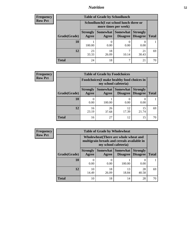## *Nutrition* **52**

| Frequency |
|-----------|
| Row Pct   |

| <b>Table of Grade by Schoollunch</b> |                                                                                                                                      |                                                                 |            |             |    |  |  |  |
|--------------------------------------|--------------------------------------------------------------------------------------------------------------------------------------|-----------------------------------------------------------------|------------|-------------|----|--|--|--|
|                                      |                                                                                                                                      | Schoollunch(I eat school lunch three or<br>more times per week) |            |             |    |  |  |  |
| Grade(Grade)                         | Somewhat  <br><b>Somewhat</b><br><b>Strongly</b><br><b>Strongly</b><br><b>Disagree</b><br>Disagree<br><b>Total</b><br>Agree<br>Agree |                                                                 |            |             |    |  |  |  |
| 10                                   | 100.00                                                                                                                               | 0.00                                                            | 0.00       | 0.00        |    |  |  |  |
| 12                                   | 23<br>33.33                                                                                                                          | 18<br>26.09                                                     | ℸ<br>10.14 | 21<br>30.43 | 69 |  |  |  |
| <b>Total</b>                         | 24                                                                                                                                   | 18                                                              | ℸ          | 21          |    |  |  |  |

| <b>Frequency</b> |  |
|------------------|--|
| <b>Row Pct</b>   |  |

| <b>Table of Grade by Foodchoices</b> |                                                                     |             |                                   |                                    |              |  |
|--------------------------------------|---------------------------------------------------------------------|-------------|-----------------------------------|------------------------------------|--------------|--|
|                                      | Foodchoices (I make healthy food choices in<br>my school cafeteria) |             |                                   |                                    |              |  |
| Grade(Grade)                         | <b>Strongly</b><br>Agree                                            | Agree       | Somewhat   Somewhat  <br>Disagree | <b>Strongly</b><br><b>Disagree</b> | <b>Total</b> |  |
| 10                                   | 0.00                                                                | 100.00      | 0<br>0.00                         | 0.00                               |              |  |
| 12                                   | 16<br>23.19                                                         | 26<br>37.68 | 12<br>17.39                       | 15<br>21.74                        | 69           |  |
| Total                                | 16                                                                  | 27          | 12                                | 15                                 |              |  |

| <b>Frequency</b><br><b>Row Pct</b> |  |
|------------------------------------|--|
|                                    |  |

| y | <b>Table of Grade by Wholewheat</b> |                                                                                                             |                     |                                    |                                    |              |  |
|---|-------------------------------------|-------------------------------------------------------------------------------------------------------------|---------------------|------------------------------------|------------------------------------|--------------|--|
|   |                                     | Wholewheat (There are whole wheat and<br>multigrain breads and cereals available in<br>my school cafeteria) |                     |                                    |                                    |              |  |
|   | Grade(Grade)                        | <b>Strongly</b><br>Agree                                                                                    | Somewhat  <br>Agree | <b>Somewhat</b><br><b>Disagree</b> | <b>Strongly</b><br><b>Disagree</b> | <b>Total</b> |  |
|   | 10                                  | $\mathbf{\Omega}$<br>0.00                                                                                   | $\theta$<br>0.00    | 100.00                             | 0.00                               |              |  |
|   | 12                                  | 10<br>14.49                                                                                                 | 18<br>26.09         | 13<br>18.84                        | 28<br>40.58                        | 69           |  |
|   | <b>Total</b>                        | 10                                                                                                          | 18                  | 14                                 | 28                                 |              |  |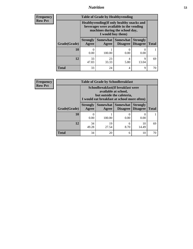## *Nutrition* **53**

**Frequency Row Pct**

| <b>Table of Grade by Healthyvending</b> |                                                                                                                                               |                     |                                    |                                    |              |  |  |
|-----------------------------------------|-----------------------------------------------------------------------------------------------------------------------------------------------|---------------------|------------------------------------|------------------------------------|--------------|--|--|
|                                         | Healthyvending (If only healthy snacks and<br>beverages were available in the vending<br>machines during the school day,<br>I would buy them) |                     |                                    |                                    |              |  |  |
| Grade(Grade)                            | <b>Strongly</b><br>Agree                                                                                                                      | Somewhat  <br>Agree | <b>Somewhat</b><br><b>Disagree</b> | <b>Strongly</b><br><b>Disagree</b> | <b>Total</b> |  |  |
| 10                                      | $\mathbf{\Omega}$<br>0.00                                                                                                                     | 100.00              | 0.00                               | 0.00                               |              |  |  |
| 12                                      | 33<br>47.83                                                                                                                                   | 23<br>33.33         | 4<br>5.80                          | Q<br>13.04                         | 69           |  |  |
| <b>Total</b>                            | 33                                                                                                                                            | 24                  | 4                                  | 9                                  |              |  |  |

**Frequency Row Pct**

| <b>Table of Grade by Schoolbreakfast</b> |                                                                                                                                         |             |           |             |    |  |  |
|------------------------------------------|-----------------------------------------------------------------------------------------------------------------------------------------|-------------|-----------|-------------|----|--|--|
|                                          | Schoolbreakfast (If breakfast were<br>available at school,<br>but outside the cafeteria,<br>I would eat breakfast at school more often) |             |           |             |    |  |  |
| Grade(Grade)                             | Somewhat  <br><b>Strongly</b><br>Somewhat<br><b>Strongly</b><br><b>Disagree</b><br>Agree<br><b>Disagree</b><br>Agree                    |             |           |             |    |  |  |
| 10                                       | 0.00                                                                                                                                    | 100.00      | 0.00      | 0.00        |    |  |  |
| 12                                       | 34<br>49.28                                                                                                                             | 19<br>27.54 | 6<br>8.70 | 10<br>14.49 | 69 |  |  |
| <b>Total</b>                             | 34                                                                                                                                      | 20          | 6         | 10          | 70 |  |  |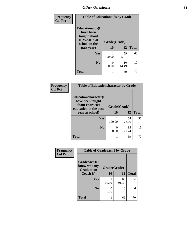| Frequency<br><b>Col Pct</b> | <b>Table of Educationaids by Grade</b>                                                      |              |             |              |  |
|-----------------------------|---------------------------------------------------------------------------------------------|--------------|-------------|--------------|--|
|                             | <b>Educationaids</b> (I<br>have been<br>taught about<br><b>HIV/AIDS</b> at<br>school in the | Grade(Grade) |             |              |  |
|                             | past year)                                                                                  | 10           | 12          | <b>Total</b> |  |
|                             | <b>Yes</b>                                                                                  | 100.00       | 59<br>85.51 | 60           |  |
|                             | N <sub>0</sub>                                                                              | 0<br>0.00    | 10<br>14.49 | 10           |  |
|                             | <b>Total</b>                                                                                |              | 69          | 70           |  |

| Frequency      | <b>Table of Educationcharacter by Grade</b>                         |              |             |              |  |  |
|----------------|---------------------------------------------------------------------|--------------|-------------|--------------|--|--|
| <b>Col Pct</b> | <b>Educationcharacter(I)</b><br>have been taught<br>about character | Grade(Grade) |             |              |  |  |
|                | education in the past<br>year at school)                            | 10           | 12          | <b>Total</b> |  |  |
|                | <b>Yes</b>                                                          | 100.00       | 54<br>78.26 | 55           |  |  |
|                | N <sub>0</sub>                                                      | 0.00         | 15<br>21.74 | 15           |  |  |
|                | <b>Total</b>                                                        |              | 69          | 70           |  |  |

| Frequency      | <b>Table of Gradcoach1 by Grade</b>              |              |             |              |  |
|----------------|--------------------------------------------------|--------------|-------------|--------------|--|
| <b>Col Pct</b> | Gradcoach1(I<br>know who my<br><b>Graduation</b> | Grade(Grade) |             |              |  |
|                | Coach is)                                        | 10           | 12          | <b>Total</b> |  |
|                | Yes                                              | 100.00       | 63<br>91.30 | 64           |  |
|                | N <sub>0</sub>                                   | 0.00         | 6<br>8.70   | 6            |  |
|                | <b>Total</b>                                     |              | 69          | 70           |  |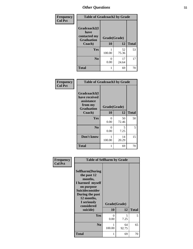| Frequency      | <b>Table of Gradcoach2 by Grade</b> |              |             |              |
|----------------|-------------------------------------|--------------|-------------|--------------|
| <b>Col Pct</b> | Gradcoach2(I<br>have                |              |             |              |
|                | contacted my<br><b>Graduation</b>   | Grade(Grade) |             |              |
|                | Coach)                              | 10           | 12          | <b>Total</b> |
|                | Yes                                 | 100.00       | 52<br>75.36 | 53           |
|                | N <sub>0</sub>                      | 0<br>0.00    | 17<br>24.64 | 17           |
|                | <b>Total</b>                        | 1            | 69          | 70           |

| <b>Frequency</b><br><b>Col Pct</b> | <b>Table of Gradcoach3 by Grade</b>                                         |              |             |              |  |
|------------------------------------|-----------------------------------------------------------------------------|--------------|-------------|--------------|--|
|                                    | Gradcoach3(I<br>have received<br>assistance<br>from my<br><b>Graduation</b> | Grade(Grade) |             |              |  |
|                                    | Coach)                                                                      | 10           | 12          | <b>Total</b> |  |
|                                    | Yes                                                                         | 0<br>0.00    | 50<br>72.46 | 50           |  |
|                                    | N <sub>0</sub>                                                              | 0<br>0.00    | 5<br>7.25   | 5            |  |
|                                    | Don't know                                                                  | 100.00       | 14<br>20.29 | 15           |  |
|                                    | <b>Total</b>                                                                | 1            | 69          | 70           |  |

| Frequency      | <b>Table of Selfharm by Grade</b>                                                                                                                                                      |                    |             |              |  |
|----------------|----------------------------------------------------------------------------------------------------------------------------------------------------------------------------------------|--------------------|-------------|--------------|--|
| <b>Col Pct</b> | <b>Selfharm</b> (During<br>the past 12<br>months,<br>I harmed myself<br>on purpose<br><b>Suicideconsider</b><br>During the past<br>12 months,<br>I seriously<br>considered<br>suicide) | Grade(Grade)<br>10 | 12          | <b>Total</b> |  |
|                | Yes                                                                                                                                                                                    | 0<br>0.00          | 5<br>7.25   | 5            |  |
|                | N <sub>0</sub>                                                                                                                                                                         | 100.00             | 64<br>92.75 | 65           |  |
|                | <b>Total</b>                                                                                                                                                                           | 1                  | 69          | 70           |  |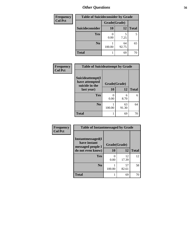| <b>Frequency</b> | <b>Table of Suicideconsider by Grade</b> |              |             |              |  |  |  |
|------------------|------------------------------------------|--------------|-------------|--------------|--|--|--|
| <b>Col Pct</b>   |                                          | Grade(Grade) |             |              |  |  |  |
|                  | Suicideconsider                          | <b>10</b>    | 12          | <b>Total</b> |  |  |  |
|                  | <b>Yes</b>                               | 0.00         | 7.25        | 5            |  |  |  |
|                  | N <sub>0</sub>                           | 100.00       | 64<br>92.75 | 65           |  |  |  |
|                  | <b>Total</b>                             |              | 69          | 70           |  |  |  |

| Frequency      | <b>Table of Suicideattempt by Grade</b>              |              |             |              |
|----------------|------------------------------------------------------|--------------|-------------|--------------|
| <b>Col Pct</b> | Suicideattempt(I<br>have attempted<br>suicide in the | Grade(Grade) |             |              |
|                | last year)                                           | 10           | 12          | <b>Total</b> |
|                | Yes                                                  | 0<br>0.00    | 6<br>8.70   | 6            |
|                | N <sub>0</sub>                                       | 100.00       | 63<br>91.30 | 64           |
|                | <b>Total</b>                                         |              | 69          | 70           |

| Frequency      |                                                         | <b>Table of Instantmessaged by Grade</b> |             |              |  |  |  |
|----------------|---------------------------------------------------------|------------------------------------------|-------------|--------------|--|--|--|
| <b>Col Pct</b> | Instantmessaged(I)<br>have instant<br>messaged people I | Grade(Grade)                             |             |              |  |  |  |
|                | do not even know)                                       | 10                                       | 12          | <b>Total</b> |  |  |  |
|                | Yes                                                     | 0.00                                     | 12<br>17.39 | 12           |  |  |  |
|                | N <sub>0</sub>                                          | 100.00                                   | 57<br>82.61 | 58           |  |  |  |
|                | <b>Total</b>                                            |                                          | 69          | 70           |  |  |  |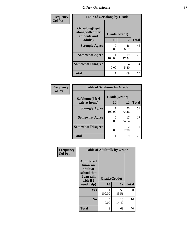| Frequency      | <b>Table of Getsalong by Grade</b>                                     |                    |                   |    |
|----------------|------------------------------------------------------------------------|--------------------|-------------------|----|
| <b>Col Pct</b> | <b>Getsalong</b> (I get<br>along with other<br>students and<br>adults) | Grade(Grade)<br>10 | <b>Total</b>      |    |
|                | <b>Strongly Agree</b>                                                  | 0<br>0.00          | 12<br>46<br>66.67 | 46 |
|                | <b>Somewhat Agree</b>                                                  | 100.00             | 19<br>27.54       | 20 |
|                | <b>Somewhat Disagree</b>                                               | 0<br>0.00          | 4<br>5.80         | 4  |
|                | <b>Total</b>                                                           |                    | 69                | 70 |

| <b>Frequency</b> |
|------------------|
| <b>Col Pct</b>   |

**Frequency Col Pct**

| <b>Table of Safehome by Grade</b> |              |                        |              |  |  |  |
|-----------------------------------|--------------|------------------------|--------------|--|--|--|
| Safehome(I feel                   | Grade(Grade) |                        |              |  |  |  |
| safe at home)                     | 10           | 12                     | <b>Total</b> |  |  |  |
| <b>Strongly Agree</b>             | 100.00       | 50<br>72.46            | 51           |  |  |  |
| <b>Somewhat Agree</b>             | 0.00         | 17<br>24.64            | 17           |  |  |  |
| <b>Somewhat Disagree</b>          | 0.00         | $\mathfrak{D}$<br>2.90 | 2            |  |  |  |
| <b>Total</b>                      |              | 69                     |              |  |  |  |

| <b>Table of Adulttalk by Grade</b>                                                                 |                    |             |              |  |  |  |  |
|----------------------------------------------------------------------------------------------------|--------------------|-------------|--------------|--|--|--|--|
| <b>Adulttalk</b> (I<br>know an<br>adult at<br>school that<br>I can talk<br>with if I<br>need help) | Grade(Grade)<br>10 | 12          | <b>Total</b> |  |  |  |  |
|                                                                                                    |                    |             |              |  |  |  |  |
| Yes                                                                                                | 1<br>100.00        | 59<br>85.51 | 60           |  |  |  |  |
| N <sub>0</sub>                                                                                     | 0<br>0.00          | 10<br>14.49 | 10           |  |  |  |  |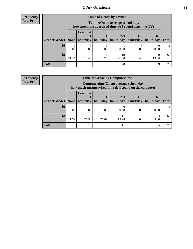**Frequency Row Pct**

| <b>Table of Grade by Tvtime</b> |             |                                                                                        |      |                                            |                                    |       |              |  |
|---------------------------------|-------------|----------------------------------------------------------------------------------------|------|--------------------------------------------|------------------------------------|-------|--------------|--|
|                                 |             | Tvtime(On an average school day,<br>how much unsupervised time do I spend watching TV) |      |                                            |                                    |       |              |  |
| Grade(Grade)   None             |             | <b>Less that</b>                                                                       |      | $2 - 3$<br>hour/day   hour/day   hours/day | $4 - 5$<br>  hours/day   hours/day | $6+$  | <b>Total</b> |  |
| <b>10</b>                       | 0<br>0.00   | 0.00                                                                                   | 0.00 | 100.00                                     | 0.00                               | 0.00  |              |  |
| 12                              | 15<br>21.74 | 10<br>14.49                                                                            | 8.70 | 19<br>27.54                                | 10<br>14.49                        | 13.04 | 69           |  |
| <b>Total</b>                    | 15          | 10                                                                                     | 6    | 20                                         | 10                                 | 9     | 70           |  |

**Frequency Row Pct**

| <b>Table of Grade by Computertime</b> |            |                                                                                                                               |             |       |       |        |    |  |
|---------------------------------------|------------|-------------------------------------------------------------------------------------------------------------------------------|-------------|-------|-------|--------|----|--|
|                                       |            | Computertime (On an average school day,<br>how much unsupervised time do I spend on the computer)                             |             |       |       |        |    |  |
| Grade(Grade)                          | None $ $   | <b>Less that</b><br>$2 - 3$<br>$4 - 5$<br>$6+$<br>hour/day<br>hours/day<br>hours/day<br>hour/day<br>hours/day<br><b>Total</b> |             |       |       |        |    |  |
| 10                                    | 0.00       | 0.00                                                                                                                          | 0.00        | 0.00  | 0.00  | 100.00 |    |  |
| 12                                    | 8<br>11.59 | 19<br>27.54                                                                                                                   | 18<br>26.09 | 15.94 | 13.04 | 5.80   | 69 |  |
| <b>Total</b>                          | 8          | 19                                                                                                                            | 18          | 11    | q     |        | 70 |  |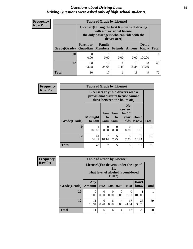## *Questions about Driving Laws* **59** *Driving Questions were asked only of high school students.*

| <b>Frequency</b> |
|------------------|
| <b>Row Pct</b>   |

| <b>Table of Grade by License1</b> |                                                                                                                                           |                                               |      |             |                      |              |  |
|-----------------------------------|-------------------------------------------------------------------------------------------------------------------------------------------|-----------------------------------------------|------|-------------|----------------------|--------------|--|
|                                   | License1(During the first 6 months of driving<br>with a provisional license,<br>the only passengers who can ride with the<br>driver are:) |                                               |      |             |                      |              |  |
| Grade(Grade)                      | <b>Parent or</b>                                                                                                                          | Family<br><b>Guardian   Members   Friends</b> |      | Anyone      | Don't<br><b>Know</b> | <b>Total</b> |  |
| 10                                | 0.00                                                                                                                                      | 0<br>0.00                                     | 0.00 | 0.00        | 100.00               |              |  |
| 12                                | 30<br>43.48                                                                                                                               | 17<br>24.64                                   | 1.45 | 13<br>18.84 | 8<br>11.59           | 69           |  |
| <b>Total</b>                      | 30                                                                                                                                        | 17                                            |      | 13          | 9                    |              |  |

| <b>Frequency</b> |              | <b>Table of Grade by License2</b> |                  |                         |                                                                                                          |                      |              |  |
|------------------|--------------|-----------------------------------|------------------|-------------------------|----------------------------------------------------------------------------------------------------------|----------------------|--------------|--|
| <b>Row Pct</b>   |              |                                   |                  |                         | License2(17 yr old drivers with a<br>provisional driver's license cannot<br>drive between the hours of:) |                      |              |  |
|                  | Grade(Grade) | <b>Midnight</b><br>to 6am         | 1am<br>to<br>5am | 1am<br>to<br><b>6am</b> | N <sub>0</sub><br>curfew<br>for $17$<br>year<br>olds                                                     | Don't<br><b>Know</b> | <b>Total</b> |  |
|                  | 10           | 1<br>100.00                       | $\Omega$<br>0.00 | $\Omega$<br>0.00        | $\Omega$<br>0.00                                                                                         | 0<br>0.00            |              |  |
|                  | 12           | 41<br>59.42                       | 7<br>10.14       | 5<br>7.25               | 5<br>7.25                                                                                                | 11<br>15.94          | 69           |  |
|                  | <b>Total</b> | 42                                | 7                | 5                       | 5                                                                                                        | 11                   | 70           |  |

| Frequency      |              | <b>Table of Grade by License3</b>                                                               |           |           |                  |                  |               |              |  |
|----------------|--------------|-------------------------------------------------------------------------------------------------|-----------|-----------|------------------|------------------|---------------|--------------|--|
| <b>Row Pct</b> |              | License3(For drivers under the age of<br>21,<br>what level of alcohol is considered<br>$DUI$ ?) |           |           |                  |                  |               |              |  |
|                | Grade(Grade) | Any<br><b>Amount</b>                                                                            | 0.02      | 0.04      | 0.06             | 0.08             | Don't<br>know | <b>Total</b> |  |
|                | 10           | $\Omega$<br>0.00                                                                                | 0<br>0.00 | 0<br>0.00 | $\Omega$<br>0.00 | $\theta$<br>0.00 | 100.00        |              |  |
|                | 12           | 11<br>15.94                                                                                     | 6<br>8.70 | 6<br>8.70 | 4<br>5.80        | 17<br>24.64      | 25<br>36.23   | 69           |  |
|                | <b>Total</b> | 11                                                                                              | 6         | 6         | 4                | 17               | 26            | 70           |  |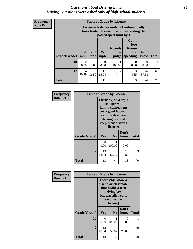## *Questions about Driving Laws* **60** *Driving Questions were asked only of high school students.*

| <b>Frequency</b> |
|------------------|
| <b>Row Pct</b>   |

| <b>Table of Grade by License4</b> |                  |                                                                                                                      |                  |                               |                                             |                  |              |
|-----------------------------------|------------------|----------------------------------------------------------------------------------------------------------------------|------------------|-------------------------------|---------------------------------------------|------------------|--------------|
|                                   |                  | License4(A driver under 21 automatically<br>loses his/her license if caught exceeding the<br>posted speet limit by:) |                  |                               |                                             |                  |              |
| Grade(Grade)                      | $15+$<br>mph     | $25+$<br>mph                                                                                                         | $35+$<br>mph     | <b>Depends</b><br>on<br>judge | Can't<br>lose<br>license<br>for<br>speeding | Don't<br>know    | <b>Total</b> |
| 10                                | $\Omega$<br>0.00 | $\Omega$<br>0.00                                                                                                     | $\Omega$<br>0.00 | 100.00                        | 0<br>0.00                                   | $\theta$<br>0.00 |              |
| 12                                | 14<br>20.29      | 8<br>11.59                                                                                                           | 11<br>15.94      | 10.14                         | 3<br>4.35                                   | 26<br>37.68      | 69           |
| <b>Total</b>                      | 14               | 8                                                                                                                    | 11               | 8                             | 3                                           | 26               | 70           |

| Frequency      | <b>Table of Grade by License5</b> |                                                                                                                                                         |                |             |              |  |
|----------------|-----------------------------------|---------------------------------------------------------------------------------------------------------------------------------------------------------|----------------|-------------|--------------|--|
| <b>Row Pct</b> |                                   | License5(A Georgia<br>teenager with<br>family connections<br>or a good lawyer<br>can break a teen<br>driving law and<br>keep their driver's<br>license) |                |             |              |  |
|                |                                   |                                                                                                                                                         |                | Don't       |              |  |
|                | Grade(Grade)                      | <b>Yes</b>                                                                                                                                              | N <sub>0</sub> | know        | <b>Total</b> |  |
|                | 10                                | $\Omega$<br>0.00                                                                                                                                        | 1<br>100.00    | 0<br>0.00   |              |  |
|                | 12                                | 13<br>18.84                                                                                                                                             | 43<br>62.32    | 13<br>18.84 | 69           |  |
|                | Total                             | 13                                                                                                                                                      | 44             | 13          | 70           |  |

| <b>Frequency</b> | <b>Table of Grade by License6</b> |                                                                                                                                              |                |               |              |  |
|------------------|-----------------------------------|----------------------------------------------------------------------------------------------------------------------------------------------|----------------|---------------|--------------|--|
| <b>Row Pct</b>   |                                   | License <sub>6</sub> (I know a<br>friend or classmate<br>that broke a teen<br>driving law,<br>but was allowed to<br>keep his/her<br>license) |                |               |              |  |
|                  | Grade(Grade)                      | Yes                                                                                                                                          | N <sub>0</sub> | Don't<br>know | <b>Total</b> |  |
|                  | 10                                | $\Omega$<br>0.00                                                                                                                             | 100.00         | 0<br>0.00     | 1            |  |
|                  | 12                                | 13<br>18.84                                                                                                                                  | 38<br>55.07    | 18<br>26.09   | 69           |  |
|                  | Total                             | 13                                                                                                                                           | 39             | 18            | 70           |  |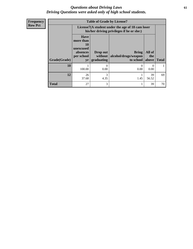## *Questions about Driving Laws* **61** *Driving Questions were asked only of high school students.*

**Frequency Row Pct**

| y | <b>Table of Grade by License7</b> |                                                                             |                                                                                               |                                                           |                  |              |  |  |
|---|-----------------------------------|-----------------------------------------------------------------------------|-----------------------------------------------------------------------------------------------|-----------------------------------------------------------|------------------|--------------|--|--|
|   |                                   |                                                                             | License7(A student under the age of 18 cam loser<br>his/her driving privileges if he or she:) |                                                           |                  |              |  |  |
|   | Grade(Grade)                      | <b>Have</b><br>more than<br>10<br>unexcused<br>absences<br>per school<br>yr | Drop out<br>without<br>graduating                                                             | <b>Bring</b><br>alcohol/drugs/weapon<br>to school   above | All of<br>the    | <b>Total</b> |  |  |
|   | 10                                | 100.00                                                                      | $\theta$<br>0.00                                                                              | 0<br>0.00                                                 | $\theta$<br>0.00 |              |  |  |
|   | 12                                | 26<br>37.68                                                                 | 3<br>4.35                                                                                     | 1.45                                                      | 39<br>56.52      | 69           |  |  |
|   | <b>Total</b>                      | 27                                                                          | 3                                                                                             |                                                           | 39               | 70           |  |  |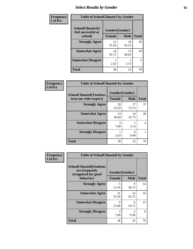# *Select Results by Gender* **62**

| Frequency      | <b>Table of SchoolClimate2 by Gender</b> |                |             |                |  |  |
|----------------|------------------------------------------|----------------|-------------|----------------|--|--|
| <b>Col Pct</b> | SchoolClimate2(I<br>feel successful at   | Gender(Gender) |             |                |  |  |
|                | school)                                  | <b>Female</b>  | <b>Male</b> | <b>Total</b>   |  |  |
|                | <b>Strongly Agree</b>                    | 21<br>55.26    | 18<br>56.25 | 39             |  |  |
|                | <b>Somewhat Agree</b>                    | 16<br>42.11    | 13<br>40.63 | 29             |  |  |
|                | <b>Somewhat Disagree</b>                 | 2.63           | 3.13        | $\overline{2}$ |  |  |
|                | <b>Total</b>                             | 38             | 32          | 70             |  |  |

| <b>Frequency</b> | <b>Table of SchoolClimate6 by Gender</b>                 |                                                |                  |              |  |  |
|------------------|----------------------------------------------------------|------------------------------------------------|------------------|--------------|--|--|
| <b>Col Pct</b>   | <b>SchoolClimate6(Teachers</b><br>treat me with respect) | Gender(Gender)<br><b>Male</b><br><b>Female</b> |                  | <b>Total</b> |  |  |
|                  | <b>Strongly Agree</b>                                    | 20<br>52.63                                    | 17<br>53.13      | 37           |  |  |
|                  | <b>Somewhat Agree</b>                                    | 14<br>36.84                                    | 14<br>43.75      | 28           |  |  |
|                  | <b>Somewhat Disagree</b>                                 | 3<br>7.89                                      | 3.13             | 4            |  |  |
|                  | <b>Strongly Disagree</b>                                 | 2.63                                           | $\theta$<br>0.00 |              |  |  |
|                  | <b>Total</b>                                             | 38                                             | 32               | 70           |  |  |

| <b>Frequency</b> | <b>Table of SchoolClimate8 by Gender</b>                                |                      |                       |              |  |
|------------------|-------------------------------------------------------------------------|----------------------|-----------------------|--------------|--|
| <b>Col Pct</b>   | <b>SchoolClimate8(Students</b><br>are frequently<br>recognized for good |                      | Gender(Gender)        |              |  |
|                  | behavior)                                                               | <b>Female</b>        | <b>Male</b>           | <b>Total</b> |  |
|                  | <b>Strongly Agree</b>                                                   | 5<br>13.16           | 9<br>28.13            | 14           |  |
|                  | <b>Somewhat Agree</b>                                                   | 21<br>55.26          | 14<br>43.75           | 35           |  |
|                  | <b>Somewhat Disagree</b>                                                | $\mathbf Q$<br>23.68 | 6<br>18.75            | 15           |  |
|                  | <b>Strongly Disagree</b>                                                | 3<br>7.89            | $\mathcal{R}$<br>9.38 | 6            |  |
|                  | Total                                                                   | 38                   | 32                    | 70           |  |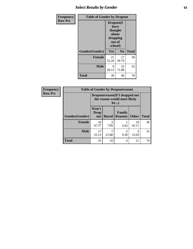# *Select Results by Gender* **63**

| <b>Frequency</b> | <b>Table of Gender by Dropout</b> |                                                                        |                |              |  |
|------------------|-----------------------------------|------------------------------------------------------------------------|----------------|--------------|--|
| <b>Row Pct</b>   |                                   | Dropout(I<br>have<br>thought<br>about<br>dropping<br>out of<br>school) |                |              |  |
|                  | Gender(Gender)                    | Yes                                                                    | N <sub>0</sub> | <b>Total</b> |  |
|                  | <b>Female</b>                     | 21<br>55.26                                                            | 17<br>44.74    | 38           |  |
|                  | <b>Male</b>                       | 9<br>28.13                                                             | 23<br>71.88    | 32           |  |
|                  | <b>Total</b>                      | 30                                                                     | 40             | 70           |  |

| Frequency      | <b>Table of Gender by Dropoutreason</b> |                                                                 |              |                          |              |              |  |
|----------------|-----------------------------------------|-----------------------------------------------------------------|--------------|--------------------------|--------------|--------------|--|
| <b>Row Pct</b> |                                         | Dropoutreason (If I dropped out<br>the reason would most likely |              |                          |              |              |  |
|                | Gender(Gender)                          | Won't<br><b>Drop</b><br>out                                     | <b>Bored</b> | Family<br><b>Reasons</b> | <b>Other</b> | <b>Total</b> |  |
|                | <b>Female</b>                           | 18<br>47.37                                                     | 7.89         | 2.63                     | 16<br>42.11  | 38           |  |
|                | <b>Male</b>                             | 17<br>53.13                                                     | 21.88        | 3<br>9.38                | 15.63        | 32           |  |
|                | <b>Total</b>                            | 35                                                              | 10           | 4                        | 21           | 70           |  |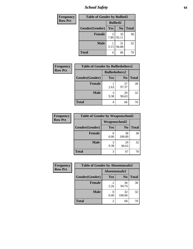*School Safety* **64**

| <b>Frequency</b> | <b>Table of Gender by Bullied2</b> |                 |                |              |  |  |
|------------------|------------------------------------|-----------------|----------------|--------------|--|--|
| <b>Row Pct</b>   |                                    | <b>Bullied2</b> |                |              |  |  |
|                  | Gender(Gender)                     | Yes             | N <sub>0</sub> | <b>Total</b> |  |  |
|                  | <b>Female</b>                      | 3<br>7.89       | 35<br>92.11    | 38           |  |  |
|                  | <b>Male</b>                        | 3.13            | 31<br>96.88    | 32           |  |  |
|                  | <b>Total</b>                       | 4               | 66             | 70           |  |  |

| <b>Frequency</b> | <b>Table of Gender by Bulliedothers2</b> |                       |                |              |
|------------------|------------------------------------------|-----------------------|----------------|--------------|
| <b>Row Pct</b>   |                                          | <b>Bulliedothers2</b> |                |              |
|                  | Gender(Gender)                           | <b>Yes</b>            | N <sub>0</sub> | <b>Total</b> |
|                  | <b>Female</b>                            | 2.63                  | 37<br>97.37    | 38           |
|                  | <b>Male</b>                              | 3<br>9.38             | 29<br>90.63    | 32           |
|                  | Total                                    | 4                     | 66             | 70           |

| Frequency      | <b>Table of Gender by Weaponschool2</b> |                      |                |              |  |  |
|----------------|-----------------------------------------|----------------------|----------------|--------------|--|--|
| <b>Row Pct</b> |                                         | <b>Weaponschool2</b> |                |              |  |  |
|                | Gender(Gender)                          | Yes                  | N <sub>0</sub> | <b>Total</b> |  |  |
|                | <b>Female</b>                           | 0.00                 | 38<br>100.00   | 38           |  |  |
|                | <b>Male</b>                             | 3<br>9.38            | 29<br>90.63    | 32           |  |  |
|                | <b>Total</b>                            | 3                    | 67             | 70           |  |  |

| Frequency      | <b>Table of Gender by Absentunsafe2</b> |               |                |              |  |
|----------------|-----------------------------------------|---------------|----------------|--------------|--|
| <b>Row Pct</b> |                                         | Absentunsafe2 |                |              |  |
|                | Gender(Gender)                          | Yes           | N <sub>0</sub> | <b>Total</b> |  |
|                | Female                                  | 5.26          | 36<br>94.74    | 38           |  |
|                | <b>Male</b>                             | 0.00          | 32<br>100.00   | 32           |  |
|                | <b>Total</b>                            |               | 68             | 70           |  |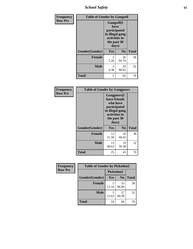*School Safety* **65**

| Frequency      | <b>Table of Gender by Gangself</b> |                                                                                                        |                |              |
|----------------|------------------------------------|--------------------------------------------------------------------------------------------------------|----------------|--------------|
| <b>Row Pct</b> |                                    | <b>Gangself</b> (I<br>have<br>participated<br>in illegal gang<br>activities in<br>the past 30<br>days) |                |              |
|                | Gender(Gender)                     | Yes                                                                                                    | N <sub>0</sub> | <b>Total</b> |
|                | <b>Female</b>                      | 2<br>5.26                                                                                              | 36<br>94.74    | 38           |
|                | <b>Male</b>                        | 3<br>9.38                                                                                              | 29<br>90.63    | 32           |
|                | <b>Total</b>                       | 5                                                                                                      | 65             | 70           |

| Frequency      | <b>Table of Gender by Gangpeers</b> |                                                                                                                             |                |              |  |
|----------------|-------------------------------------|-----------------------------------------------------------------------------------------------------------------------------|----------------|--------------|--|
| <b>Row Pct</b> |                                     | <b>Gangpeers</b> (I<br>have friends<br>who have<br>participated<br>in illegal gang<br>activities in<br>the past 30<br>days) |                |              |  |
|                | Gender(Gender)                      | <b>Yes</b>                                                                                                                  | N <sub>0</sub> | <b>Total</b> |  |
|                | <b>Female</b>                       | 12<br>31.58                                                                                                                 | 26<br>68.42    | 38           |  |
|                | <b>Male</b>                         | 13<br>40.63                                                                                                                 | 19<br>59.38    | 32           |  |
|                | Total                               | 25                                                                                                                          | 45             | 70           |  |

| Frequency      | <b>Table of Gender by Pickedon2</b> |            |                |              |
|----------------|-------------------------------------|------------|----------------|--------------|
| <b>Row Pct</b> |                                     | Pickedon2  |                |              |
|                | Gender(Gender)                      | Yes        | N <sub>0</sub> | <b>Total</b> |
|                | <b>Female</b>                       | 5<br>13.16 | 33<br>86.84    | 38           |
|                | <b>Male</b>                         | 5<br>15.63 | 27<br>84.38    | 32           |
|                | <b>Total</b>                        | 10         | 60             | 70           |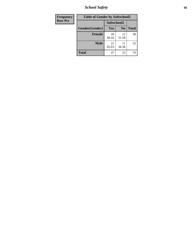*School Safety* **66**

| <b>Frequency</b> | <b>Table of Gender by Safeschool2</b> |             |                |              |  |  |
|------------------|---------------------------------------|-------------|----------------|--------------|--|--|
| <b>Row Pct</b>   | Safeschool2                           |             |                |              |  |  |
|                  | Gender(Gender)                        | <b>Yes</b>  | N <sub>0</sub> | <b>Total</b> |  |  |
|                  | <b>Female</b>                         | 26<br>68.42 | 12<br>31.58    | 38           |  |  |
|                  | <b>Male</b>                           | 21<br>65.63 | 34.38          | 32           |  |  |
|                  | <b>Total</b>                          | 47          | 23             | 70           |  |  |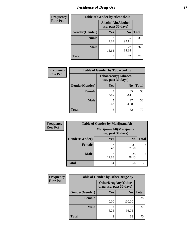# *Incidence of Drug Use* 67

| <b>Frequency</b> | <b>Table of Gender by AlcoholAlt</b>     |            |                |              |
|------------------|------------------------------------------|------------|----------------|--------------|
| <b>Row Pct</b>   | AlcoholAlt(Alcohol<br>use, past 30 days) |            |                |              |
|                  | Gender(Gender)                           | Yes        | N <sub>0</sub> | <b>Total</b> |
|                  | <b>Female</b>                            | 3<br>7.89  | 35<br>92.11    | 38           |
|                  | <b>Male</b>                              | 5<br>15.63 | 27<br>84.38    | 32           |
|                  | <b>Total</b>                             | 8          | 62             | 70           |

| <b>Frequency</b> | <b>Table of Gender by TobaccoAny</b> |                                          |                |              |  |
|------------------|--------------------------------------|------------------------------------------|----------------|--------------|--|
| <b>Row Pct</b>   |                                      | TobaccoAny(Tobacco<br>use, past 30 days) |                |              |  |
|                  | Gender(Gender)                       | <b>Yes</b>                               | N <sub>0</sub> | <b>Total</b> |  |
|                  | <b>Female</b>                        | 3<br>7.89                                | 35<br>92.11    | 38           |  |
|                  | <b>Male</b>                          | 5<br>15.63                               | 27<br>84.38    | 32           |  |
|                  | <b>Total</b>                         | 8                                        | 62             |              |  |

| <b>Frequency</b> | <b>Table of Gender by MarijuanaAlt</b> |                                              |                |       |
|------------------|----------------------------------------|----------------------------------------------|----------------|-------|
| <b>Row Pct</b>   |                                        | MarijuanaAlt(Marijuana<br>use, past 30 days) |                |       |
|                  | Gender(Gender)                         | <b>Yes</b>                                   | N <sub>0</sub> | Total |
|                  | Female                                 | 7<br>18.42                                   | 31<br>81.58    | 38    |
|                  | <b>Male</b>                            | ¬<br>21.88                                   | 25<br>78.13    | 32    |
|                  | <b>Total</b>                           | 14                                           | 56             | 70    |

| <b>Frequency</b> | <b>Table of Gender by OtherDrugAny</b> |                         |                           |              |
|------------------|----------------------------------------|-------------------------|---------------------------|--------------|
| <b>Row Pct</b>   |                                        | drug use, past 30 days) | <b>OtherDrugAny(Other</b> |              |
|                  | Gender(Gender)                         | <b>Yes</b>              | N <sub>0</sub>            | <b>Total</b> |
|                  | <b>Female</b>                          | 0.00                    | 38<br>100.00              | 38           |
|                  | <b>Male</b>                            | 2<br>6.25               | 30<br>93.75               | 32           |
|                  | <b>Total</b>                           | $\overline{2}$          | 68                        | 70           |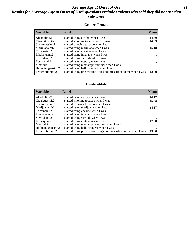## *Average Age at Onset of Use* **68** *Results for "Average Age at Onset of Use" questions exclude students who said they did not use that substance*

## **Gender=Female**

| Variable           | <b>Label</b>                                                       | <b>Mean</b> |
|--------------------|--------------------------------------------------------------------|-------------|
| Alcoholinit2       | I started using alcohol when I was                                 | 14.50       |
| Cigarettesinit2    | I started smoking tobacco when I was                               | 14.33       |
| Smokelessinit2     | I started chewing tobacco when I was                               |             |
| Marijuanainit2     | I started using marijuana when I was                               | 15.18       |
| Cocaineinit2       | I started using cocaine when I was                                 |             |
| Inhalantsinit2     | I started using inhalants when I was                               |             |
| Steroidsinit2      | I started using steroids when I was                                |             |
| Ecstasyinit2       | I started using ecstasy when I was                                 |             |
| Methinit2          | I started using methamphetamines when I was                        |             |
| Hallucinogensinit2 | I started using hallucinogens when I was                           |             |
| Prescription in t2 | I started using prescription drugs not prescribed to me when I was | 13.50       |

### **Gender=Male**

| <b>Variable</b>     | Label                                                              | <b>Mean</b> |
|---------------------|--------------------------------------------------------------------|-------------|
| Alcoholinit2        | I started using alcohol when I was                                 | 14.12       |
| Cigarettesinit2     | I started smoking tobacco when I was                               | 15.38       |
| Smokelessinit2      | I started chewing tobacco when I was                               |             |
| Marijuanainit2      | I started using marijuana when I was                               | 14.17       |
| Cocaineinit2        | I started using cocaine when I was                                 |             |
| Inhalantsinit2      | I started using inhalants when I was                               |             |
| Steroidsinit2       | I started using steroids when I was                                |             |
| Ecstasyinit2        | I started using ecstasy when I was                                 | 17.00       |
| Methinit2           | I started using methamphetamines when I was                        |             |
| Hallucinogensinit2  | I started using hallucinogens when I was                           |             |
| Prescription in it2 | I started using prescription drugs not prescribed to me when I was | 13.00       |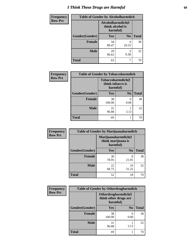# *I Think These Drugs are Harmful* **69**

| Frequency      | <b>Table of Gender by Alcoholharmdich</b> |                                                   |                |              |
|----------------|-------------------------------------------|---------------------------------------------------|----------------|--------------|
| <b>Row Pct</b> |                                           | Alcoholharmdich(I<br>think alcohol is<br>harmful) |                |              |
|                | Gender(Gender)                            | <b>Yes</b>                                        | N <sub>0</sub> | <b>Total</b> |
|                | <b>Female</b>                             | 34<br>89.47                                       | 4<br>10.53     | 38           |
|                | <b>Male</b>                               | 29<br>90.63                                       | 3<br>9.38      | 32           |
|                | <b>Total</b>                              | 63                                                | ┑              | 70           |

| Frequency      | <b>Table of Gender by Tobaccoharmdich</b> |                                                   |                |              |
|----------------|-------------------------------------------|---------------------------------------------------|----------------|--------------|
| <b>Row Pct</b> |                                           | Tobaccoharmdich(I<br>think tobacco is<br>harmful) |                |              |
|                | Gender(Gender)                            | Yes                                               | N <sub>0</sub> | <b>Total</b> |
|                | <b>Female</b>                             | 38<br>100.00                                      | 0<br>0.00      | 38           |
|                | <b>Male</b>                               | 31<br>96.88                                       | 3.13           | 32           |
|                | <b>Total</b>                              | 69                                                |                | 70           |

| Frequency      | <b>Table of Gender by Marijuanaharmdich</b> |                                |                     |              |
|----------------|---------------------------------------------|--------------------------------|---------------------|--------------|
| <b>Row Pct</b> |                                             | think marijuana is<br>harmful) | Marijuanaharmdich(I |              |
|                | Gender(Gender)                              | <b>Yes</b>                     | N <sub>0</sub>      | <b>Total</b> |
|                | <b>Female</b>                               | 30<br>78.95                    | 8<br>21.05          | 38           |
|                | <b>Male</b>                                 | 22<br>68.75                    | 10<br>31.25         | 32           |
|                | <b>Total</b>                                | 52                             | 18                  | 70           |

| Frequency      | <b>Table of Gender by Otherdrugharmdich</b> |                                   |                     |              |
|----------------|---------------------------------------------|-----------------------------------|---------------------|--------------|
| <b>Row Pct</b> |                                             | think other drugs are<br>harmful) | Otherdrugharmdich(I |              |
|                | Gender(Gender)                              | <b>Yes</b>                        | N <sub>0</sub>      | <b>Total</b> |
|                | <b>Female</b>                               | 38<br>100.00                      | 0<br>0.00           | 38           |
|                | <b>Male</b>                                 | 31<br>96.88                       | 3.13                | 32           |
|                | <b>Total</b>                                | 69                                |                     | 70           |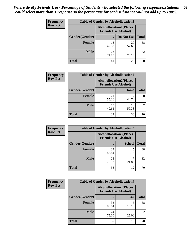| <b>Frequency</b> | <b>Table of Gender by Alcohollocation1</b> |                                                               |             |              |
|------------------|--------------------------------------------|---------------------------------------------------------------|-------------|--------------|
| <b>Row Pct</b>   |                                            | <b>Alcohollocation1(Places</b><br><b>Friends Use Alcohol)</b> |             |              |
|                  | Gender(Gender)                             |                                                               | Do Not Use  | <b>Total</b> |
|                  | <b>Female</b>                              | 18<br>47.37                                                   | 20<br>52.63 | 38           |
|                  | <b>Male</b>                                | 23<br>71.88                                                   | 9<br>28.13  | 32           |
|                  | <b>Total</b>                               | 41                                                            | 29          | 70           |

| <b>Frequency</b> | <b>Table of Gender by Alcohollocation2</b> |                                                               |             |              |
|------------------|--------------------------------------------|---------------------------------------------------------------|-------------|--------------|
| <b>Row Pct</b>   |                                            | <b>Alcohollocation2(Places</b><br><b>Friends Use Alcohol)</b> |             |              |
|                  | Gender(Gender)                             |                                                               | Home        | <b>Total</b> |
|                  | <b>Female</b>                              | 21<br>55.26                                                   | 17<br>44.74 | 38           |
|                  | <b>Male</b>                                | 13<br>40.63                                                   | 19<br>59.38 | 32           |
|                  | <b>Total</b>                               | 34                                                            | 36          | 70           |

| Frequency      | <b>Table of Gender by Alcohollocation3</b> |                                                               |               |              |
|----------------|--------------------------------------------|---------------------------------------------------------------|---------------|--------------|
| <b>Row Pct</b> |                                            | <b>Alcohollocation3(Places</b><br><b>Friends Use Alcohol)</b> |               |              |
|                | Gender(Gender)                             |                                                               | <b>School</b> | <b>Total</b> |
|                | <b>Female</b>                              | 33<br>86.84                                                   | 13.16         | 38           |
|                | <b>Male</b>                                | 25<br>78.13                                                   | 21.88         | 32           |
|                | <b>Total</b>                               | 58                                                            | 12            | 70           |

| <b>Frequency</b> | <b>Table of Gender by Alcohollocation4</b> |                                                               |            |              |
|------------------|--------------------------------------------|---------------------------------------------------------------|------------|--------------|
| <b>Row Pct</b>   |                                            | <b>Alcohollocation4(Places</b><br><b>Friends Use Alcohol)</b> |            |              |
|                  | Gender(Gender)                             |                                                               | Car        | <b>Total</b> |
|                  | <b>Female</b>                              | 33<br>86.84                                                   | 13.16      | 38           |
|                  | <b>Male</b>                                | 24<br>75.00                                                   | 8<br>25.00 | 32           |
|                  | <b>Total</b>                               | 57                                                            | 13         | 70           |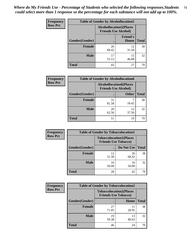| <b>Frequency</b> | <b>Table of Gender by Alcohollocation5</b> |             |                                                                |              |
|------------------|--------------------------------------------|-------------|----------------------------------------------------------------|--------------|
| <b>Row Pct</b>   |                                            |             | <b>Alcohollocation5</b> (Places<br><b>Friends Use Alcohol)</b> |              |
|                  | Gender(Gender)                             | $\bullet$   | <b>Friend's</b><br>House                                       | <b>Total</b> |
|                  | <b>Female</b>                              | 26<br>68.42 | 12<br>31.58                                                    | 38           |
|                  | <b>Male</b>                                | 17<br>53.13 | 15<br>46.88                                                    | 32           |
|                  | <b>Total</b>                               | 43          | 27                                                             | 70           |

| Frequency      | <b>Table of Gender by Alcohollocation6</b> |                                                               |              |              |
|----------------|--------------------------------------------|---------------------------------------------------------------|--------------|--------------|
| <b>Row Pct</b> |                                            | <b>Alcohollocation6(Places</b><br><b>Friends Use Alcohol)</b> |              |              |
|                | <b>Gender</b> (Gender)                     |                                                               | <b>Other</b> | <b>Total</b> |
|                | <b>Female</b>                              | 31<br>81.58                                                   | 18.42        | 38           |
|                | <b>Male</b>                                | 20<br>62.50                                                   | 12<br>37.50  | 32           |
|                | <b>Total</b>                               | 51                                                            | 19           | 70           |

| Frequency      | <b>Table of Gender by Tobaccolocation1</b> |                                                               |             |              |
|----------------|--------------------------------------------|---------------------------------------------------------------|-------------|--------------|
| <b>Row Pct</b> |                                            | <b>Tobaccolocation1(Places</b><br><b>Friends Use Tobacco)</b> |             |              |
|                | Gender(Gender)                             |                                                               | Do Not Use  | <b>Total</b> |
|                | Female                                     | 12<br>31.58                                                   | 26<br>68.42 | 38           |
|                | <b>Male</b>                                | 16<br>50.00                                                   | 16<br>50.00 | 32           |
|                | <b>Total</b>                               | 28                                                            | 42          | 70           |

| Frequency      | <b>Table of Gender by Tobaccolocation2</b> |                                                               |             |              |
|----------------|--------------------------------------------|---------------------------------------------------------------|-------------|--------------|
| <b>Row Pct</b> |                                            | <b>Tobaccolocation2(Places</b><br><b>Friends Use Tobacco)</b> |             |              |
|                | Gender(Gender)                             |                                                               | Home        | <b>Total</b> |
|                | Female                                     | 27<br>71.05                                                   | 11<br>28.95 | 38           |
|                | <b>Male</b>                                | 19<br>59.38                                                   | 13<br>40.63 | 32           |
|                | <b>Total</b>                               | 46                                                            | 24          | 70           |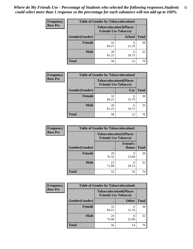| <b>Frequency</b> | <b>Table of Gender by Tobaccolocation3</b>                    |             |               |              |
|------------------|---------------------------------------------------------------|-------------|---------------|--------------|
| <b>Row Pct</b>   | <b>Tobaccolocation3(Places</b><br><b>Friends Use Tobacco)</b> |             |               |              |
|                  | Gender(Gender)                                                |             | <b>School</b> | <b>Total</b> |
|                  | <b>Female</b>                                                 | 32<br>84.21 | 6<br>15.79    | 38           |
|                  | <b>Male</b>                                                   | 26<br>81.25 | 18.75         | 32           |
|                  | <b>Total</b>                                                  | 58          | 12            |              |

| <b>Frequency</b> |                | <b>Table of Gender by Tobaccolocation4</b>                    |            |              |
|------------------|----------------|---------------------------------------------------------------|------------|--------------|
| <b>Row Pct</b>   |                | <b>Tobaccolocation4(Places</b><br><b>Friends Use Tobacco)</b> |            |              |
|                  | Gender(Gender) |                                                               | Car        | <b>Total</b> |
|                  | <b>Female</b>  | 32<br>84.21                                                   | 6<br>15.79 | 38           |
|                  | <b>Male</b>    | 26<br>81.25                                                   | 6<br>18.75 | 32           |
|                  | <b>Total</b>   | 58                                                            | 12         | 70           |

| <b>Frequency</b> | <b>Table of Gender by Tobaccolocation5</b> |                                                               |                                 |              |
|------------------|--------------------------------------------|---------------------------------------------------------------|---------------------------------|--------------|
| <b>Row Pct</b>   |                                            | <b>Tobaccolocation5(Places</b><br><b>Friends Use Tobacco)</b> |                                 |              |
|                  | Gender(Gender)                             |                                                               | <b>Friend's</b><br><b>House</b> | <b>Total</b> |
|                  | <b>Female</b>                              | 29<br>76.32                                                   | q<br>23.68                      | 38           |
|                  | <b>Male</b>                                | 23<br>71.88                                                   | q<br>28.13                      | 32           |
|                  | <b>Total</b>                               | 52                                                            | 18                              | 70           |

| <b>Frequency</b> |                |                                                               | <b>Table of Gender by Tobaccolocation6</b> |              |  |
|------------------|----------------|---------------------------------------------------------------|--------------------------------------------|--------------|--|
| <b>Row Pct</b>   |                | <b>Tobaccolocation6(Places</b><br><b>Friends Use Tobacco)</b> |                                            |              |  |
|                  | Gender(Gender) |                                                               | <b>Other</b>                               | <b>Total</b> |  |
|                  | Female         | 32<br>84.21                                                   | 6<br>15.79                                 | 38           |  |
|                  | <b>Male</b>    | 24<br>75.00                                                   | 8<br>25.00                                 | 32           |  |
|                  | <b>Total</b>   | 56                                                            | 14                                         | 7ſ           |  |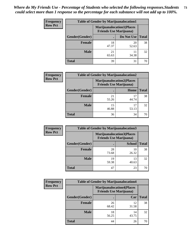| <b>Frequency</b> | <b>Table of Gender by Marijuanalocation1</b> |                                                                    |             |              |
|------------------|----------------------------------------------|--------------------------------------------------------------------|-------------|--------------|
| <b>Row Pct</b>   |                                              | <b>Marijuanalocation1(Places</b><br><b>Friends Use Marijuana</b> ) |             |              |
|                  | Gender(Gender)                               |                                                                    | Do Not Use  | <b>Total</b> |
|                  | <b>Female</b>                                | 18<br>47.37                                                        | 20<br>52.63 | 38           |
|                  | <b>Male</b>                                  | 21<br>65.63                                                        | 34.38       | 32           |
|                  | <b>Total</b>                                 | 39                                                                 | 31          |              |

| <b>Frequency</b> | <b>Table of Gender by Marijuanalocation2</b> |                                                                    |             |              |
|------------------|----------------------------------------------|--------------------------------------------------------------------|-------------|--------------|
| <b>Row Pct</b>   |                                              | <b>Marijuanalocation2(Places</b><br><b>Friends Use Marijuana</b> ) |             |              |
|                  | Gender(Gender)                               |                                                                    | Home        | <b>Total</b> |
|                  | <b>Female</b>                                | 21<br>55.26                                                        | 44.74       | 38           |
|                  | <b>Male</b>                                  | 15<br>46.88                                                        | 17<br>53.13 | 32           |
|                  | <b>Total</b>                                 | 36                                                                 | 34          | 70           |

| Frequency      | <b>Table of Gender by Marijuanalocation3</b> |                                |                                  |              |  |
|----------------|----------------------------------------------|--------------------------------|----------------------------------|--------------|--|
| <b>Row Pct</b> |                                              | <b>Friends Use Marijuana</b> ) | <b>Marijuanalocation3(Places</b> |              |  |
|                | Gender(Gender)                               |                                | <b>School</b>                    | <b>Total</b> |  |
|                | Female                                       | 28<br>73.68                    | 10<br>26.32                      | 38           |  |
|                | <b>Male</b>                                  | 19<br>59.38                    | 13<br>40.63                      | 32           |  |
|                | <b>Total</b>                                 | 47                             | 23                               | 70           |  |

| <b>Frequency</b> | <b>Table of Gender by Marijuanalocation4</b> |                                                                    |             |              |
|------------------|----------------------------------------------|--------------------------------------------------------------------|-------------|--------------|
| <b>Row Pct</b>   |                                              | <b>Marijuanalocation4(Places</b><br><b>Friends Use Marijuana</b> ) |             |              |
|                  | Gender(Gender)                               |                                                                    | Car         | <b>Total</b> |
|                  | Female                                       | 26<br>68.42                                                        | 12<br>31.58 | 38           |
|                  | <b>Male</b>                                  | 18<br>56.25                                                        | 14<br>43.75 | 32           |
|                  | <b>Total</b>                                 | 44                                                                 | 26          | 70           |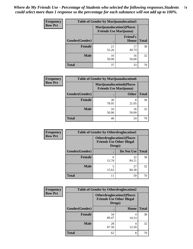| Frequency      | <b>Table of Gender by Marijuanalocation5</b> |                                                                    |                          |              |
|----------------|----------------------------------------------|--------------------------------------------------------------------|--------------------------|--------------|
| <b>Row Pct</b> |                                              | <b>Marijuanalocation5(Places</b><br><b>Friends Use Marijuana</b> ) |                          |              |
|                | Gender(Gender)                               |                                                                    | <b>Friend's</b><br>House | <b>Total</b> |
|                | <b>Female</b>                                | 21<br>55.26                                                        | 17<br>44.74              | 38           |
|                | <b>Male</b>                                  | 16<br>50.00                                                        | 16<br>50.00              | 32           |
|                | <b>Total</b>                                 | 37                                                                 | 33                       | 70           |

| <b>Frequency</b> | <b>Table of Gender by Marijuanalocation6</b> |                                                                    |              |              |
|------------------|----------------------------------------------|--------------------------------------------------------------------|--------------|--------------|
| <b>Row Pct</b>   |                                              | <b>Marijuanalocation6(Places</b><br><b>Friends Use Marijuana</b> ) |              |              |
|                  | Gender(Gender)                               |                                                                    | <b>Other</b> | <b>Total</b> |
|                  | <b>Female</b>                                | 30<br>78.95                                                        | 8<br>21.05   | 38           |
|                  | <b>Male</b>                                  | 16<br>50.00                                                        | 16<br>50.00  | 32           |
|                  | <b>Total</b>                                 | 46                                                                 | 24           | 70           |

| <b>Frequency</b> | <b>Table of Gender by Otherdruglocation1</b> |                                            |                                  |              |
|------------------|----------------------------------------------|--------------------------------------------|----------------------------------|--------------|
| <b>Row Pct</b>   |                                              | <b>Friends Use Other Illegal</b><br>Drugs) | <b>Otherdruglocation1(Places</b> |              |
|                  | Gender(Gender)                               |                                            | Do Not Use                       | <b>Total</b> |
|                  | Female                                       | 6<br>15.79                                 | 32<br>84.21                      | 38           |
|                  | <b>Male</b>                                  | 15.63                                      | 27<br>84.38                      | 32           |
|                  | <b>Total</b>                                 | 11                                         | 59                               | 70           |

| <b>Frequency</b> | <b>Table of Gender by Otherdruglocation2</b> |             |                                                                                |              |
|------------------|----------------------------------------------|-------------|--------------------------------------------------------------------------------|--------------|
| <b>Row Pct</b>   |                                              |             | <b>Otherdruglocation2(Places</b><br><b>Friends Use Other Illegal</b><br>Drugs) |              |
|                  | Gender(Gender)                               |             | <b>Home</b>                                                                    | <b>Total</b> |
|                  | Female                                       | 34<br>89.47 | 4<br>10.53                                                                     | 38           |
|                  | <b>Male</b>                                  | 28<br>87.50 | 4<br>12.50                                                                     | 32           |
|                  | <b>Total</b>                                 | 62          | 8                                                                              | 70           |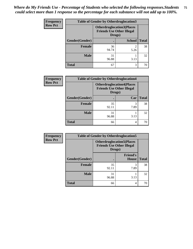| Frequency      | <b>Table of Gender by Otherdruglocation3</b> |             |                                                                                |              |
|----------------|----------------------------------------------|-------------|--------------------------------------------------------------------------------|--------------|
| <b>Row Pct</b> |                                              |             | <b>Otherdruglocation3(Places</b><br><b>Friends Use Other Illegal</b><br>Drugs) |              |
|                | Gender(Gender)                               |             | <b>School</b>                                                                  | <b>Total</b> |
|                | <b>Female</b>                                | 36<br>94.74 | っ<br>5.26                                                                      | 38           |
|                | <b>Male</b>                                  | 31<br>96.88 | 3.13                                                                           | 32           |
|                | <b>Total</b>                                 | 67          | 3                                                                              | 70           |

| Frequency      | <b>Table of Gender by Otherdruglocation4</b> |                                                                                |           |              |
|----------------|----------------------------------------------|--------------------------------------------------------------------------------|-----------|--------------|
| <b>Row Pct</b> |                                              | <b>Otherdruglocation4(Places</b><br><b>Friends Use Other Illegal</b><br>Drugs) |           |              |
|                | Gender(Gender)                               |                                                                                | Car       | <b>Total</b> |
|                | Female                                       | 35<br>92.11                                                                    | 3<br>7.89 | 38           |
|                | <b>Male</b>                                  | 31<br>96.88                                                                    | 3.13      | 32           |
|                | <b>Total</b>                                 | 66                                                                             | 4         | 70           |

| Frequency      | <b>Table of Gender by Otherdruglocation5</b> |                                                                                |                                 |              |
|----------------|----------------------------------------------|--------------------------------------------------------------------------------|---------------------------------|--------------|
| <b>Row Pct</b> |                                              | <b>Otherdruglocation5(Places</b><br><b>Friends Use Other Illegal</b><br>Drugs) |                                 |              |
|                | Gender(Gender)                               |                                                                                | <b>Friend's</b><br><b>House</b> | <b>Total</b> |
|                | <b>Female</b>                                | 35<br>92.11                                                                    | 3<br>7.89                       | 38           |
|                | <b>Male</b>                                  | 31<br>96.88                                                                    | 3.13                            | 32           |
|                | <b>Total</b>                                 | 66                                                                             | 4                               | 70           |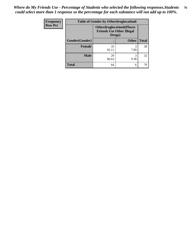| <b>Frequency</b> | <b>Table of Gender by Otherdruglocation6</b> |                                            |                                  |              |
|------------------|----------------------------------------------|--------------------------------------------|----------------------------------|--------------|
| <b>Row Pct</b>   |                                              | <b>Friends Use Other Illegal</b><br>Drugs) | <b>Otherdruglocation6(Places</b> |              |
|                  | Gender(Gender)                               |                                            | <b>Other</b>                     | <b>Total</b> |
|                  | <b>Female</b>                                | 35<br>92.11                                | 7.89                             | 38           |
|                  | <b>Male</b>                                  | 29<br>90.63                                | 9.38                             | 32           |
|                  | <b>Total</b>                                 | 64                                         | 6                                | 70           |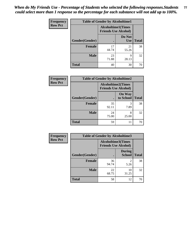| <b>Frequency</b> | <b>Table of Gender by Alcoholtime1</b> |                                                          |                      |              |
|------------------|----------------------------------------|----------------------------------------------------------|----------------------|--------------|
| <b>Row Pct</b>   |                                        | <b>Alcoholtime1(Times</b><br><b>Friends Use Alcohol)</b> |                      |              |
|                  | Gender(Gender)                         | $\bullet$                                                | Do Not<br><b>Use</b> | <b>Total</b> |
|                  | <b>Female</b>                          | 17<br>44.74                                              | 21<br>55.26          | 38           |
|                  | <b>Male</b>                            | 23<br>71.88                                              | 9<br>28.13           | 32           |
|                  | <b>Total</b>                           | 40                                                       | 30                   | 70           |

| <b>Frequency</b> | <b>Table of Gender by Alcoholtime2</b> |                                                          |                            |              |
|------------------|----------------------------------------|----------------------------------------------------------|----------------------------|--------------|
| <b>Row Pct</b>   |                                        | <b>Alcoholtime2(Times</b><br><b>Friends Use Alcohol)</b> |                            |              |
|                  | Gender(Gender)                         |                                                          | <b>On Way</b><br>to School | <b>Total</b> |
|                  | <b>Female</b>                          | 35<br>92.11                                              | 3<br>7.89                  | 38           |
|                  | <b>Male</b>                            | 24<br>75.00                                              | 8<br>25.00                 | 32           |
|                  | <b>Total</b>                           | 59                                                       | 11                         | 70           |

| Frequency      | <b>Table of Gender by Alcoholtime3</b> |                                                          |                                |              |
|----------------|----------------------------------------|----------------------------------------------------------|--------------------------------|--------------|
| <b>Row Pct</b> |                                        | <b>Alcoholtime3(Times</b><br><b>Friends Use Alcohol)</b> |                                |              |
|                | Gender(Gender)                         |                                                          | <b>During</b><br><b>School</b> | <b>Total</b> |
|                | <b>Female</b>                          | 36<br>94.74                                              | 2<br>5.26                      | 38           |
|                | <b>Male</b>                            | 22<br>68.75                                              | 10<br>31.25                    | 32           |
|                | <b>Total</b>                           | 58                                                       | 12                             | 70           |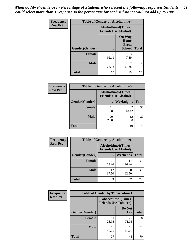*When do My Friends Use - Percentage of Students who selected the following responses.Students could select more than 1 response so the percentage for each substance will not add up to 100%.* **78**

| <b>Frequency</b> | <b>Table of Gender by Alcoholtime4</b> |                                                          |                                                |              |
|------------------|----------------------------------------|----------------------------------------------------------|------------------------------------------------|--------------|
| <b>Row Pct</b>   |                                        | <b>Alcoholtime4(Times</b><br><b>Friends Use Alcohol)</b> |                                                |              |
|                  | Gender(Gender)                         |                                                          | <b>On Way</b><br>Home<br>From<br><b>School</b> | <b>Total</b> |
|                  | <b>Female</b>                          | 35<br>92.11                                              | 3<br>7.89                                      | 38           |
|                  | <b>Male</b>                            | 25<br>78.13                                              | 7<br>21.88                                     | 32           |
|                  | <b>Total</b>                           | 60                                                       | 10                                             | 70           |

| <b>Frequency</b> | <b>Table of Gender by Alcoholtime5</b> |                                                   |             |              |
|------------------|----------------------------------------|---------------------------------------------------|-------------|--------------|
| <b>Row Pct</b>   |                                        | Alcoholtime5(Times<br><b>Friends Use Alcohol)</b> |             |              |
|                  | Gender(Gender)                         |                                                   | Weeknights  | <b>Total</b> |
|                  | <b>Female</b>                          | 31<br>81.58                                       | 18.42       | 38           |
|                  | <b>Male</b>                            | 20<br>62.50                                       | 12<br>37.50 | 32           |
|                  | <b>Total</b>                           | 51                                                | 19          | 70           |

| <b>Frequency</b> | <b>Table of Gender by Alcoholtime6</b> |                                                           |             |              |  |
|------------------|----------------------------------------|-----------------------------------------------------------|-------------|--------------|--|
| <b>Row Pct</b>   |                                        | <b>Alcoholtime6</b> (Times<br><b>Friends Use Alcohol)</b> |             |              |  |
|                  | Gender(Gender)                         |                                                           | Weekends    | <b>Total</b> |  |
|                  | <b>Female</b>                          | 21<br>55.26                                               | 17<br>44.74 | 38           |  |
|                  | <b>Male</b>                            | 12<br>37.50                                               | 20<br>62.50 | 32           |  |
|                  | <b>Total</b>                           | 33                                                        | 37          | 70           |  |

| <b>Frequency</b> | <b>Table of Gender by Tobaccotime1</b> |                                                          |                      |              |
|------------------|----------------------------------------|----------------------------------------------------------|----------------------|--------------|
| <b>Row Pct</b>   |                                        | <b>Tobaccotime1(Times</b><br><b>Friends Use Tobacco)</b> |                      |              |
|                  | Gender(Gender)                         |                                                          | Do Not<br><b>Use</b> | <b>Total</b> |
|                  | <b>Female</b>                          | 11<br>28.95                                              | 27<br>71.05          | 38           |
|                  | <b>Male</b>                            | 16<br>50.00                                              | 16<br>50.00          | 32           |
|                  | <b>Total</b>                           | 27                                                       | 43                   | 70           |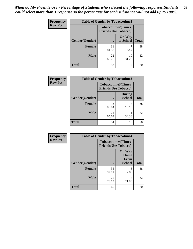*When do My Friends Use - Percentage of Students who selected the following responses.Students could select more than 1 response so the percentage for each substance will not add up to 100%.* **79**

| Frequency      |                | <b>Table of Gender by Tobaccotime2</b>                   |                            |              |
|----------------|----------------|----------------------------------------------------------|----------------------------|--------------|
| <b>Row Pct</b> |                | <b>Tobaccotime2(Times</b><br><b>Friends Use Tobacco)</b> |                            |              |
|                | Gender(Gender) | $\bullet$                                                | <b>On Way</b><br>to School | <b>Total</b> |
|                | Female         | 31<br>81.58                                              | 18.42                      | 38           |
|                | <b>Male</b>    | 22<br>68.75                                              | 10<br>31.25                | 32           |
|                | <b>Total</b>   | 53                                                       | 17                         | 70           |

| Frequency      | <b>Table of Gender by Tobaccotime3</b> |                             |                                |              |
|----------------|----------------------------------------|-----------------------------|--------------------------------|--------------|
| <b>Row Pct</b> |                                        | <b>Friends Use Tobacco)</b> | <b>Tobaccotime3(Times</b>      |              |
|                | Gender(Gender)                         |                             | <b>During</b><br><b>School</b> | <b>Total</b> |
|                | <b>Female</b>                          | 33<br>86.84                 | 5<br>13.16                     | 38           |
|                | <b>Male</b>                            | 21<br>65.63                 | 11<br>34.38                    | 32           |
|                | <b>Total</b>                           | 54                          | 16                             | 70           |

| <b>Frequency</b> | <b>Table of Gender by Tobaccotime4</b> |                                                          |                                                |              |
|------------------|----------------------------------------|----------------------------------------------------------|------------------------------------------------|--------------|
| <b>Row Pct</b>   |                                        | <b>Tobaccotime4(Times</b><br><b>Friends Use Tobacco)</b> |                                                |              |
|                  | Gender(Gender)                         |                                                          | <b>On Way</b><br>Home<br>From<br><b>School</b> | <b>Total</b> |
|                  | <b>Female</b>                          | 35<br>92.11                                              | 3<br>7.89                                      | 38           |
|                  | <b>Male</b>                            | 25<br>78.13                                              | 7<br>21.88                                     | 32           |
|                  | <b>Total</b>                           | 60                                                       | 10                                             | 70           |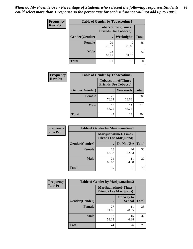| <b>Frequency</b> | <b>Table of Gender by Tobaccotime5</b> |             |                                                           |              |  |
|------------------|----------------------------------------|-------------|-----------------------------------------------------------|--------------|--|
| <b>Row Pct</b>   |                                        |             | <b>Tobaccotime5</b> (Times<br><b>Friends Use Tobacco)</b> |              |  |
|                  | Gender(Gender)                         |             | Weeknights                                                | <b>Total</b> |  |
|                  | <b>Female</b>                          | 29<br>76.32 | q<br>23.68                                                | 38           |  |
|                  | <b>Male</b>                            | 22<br>68.75 | 10<br>31.25                                               | 32           |  |
|                  | <b>Total</b>                           | 51          | 19                                                        | 70           |  |

| <b>Frequency</b> |                | <b>Table of Gender by Tobaccotime6</b>                   |                 |              |
|------------------|----------------|----------------------------------------------------------|-----------------|--------------|
| <b>Row Pct</b>   |                | <b>Tobaccotime6(Times</b><br><b>Friends Use Tobacco)</b> |                 |              |
|                  | Gender(Gender) |                                                          | <b>Weekends</b> | <b>Total</b> |
|                  | Female         | 29<br>76.32                                              | q<br>23.68      | 38           |
|                  | <b>Male</b>    | 18<br>56.25                                              | 14<br>43.75     | 32           |
|                  | <b>Total</b>   | 47                                                       | 23              | 70           |

| <b>Frequency</b> | <b>Table of Gender by Marijuanatime1</b> |                                                               |             |              |
|------------------|------------------------------------------|---------------------------------------------------------------|-------------|--------------|
| <b>Row Pct</b>   |                                          | <b>Marijuanatime1(Times</b><br><b>Friends Use Marijuana</b> ) |             |              |
|                  | Gender(Gender)                           |                                                               | Do Not Use  | <b>Total</b> |
|                  | <b>Female</b>                            | 18<br>47.37                                                   | 20<br>52.63 | 38           |
|                  | <b>Male</b>                              | 21<br>65.63                                                   | 11<br>34.38 | 32           |
|                  | <b>Total</b>                             | 39                                                            | 31          | 70           |

| <b>Frequency</b> | <b>Table of Gender by Marijuanatime2</b> |                                                               |                            |              |
|------------------|------------------------------------------|---------------------------------------------------------------|----------------------------|--------------|
| <b>Row Pct</b>   |                                          | <b>Marijuanatime2(Times</b><br><b>Friends Use Marijuana</b> ) |                            |              |
|                  | Gender(Gender)                           |                                                               | On Way to<br><b>School</b> | <b>Total</b> |
|                  | Female                                   | 27<br>71.05                                                   | 11<br>28.95                | 38           |
|                  | <b>Male</b>                              | 17<br>53.13                                                   | 15<br>46.88                | 32           |
|                  | <b>Total</b>                             | 44                                                            | 26                         | 70           |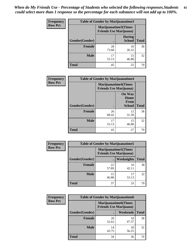*When do My Friends Use - Percentage of Students who selected the following responses.Students could select more than 1 response so the percentage for each substance will not add up to 100%.* **81**

| <b>Frequency</b> | Table of Gender by Marijuanatime3 |                                                        |                                |              |
|------------------|-----------------------------------|--------------------------------------------------------|--------------------------------|--------------|
| <b>Row Pct</b>   |                                   | Marijuanatime3(Times<br><b>Friends Use Marijuana</b> ) |                                |              |
|                  | Gender(Gender)                    | $\bullet$                                              | <b>During</b><br><b>School</b> | <b>Total</b> |
|                  | <b>Female</b>                     | 28<br>73.68                                            | 10<br>26.32                    | 38           |
|                  | <b>Male</b>                       | 17<br>53.13                                            | 15<br>46.88                    | 32           |
|                  | <b>Total</b>                      | 45                                                     | 25                             | 70           |

| Frequency      | <b>Table of Gender by Marijuanatime4</b> |             |                                                               |              |
|----------------|------------------------------------------|-------------|---------------------------------------------------------------|--------------|
| <b>Row Pct</b> |                                          |             | <b>Marijuanatime4(Times</b><br><b>Friends Use Marijuana</b> ) |              |
|                | <b>Gender</b> (Gender)                   |             | <b>On Way</b><br>Home<br><b>From</b><br><b>School</b>         | <b>Total</b> |
|                |                                          |             |                                                               |              |
|                | <b>Female</b>                            | 26<br>68.42 | 12<br>31.58                                                   | 38           |
|                | <b>Male</b>                              | 17<br>53.13 | 15<br>46.88                                                   | 32           |
|                | <b>Total</b>                             | 43          | 27                                                            | 70           |

| Frequency      | <b>Table of Gender by Marijuanatime5</b> |                                                                |             |              |
|----------------|------------------------------------------|----------------------------------------------------------------|-------------|--------------|
| <b>Row Pct</b> |                                          | <b>Marijuanatime5</b> (Times<br><b>Friends Use Marijuana</b> ) |             |              |
|                | Gender(Gender)                           |                                                                | Weeknights  | <b>Total</b> |
|                | <b>Female</b>                            | 22<br>57.89                                                    | 16<br>42.11 | 38           |
|                | <b>Male</b>                              | 15<br>46.88                                                    | 17<br>53.13 | 32           |
|                | <b>Total</b>                             | 37                                                             | 33          | 70           |

| <b>Frequency</b> | <b>Table of Gender by Marijuanatime6</b> |                                                               |                 |              |  |
|------------------|------------------------------------------|---------------------------------------------------------------|-----------------|--------------|--|
| <b>Row Pct</b>   |                                          | <b>Marijuanatime6(Times</b><br><b>Friends Use Marijuana</b> ) |                 |              |  |
|                  | Gender(Gender)                           |                                                               | <b>Weekends</b> | <b>Total</b> |  |
|                  | <b>Female</b>                            | 20<br>52.63                                                   | 18<br>47.37     | 38           |  |
|                  | <b>Male</b>                              | 14<br>43.75                                                   | 18<br>56.25     | 32           |  |
|                  | <b>Total</b>                             | 34                                                            | 36              | 70           |  |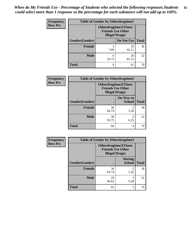| <b>Frequency</b> | <b>Table of Gender by Otherdrugtime1</b> |                                                                                   |                    |    |
|------------------|------------------------------------------|-----------------------------------------------------------------------------------|--------------------|----|
| <b>Row Pct</b>   |                                          | <b>Otherdrugtime1(Times</b><br><b>Friends Use Other</b><br><b>Illegal Drugs</b> ) |                    |    |
|                  | Gender(Gender)                           |                                                                                   | Do Not Use   Total |    |
|                  | <b>Female</b>                            | 3<br>7.89                                                                         | 35<br>92.11        | 38 |
|                  | <b>Male</b>                              | 6<br>18.75                                                                        | 26<br>81.25        | 32 |
|                  | <b>Total</b>                             | 9                                                                                 | 61                 | 70 |

| Frequency      | <b>Table of Gender by Otherdrugtime2</b> |                                                                                   |                            |              |
|----------------|------------------------------------------|-----------------------------------------------------------------------------------|----------------------------|--------------|
| <b>Row Pct</b> |                                          | <b>Otherdrugtime2(Times</b><br><b>Friends Use Other</b><br><b>Illegal Drugs</b> ) |                            |              |
|                | Gender(Gender)                           |                                                                                   | On Way to<br><b>School</b> | <b>Total</b> |
|                | <b>Female</b>                            | 36<br>94.74                                                                       | $\mathfrak{D}$<br>5.26     | 38           |
|                | <b>Male</b>                              | 30<br>93.75                                                                       | $\overline{2}$<br>6.25     | 32           |
|                | <b>Total</b>                             | 66                                                                                | 4                          | 70           |

| <b>Frequency</b> | <b>Table of Gender by Otherdrugtime3</b> |                                                    |                                |              |
|------------------|------------------------------------------|----------------------------------------------------|--------------------------------|--------------|
| <b>Row Pct</b>   |                                          | <b>Friends Use Other</b><br><b>Illegal Drugs</b> ) | Otherdrugtime3(Times           |              |
|                  | Gender(Gender)                           |                                                    | <b>During</b><br><b>School</b> | <b>Total</b> |
|                  | <b>Female</b>                            | 36<br>94.74                                        | $\overline{2}$<br>5.26         | 38           |
|                  | <b>Male</b>                              | 29<br>90.63                                        | 3<br>9.38                      | 32           |
|                  | <b>Total</b>                             | 65                                                 | 5                              | 70           |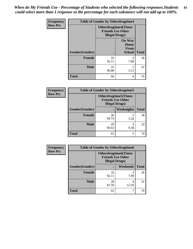*When do My Friends Use - Percentage of Students who selected the following responses.Students could select more than 1 response so the percentage for each substance will not add up to 100%.* **83**

| Frequency      | <b>Table of Gender by Otherdrugtime4</b> |                        |                                                         |              |
|----------------|------------------------------------------|------------------------|---------------------------------------------------------|--------------|
| <b>Row Pct</b> |                                          | <b>Illegal Drugs</b> ) | <b>Otherdrugtime4(Times</b><br><b>Friends Use Other</b> |              |
|                | Gender(Gender)                           |                        | <b>On Way</b><br>Home<br>From<br><b>School</b>          | <b>Total</b> |
|                | <b>Female</b>                            | 35<br>92.11            | 3<br>7.89                                               | 38           |
|                | <b>Male</b>                              | 31<br>96.88            | 3.13                                                    | 32           |
|                | <b>Total</b>                             | 66                     | 4                                                       | 70           |

| Frequency      | <b>Table of Gender by Otherdrugtime5</b> |                                                                                    |            |              |
|----------------|------------------------------------------|------------------------------------------------------------------------------------|------------|--------------|
| <b>Row Pct</b> |                                          | <b>Otherdrugtime5</b> (Times<br><b>Friends Use Other</b><br><b>Illegal Drugs</b> ) |            |              |
|                | Gender(Gender)                           |                                                                                    | Weeknights | <b>Total</b> |
|                | Female                                   | 36<br>94.74                                                                        | 5.26       | 38           |
|                | <b>Male</b>                              | 29<br>90.63                                                                        | 9.38       | 32           |
|                | <b>Total</b>                             | 65                                                                                 | 5          | 70           |

| <b>Frequency</b> | <b>Table of Gender by Otherdrugtime6</b> |                                                                                   |            |              |
|------------------|------------------------------------------|-----------------------------------------------------------------------------------|------------|--------------|
| <b>Row Pct</b>   |                                          | <b>Otherdrugtime6(Times</b><br><b>Friends Use Other</b><br><b>Illegal Drugs</b> ) |            |              |
|                  | Gender(Gender)                           |                                                                                   | Weekends   | <b>Total</b> |
|                  | <b>Female</b>                            | 35<br>92.11                                                                       | 3<br>7.89  | 38           |
|                  | <b>Male</b>                              | 28<br>87.50                                                                       | 4<br>12.50 | 32           |
|                  | <b>Total</b>                             | 63                                                                                | ℸ          | 70           |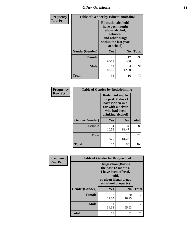## *Other Questions* **84**

| <b>Frequency</b> | <b>Table of Gender by Educationalcohol</b> |                                                                                                                                       |                |              |
|------------------|--------------------------------------------|---------------------------------------------------------------------------------------------------------------------------------------|----------------|--------------|
| <b>Row Pct</b>   |                                            | <b>Educationalcohol</b> (I<br>have been taught<br>about alcohol,<br>tobacco,<br>and other drugs<br>within the last year<br>at school) |                |              |
|                  | Gender(Gender)                             | <b>Yes</b>                                                                                                                            | N <sub>0</sub> | <b>Total</b> |
|                  | <b>Female</b>                              | 26<br>68.42                                                                                                                           | 12<br>31.58    | 38           |
|                  | <b>Male</b>                                | 28<br>87.50                                                                                                                           | 4<br>12.50     | 32           |
|                  | <b>Total</b>                               | 54                                                                                                                                    | 16             | 70           |

| Frequency      | <b>Table of Gender by Rodedrinking</b> |                                                                                                                     |                |              |
|----------------|----------------------------------------|---------------------------------------------------------------------------------------------------------------------|----------------|--------------|
| <b>Row Pct</b> |                                        | Rodedrinking(In<br>the past 30 days I<br>have ridden in a<br>car with a driver<br>who had been<br>drinking alcohol) |                |              |
|                | Gender(Gender)                         | Yes                                                                                                                 | N <sub>0</sub> | <b>Total</b> |
|                | <b>Female</b>                          | 4<br>10.53                                                                                                          | 34<br>89.47    | 38           |
|                | <b>Male</b>                            | 6<br>18.75                                                                                                          | 26<br>81.25    | 32           |
|                | <b>Total</b>                           | 10                                                                                                                  | 60             | 70           |

| Frequency      | <b>Table of Gender by Drugsschool</b> |                                                                                                                                     |                |              |
|----------------|---------------------------------------|-------------------------------------------------------------------------------------------------------------------------------------|----------------|--------------|
| <b>Row Pct</b> |                                       | <b>Drugsschool</b> (During<br>the past 12 months,<br>I have been offered,<br>sold,<br>or given illegal drugs<br>on school property) |                |              |
|                | Gender(Gender)                        | Yes                                                                                                                                 | N <sub>0</sub> | <b>Total</b> |
|                | <b>Female</b>                         | 8<br>21.05                                                                                                                          | 30<br>78.95    | 38           |
|                | <b>Male</b>                           | 11<br>34.38                                                                                                                         | 21<br>65.63    | 32           |
|                | <b>Total</b>                          | 19                                                                                                                                  | 51             | 70           |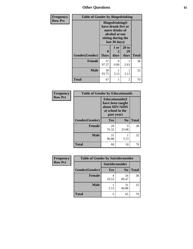# *Other Questions* **85**

| Frequency      | <b>Table of Gender by Bingedrinking</b> |                                                                                                                          |                   |                     |              |
|----------------|-----------------------------------------|--------------------------------------------------------------------------------------------------------------------------|-------------------|---------------------|--------------|
| <b>Row Pct</b> |                                         | <b>Bingedrinking</b> (I<br>have drunk five or<br>more drinks of<br>alcohol at one<br>sitting during the<br>last 30 days) |                   |                     |              |
|                | Gender(Gender)                          | 0<br><b>Days</b>                                                                                                         | 1 or<br>2<br>days | 20 to<br>29<br>days | <b>Total</b> |
|                | <b>Female</b>                           | 37<br>97.37                                                                                                              | $\Omega$<br>0.00  | 2.63                | 38           |
|                | <b>Male</b>                             | 30<br>93.75                                                                                                              | 3.13              | 3.13                | 32           |
|                | <b>Total</b>                            | 67                                                                                                                       |                   | 2                   | 70           |

| Frequency      | <b>Table of Gender by Educationaids</b> |                                                                                                 |                |              |
|----------------|-----------------------------------------|-------------------------------------------------------------------------------------------------|----------------|--------------|
| <b>Row Pct</b> |                                         | <b>Educationaids</b> (I<br>have been taught<br>about HIV/AIDS<br>at school in the<br>past year) |                |              |
|                | Gender(Gender)                          | <b>Yes</b>                                                                                      | N <sub>0</sub> | <b>Total</b> |
|                | <b>Female</b>                           | 29<br>76.32                                                                                     | 9<br>23.68     | 38           |
|                | <b>Male</b>                             | 31<br>96.88                                                                                     | 3.13           | 32           |
|                | <b>Total</b>                            | 60                                                                                              | 10             | 70           |

| Frequency      | <b>Table of Gender by Suicideconsider</b> |                 |                |              |
|----------------|-------------------------------------------|-----------------|----------------|--------------|
| <b>Row Pct</b> |                                           | Suicideconsider |                |              |
|                | Gender(Gender)                            | Yes             | N <sub>0</sub> | <b>Total</b> |
|                | <b>Female</b>                             | 10.53           | 34<br>89.47    | 38           |
|                | <b>Male</b>                               | 3.13            | 31<br>96.88    | 32           |
|                | <b>Total</b>                              |                 | 65             | 70           |